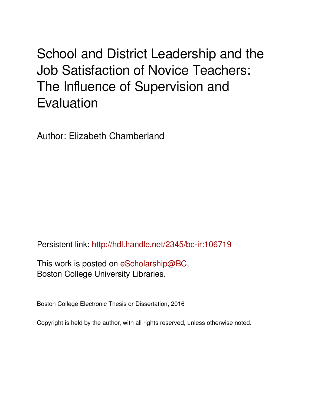# School and District Leadership and the Job Satisfaction of Novice Teachers: The Influence of Supervision and Evaluation

Author: Elizabeth Chamberland

Persistent link: <http://hdl.handle.net/2345/bc-ir:106719>

This work is posted on [eScholarship@BC](http://escholarship.bc.edu), Boston College University Libraries.

Boston College Electronic Thesis or Dissertation, 2016

Copyright is held by the author, with all rights reserved, unless otherwise noted.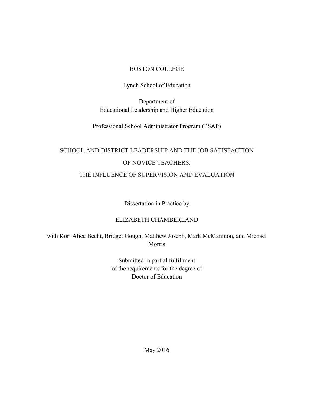# BOSTON COLLEGE

# Lynch School of Education

Department of Educational Leadership and Higher Education

Professional School Administrator Program (PSAP)

# SCHOOL AND DISTRICT LEADERSHIP AND THE JOB SATISFACTION OF NOVICE TEACHERS: THE INFLUENCE OF SUPERVISION AND EVALUATION

Dissertation in Practice by

# ELIZABETH CHAMBERLAND

with Kori Alice Becht, Bridget Gough, Matthew Joseph, Mark McManmon, and Michael Morris

> Submitted in partial fulfillment of the requirements for the degree of Doctor of Education

> > May 2016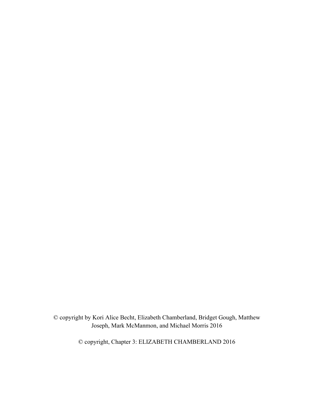© copyright by Kori Alice Becht, Elizabeth Chamberland, Bridget Gough, Matthew Joseph, Mark McManmon, and Michael Morris 2016

© copyright, Chapter 3: ELIZABETH CHAMBERLAND 2016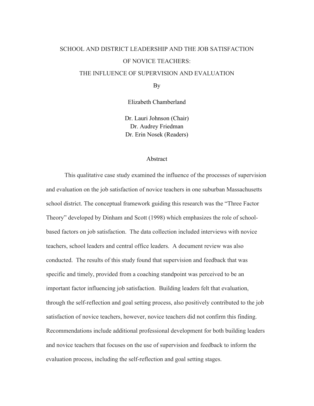# SCHOOL AND DISTRICT LEADERSHIP AND THE JOB SATISFACTION OF NOVICE TEACHERS: THE INFLUENCE OF SUPERVISION AND EVALUATION

By

Elizabeth Chamberland

Dr. Lauri Johnson (Chair) Dr. Audrey Friedman Dr. Erin Nosek (Readers)

### Abstract

This qualitative case study examined the influence of the processes of supervision and evaluation on the job satisfaction of novice teachers in one suburban Massachusetts school district. The conceptual framework guiding this research was the "Three Factor Theory" developed by Dinham and Scott (1998) which emphasizes the role of schoolbased factors on job satisfaction. The data collection included interviews with novice teachers, school leaders and central office leaders. A document review was also conducted. The results of this study found that supervision and feedback that was specific and timely, provided from a coaching standpoint was perceived to be an important factor influencing job satisfaction. Building leaders felt that evaluation, through the self-reflection and goal setting process, also positively contributed to the job satisfaction of novice teachers, however, novice teachers did not confirm this finding. Recommendations include additional professional development for both building leaders and novice teachers that focuses on the use of supervision and feedback to inform the evaluation process, including the self-reflection and goal setting stages.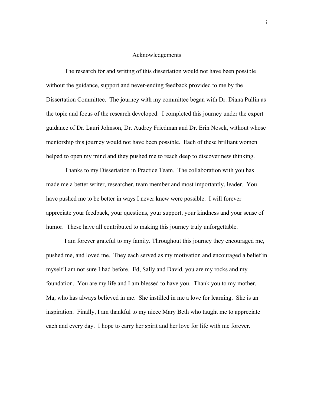### Acknowledgements

The research for and writing of this dissertation would not have been possible without the guidance, support and never-ending feedback provided to me by the Dissertation Committee. The journey with my committee began with Dr. Diana Pullin as the topic and focus of the research developed. I completed this journey under the expert guidance of Dr. Lauri Johnson, Dr. Audrey Friedman and Dr. Erin Nosek, without whose mentorship this journey would not have been possible. Each of these brilliant women helped to open my mind and they pushed me to reach deep to discover new thinking.

Thanks to my Dissertation in Practice Team. The collaboration with you has made me a better writer, researcher, team member and most importantly, leader. You have pushed me to be better in ways I never knew were possible. I will forever appreciate your feedback, your questions, your support, your kindness and your sense of humor. These have all contributed to making this journey truly unforgettable.

I am forever grateful to my family. Throughout this journey they encouraged me, pushed me, and loved me. They each served as my motivation and encouraged a belief in myself I am not sure I had before. Ed, Sally and David, you are my rocks and my foundation. You are my life and I am blessed to have you. Thank you to my mother, Ma, who has always believed in me. She instilled in me a love for learning. She is an inspiration. Finally, I am thankful to my niece Mary Beth who taught me to appreciate each and every day. I hope to carry her spirit and her love for life with me forever.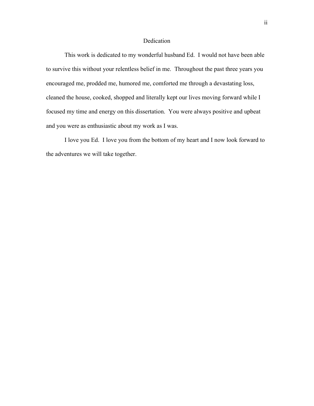# Dedication

This work is dedicated to my wonderful husband Ed. I would not have been able to survive this without your relentless belief in me. Throughout the past three years you encouraged me, prodded me, humored me, comforted me through a devastating loss, cleaned the house, cooked, shopped and literally kept our lives moving forward while I focused my time and energy on this dissertation. You were always positive and upbeat and you were as enthusiastic about my work as I was.

I love you Ed. I love you from the bottom of my heart and I now look forward to the adventures we will take together.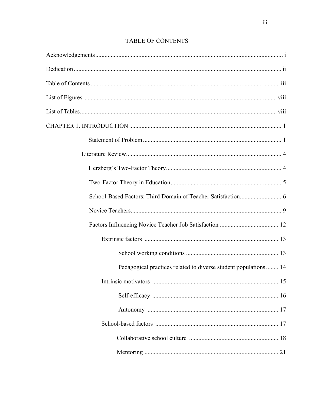# **TABLE OF CONTENTS**

| Pedagogical practices related to diverse student populations  14 |    |
|------------------------------------------------------------------|----|
|                                                                  | 15 |
|                                                                  |    |
|                                                                  |    |
|                                                                  |    |
|                                                                  |    |
|                                                                  |    |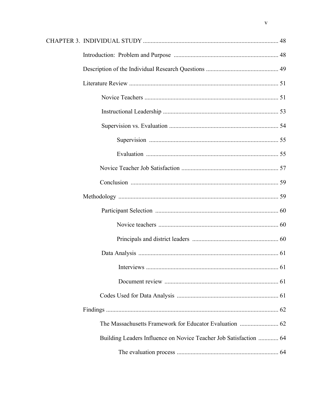| Building Leaders Influence on Novice Teacher Job Satisfaction  64 |  |
|-------------------------------------------------------------------|--|
|                                                                   |  |
|                                                                   |  |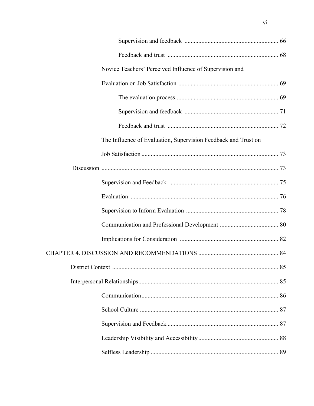| Novice Teachers' Perceived Influence of Supervision and        |  |
|----------------------------------------------------------------|--|
|                                                                |  |
|                                                                |  |
|                                                                |  |
|                                                                |  |
| The Influence of Evaluation, Supervision Feedback and Trust on |  |
|                                                                |  |
|                                                                |  |
|                                                                |  |
|                                                                |  |
|                                                                |  |
|                                                                |  |
|                                                                |  |
|                                                                |  |
|                                                                |  |
|                                                                |  |
|                                                                |  |
|                                                                |  |
|                                                                |  |
|                                                                |  |
|                                                                |  |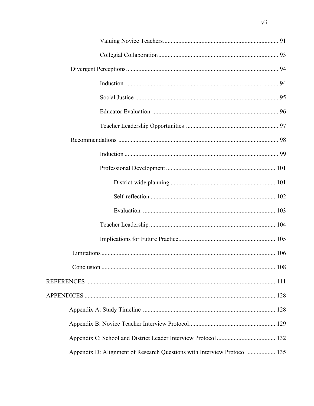| Appendix D: Alignment of Research Questions with Interview Protocol  135 |  |
|--------------------------------------------------------------------------|--|

vii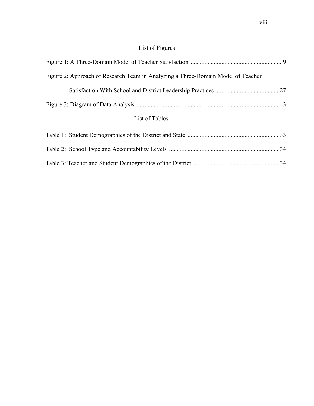# List of Figures

| Figure 2: Approach of Research Team in Analyzing a Three-Domain Model of Teacher |  |
|----------------------------------------------------------------------------------|--|
|                                                                                  |  |
|                                                                                  |  |
| List of Tables                                                                   |  |
|                                                                                  |  |
|                                                                                  |  |
|                                                                                  |  |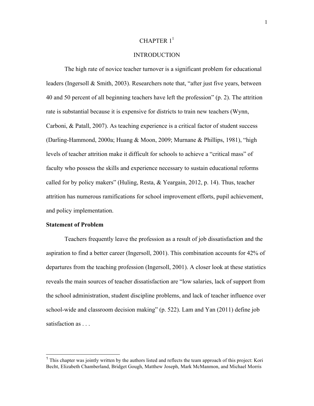### CHAPTER  $1<sup>1</sup>$

# **INTRODUCTION**

The high rate of novice teacher turnover is a significant problem for educational leaders (Ingersoll & Smith, 2003). Researchers note that, "after just five years, between 40 and 50 percent of all beginning teachers have left the profession" (p. 2). The attrition rate is substantial because it is expensive for districts to train new teachers (Wynn, Carboni, & Patall, 2007). As teaching experience is a critical factor of student success (Darling-Hammond, 2000a; Huang & Moon, 2009; Murnane & Phillips, 1981), "high levels of teacher attrition make it difficult for schools to achieve a "critical mass" of faculty who possess the skills and experience necessary to sustain educational reforms called for by policy makers" (Huling, Resta, & Yeargain, 2012, p. 14). Thus, teacher attrition has numerous ramifications for school improvement efforts, pupil achievement, and policy implementation.

### **Statement of Problem**

Teachers frequently leave the profession as a result of job dissatisfaction and the aspiration to find a better career (Ingersoll, 2001). This combination accounts for 42% of departures from the teaching profession (Ingersoll, 2001). A closer look at these statistics reveals the main sources of teacher dissatisfaction are "low salaries, lack of support from the school administration, student discipline problems, and lack of teacher influence over school-wide and classroom decision making" (p. 522). Lam and Yan (2011) define job satisfaction as . . .

<sup>&</sup>lt;sup>1</sup> This chapter was jointly written by the authors listed and reflects the team approach of this project: Kori Becht, Elizabeth Chamberland, Bridget Gough, Matthew Joseph, Mark McManmon, and Michael Morris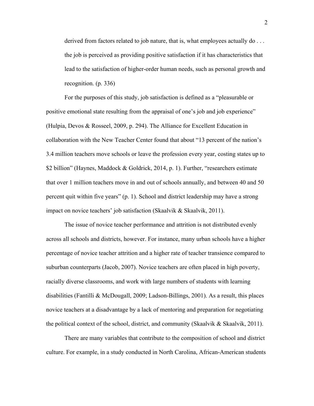derived from factors related to job nature, that is, what employees actually do . . . the job is perceived as providing positive satisfaction if it has characteristics that lead to the satisfaction of higher-order human needs, such as personal growth and recognition. (p. 336)

For the purposes of this study, job satisfaction is defined as a "pleasurable or positive emotional state resulting from the appraisal of one's job and job experience" (Hulpia, Devos & Rosseel, 2009, p. 294). The Alliance for Excellent Education in collaboration with the New Teacher Center found that about "13 percent of the nation's 3.4 million teachers move schools or leave the profession every year, costing states up to \$2 billion" (Haynes, Maddock & Goldrick, 2014, p. 1). Further, "researchers estimate that over 1 million teachers move in and out of schools annually, and between 40 and 50 percent quit within five years" (p. 1). School and district leadership may have a strong impact on novice teachers' job satisfaction (Skaalvik & Skaalvik, 2011).

The issue of novice teacher performance and attrition is not distributed evenly across all schools and districts, however. For instance, many urban schools have a higher percentage of novice teacher attrition and a higher rate of teacher transience compared to suburban counterparts (Jacob, 2007). Novice teachers are often placed in high poverty, racially diverse classrooms, and work with large numbers of students with learning disabilities (Fantilli & McDougall, 2009; Ladson-Billings, 2001). As a result, this places novice teachers at a disadvantage by a lack of mentoring and preparation for negotiating the political context of the school, district, and community (Skaalvik & Skaalvik, 2011).

There are many variables that contribute to the composition of school and district culture. For example, in a study conducted in North Carolina, African-American students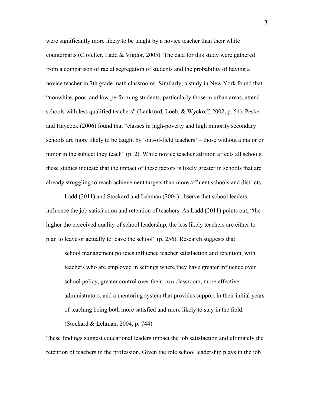were significantly more likely to be taught by a novice teacher than their white counterparts (Clofelter, Ladd & Vigdor, 2005). The data for this study were gathered from a comparison of racial segregation of students and the probability of having a novice teacher in 7th grade math classrooms. Similarly, a study in New York found that "nonwhite, poor, and low performing students, particularly those in urban areas, attend schools with less qualified teachers" (Lankford, Loeb, & Wyckoff, 2002, p. 54). Peske and Haycock (2006) found that "classes in high-poverty and high minority secondary schools are more likely to be taught by 'out-of-field teachers' – those without a major or minor in the subject they teach" (p. 2). While novice teacher attrition affects all schools, these studies indicate that the impact of these factors is likely greater in schools that are already struggling to reach achievement targets than more affluent schools and districts.

Ladd (2011) and Stockard and Lehman (2004) observe that school leaders influence the job satisfaction and retention of teachers. As Ladd (2011) points out, "the higher the perceived quality of school leadership, the less likely teachers are either to plan to leave or actually to leave the school" (p. 256). Research suggests that:

school management policies influence teacher satisfaction and retention, with teachers who are employed in settings where they have greater influence over school policy, greater control over their own classroom, more effective administrators, and a mentoring system that provides support in their initial years of teaching being both more satisfied and more likely to stay in the field. (Stockard & Lehman, 2004, p. 744)

These findings suggest educational leaders impact the job satisfaction and ultimately the retention of teachers in the profession. Given the role school leadership plays in the job

3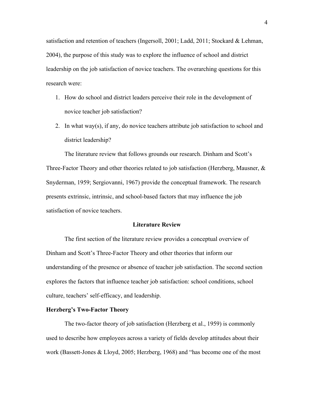satisfaction and retention of teachers (Ingersoll, 2001; Ladd, 2011; Stockard & Lehman, 2004), the purpose of this study was to explore the influence of school and district leadership on the job satisfaction of novice teachers. The overarching questions for this research were:

- 1. How do school and district leaders perceive their role in the development of novice teacher job satisfaction?
- 2. In what way(s), if any, do novice teachers attribute job satisfaction to school and district leadership?

The literature review that follows grounds our research. Dinham and Scott's Three-Factor Theory and other theories related to job satisfaction (Herzberg, Mausner,  $\&$ Snyderman, 1959; Sergiovanni, 1967) provide the conceptual framework. The research presents extrinsic, intrinsic, and school-based factors that may influence the job satisfaction of novice teachers.

### **Literature Review**

The first section of the literature review provides a conceptual overview of Dinham and Scott's Three-Factor Theory and other theories that inform our understanding of the presence or absence of teacher job satisfaction. The second section explores the factors that influence teacher job satisfaction: school conditions, school culture, teachers' self-efficacy, and leadership.

### **Herzberg's Two-Factor Theory**

The two-factor theory of job satisfaction (Herzberg et al., 1959) is commonly used to describe how employees across a variety of fields develop attitudes about their work (Bassett-Jones & Lloyd, 2005; Herzberg, 1968) and "has become one of the most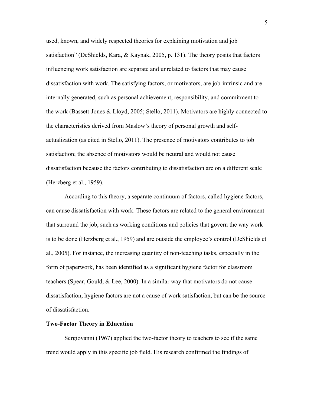used, known, and widely respected theories for explaining motivation and job satisfaction" (DeShields, Kara, & Kaynak, 2005, p. 131). The theory posits that factors influencing work satisfaction are separate and unrelated to factors that may cause dissatisfaction with work. The satisfying factors, or motivators, are job-intrinsic and are internally generated, such as personal achievement, responsibility, and commitment to the work (Bassett-Jones & Lloyd, 2005; Stello, 2011). Motivators are highly connected to the characteristics derived from Maslow's theory of personal growth and selfactualization (as cited in Stello, 2011). The presence of motivators contributes to job satisfaction; the absence of motivators would be neutral and would not cause dissatisfaction because the factors contributing to dissatisfaction are on a different scale (Herzberg et al., 1959).

According to this theory, a separate continuum of factors, called hygiene factors, can cause dissatisfaction with work. These factors are related to the general environment that surround the job, such as working conditions and policies that govern the way work is to be done (Herzberg et al., 1959) and are outside the employee's control (DeShields et al., 2005). For instance, the increasing quantity of non-teaching tasks, especially in the form of paperwork, has been identified as a significant hygiene factor for classroom teachers (Spear, Gould, & Lee, 2000). In a similar way that motivators do not cause dissatisfaction, hygiene factors are not a cause of work satisfaction, but can be the source of dissatisfaction.

#### **Two-Factor Theory in Education**

Sergiovanni (1967) applied the two-factor theory to teachers to see if the same trend would apply in this specific job field. His research confirmed the findings of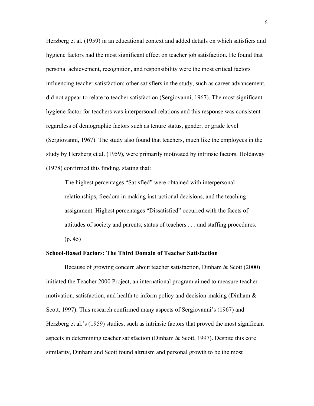Herzberg et al. (1959) in an educational context and added details on which satisfiers and hygiene factors had the most significant effect on teacher job satisfaction. He found that personal achievement, recognition, and responsibility were the most critical factors influencing teacher satisfaction; other satisfiers in the study, such as career advancement, did not appear to relate to teacher satisfaction (Sergiovanni, 1967). The most significant hygiene factor for teachers was interpersonal relations and this response was consistent regardless of demographic factors such as tenure status, gender, or grade level (Sergiovanni, 1967). The study also found that teachers, much like the employees in the study by Herzberg et al. (1959), were primarily motivated by intrinsic factors. Holdaway (1978) confirmed this finding, stating that:

The highest percentages "Satisfied" were obtained with interpersonal relationships, freedom in making instructional decisions, and the teaching assignment. Highest percentages "Dissatisfied" occurred with the facets of attitudes of society and parents; status of teachers . . . and staffing procedures. (p. 45)

#### **School-Based Factors: The Third Domain of Teacher Satisfaction**

Because of growing concern about teacher satisfaction, Dinham & Scott (2000) initiated the Teacher 2000 Project, an international program aimed to measure teacher motivation, satisfaction, and health to inform policy and decision-making (Dinham  $\&$ Scott, 1997). This research confirmed many aspects of Sergiovanni's (1967) and Herzberg et al.'s (1959) studies, such as intrinsic factors that proved the most significant aspects in determining teacher satisfaction (Dinham & Scott, 1997). Despite this core similarity, Dinham and Scott found altruism and personal growth to be the most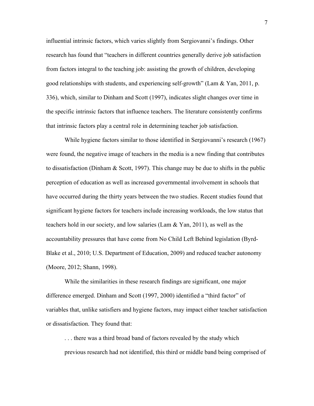influential intrinsic factors, which varies slightly from Sergiovanni's findings. Other research has found that "teachers in different countries generally derive job satisfaction from factors integral to the teaching job: assisting the growth of children, developing good relationships with students, and experiencing self-growth" (Lam & Yan, 2011, p. 336), which, similar to Dinham and Scott (1997), indicates slight changes over time in the specific intrinsic factors that influence teachers. The literature consistently confirms that intrinsic factors play a central role in determining teacher job satisfaction.

While hygiene factors similar to those identified in Sergiovanni's research (1967) were found, the negative image of teachers in the media is a new finding that contributes to dissatisfaction (Dinham  $&$  Scott, 1997). This change may be due to shifts in the public perception of education as well as increased governmental involvement in schools that have occurred during the thirty years between the two studies. Recent studies found that significant hygiene factors for teachers include increasing workloads, the low status that teachers hold in our society, and low salaries (Lam & Yan, 2011), as well as the accountability pressures that have come from No Child Left Behind legislation (Byrd-Blake et al., 2010; U.S. Department of Education, 2009) and reduced teacher autonomy (Moore, 2012; Shann, 1998).

While the similarities in these research findings are significant, one major difference emerged. Dinham and Scott (1997, 2000) identified a "third factor" of variables that, unlike satisfiers and hygiene factors, may impact either teacher satisfaction or dissatisfaction. They found that:

. . . there was a third broad band of factors revealed by the study which previous research had not identified, this third or middle band being comprised of

7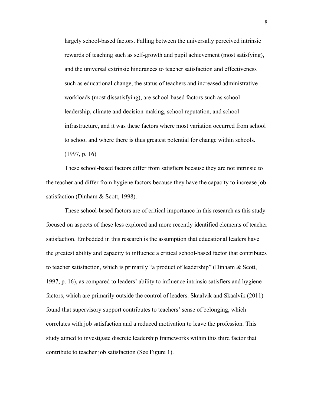largely school-based factors. Falling between the universally perceived intrinsic rewards of teaching such as self-growth and pupil achievement (most satisfying), and the universal extrinsic hindrances to teacher satisfaction and effectiveness such as educational change, the status of teachers and increased administrative workloads (most dissatisfying), are school-based factors such as school leadership, climate and decision-making, school reputation, and school infrastructure, and it was these factors where most variation occurred from school to school and where there is thus greatest potential for change within schools. (1997, p. 16)

These school-based factors differ from satisfiers because they are not intrinsic to the teacher and differ from hygiene factors because they have the capacity to increase job satisfaction (Dinham & Scott, 1998).

These school-based factors are of critical importance in this research as this study focused on aspects of these less explored and more recently identified elements of teacher satisfaction. Embedded in this research is the assumption that educational leaders have the greatest ability and capacity to influence a critical school-based factor that contributes to teacher satisfaction, which is primarily "a product of leadership" (Dinham & Scott, 1997, p. 16), as compared to leaders' ability to influence intrinsic satisfiers and hygiene factors, which are primarily outside the control of leaders. Skaalvik and Skaalvik (2011) found that supervisory support contributes to teachers' sense of belonging, which correlates with job satisfaction and a reduced motivation to leave the profession. This study aimed to investigate discrete leadership frameworks within this third factor that contribute to teacher job satisfaction (See Figure 1).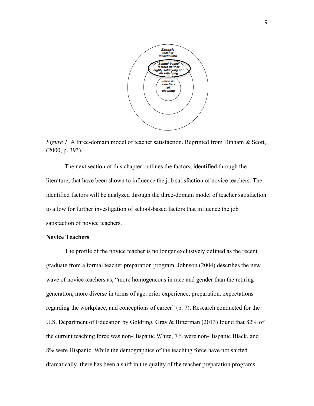

*Figure 1.* A three-domain model of teacher satisfaction. Reprinted from Dinham & Scott, (2000, p. 393).

The next section of this chapter outlines the factors, identified through the literature, that have been shown to influence the job satisfaction of novice teachers. The identified factors will be analyzed through the three-domain model of teacher satisfaction to allow for further investigation of school-based factors that influence the job satisfaction of novice teachers.

### **Novice Teachers**

The profile of the novice teacher is no longer exclusively defined as the recent graduate from a formal teacher preparation program. Johnson (2004) describes the new wave of novice teachers as, "more homogeneous in race and gender than the retiring generation, more diverse in terms of age, prior experience, preparation, expectations regarding the workplace, and conceptions of career" (p. 7). Research conducted for the U.S. Department of Education by Goldring, Gray & Bitterman (2013) found that 82% of the current teaching force was non-Hispanic White, 7% were non-Hispanic Black, and 8% were Hispanic. While the demographics of the teaching force have not shifted dramatically, there has been a shift in the quality of the teacher preparation programs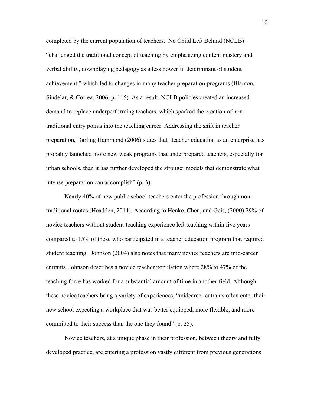completed by the current population of teachers. No Child Left Behind (NCLB) "challenged the traditional concept of teaching by emphasizing content mastery and verbal ability, downplaying pedagogy as a less powerful determinant of student achievement," which led to changes in many teacher preparation programs (Blanton, Sindelar, & Correa, 2006, p. 115). As a result, NCLB policies created an increased demand to replace underperforming teachers, which sparked the creation of nontraditional entry points into the teaching career. Addressing the shift in teacher preparation, Darling Hammond (2006) states that "teacher education as an enterprise has probably launched more new weak programs that underprepared teachers, especially for urban schools, than it has further developed the stronger models that demonstrate what intense preparation can accomplish" (p. 3).

Nearly 40% of new public school teachers enter the profession through nontraditional routes (Headden, 2014). According to Henke, Chen, and Geis, (2000) 29% of novice teachers without student-teaching experience left teaching within five years compared to 15% of those who participated in a teacher education program that required student teaching. Johnson (2004) also notes that many novice teachers are mid-career entrants. Johnson describes a novice teacher population where 28% to 47% of the teaching force has worked for a substantial amount of time in another field. Although these novice teachers bring a variety of experiences, "midcareer entrants often enter their new school expecting a workplace that was better equipped, more flexible, and more committed to their success than the one they found" (p. 25).

Novice teachers, at a unique phase in their profession, between theory and fully developed practice, are entering a profession vastly different from previous generations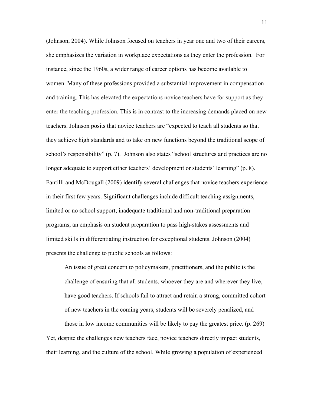(Johnson, 2004). While Johnson focused on teachers in year one and two of their careers, she emphasizes the variation in workplace expectations as they enter the profession. For instance, since the 1960s, a wider range of career options has become available to women. Many of these professions provided a substantial improvement in compensation and training. This has elevated the expectations novice teachers have for support as they enter the teaching profession. This is in contrast to the increasing demands placed on new teachers. Johnson posits that novice teachers are "expected to teach all students so that they achieve high standards and to take on new functions beyond the traditional scope of school's responsibility" (p. 7). Johnson also states "school structures and practices are no longer adequate to support either teachers' development or students' learning" (p. 8). Fantilli and McDougall (2009) identify several challenges that novice teachers experience in their first few years. Significant challenges include difficult teaching assignments, limited or no school support, inadequate traditional and non-traditional preparation programs, an emphasis on student preparation to pass high-stakes assessments and limited skills in differentiating instruction for exceptional students. Johnson (2004) presents the challenge to public schools as follows:

An issue of great concern to policymakers, practitioners, and the public is the challenge of ensuring that all students, whoever they are and wherever they live, have good teachers. If schools fail to attract and retain a strong, committed cohort of new teachers in the coming years, students will be severely penalized, and those in low income communities will be likely to pay the greatest price. (p. 269) Yet, despite the challenges new teachers face, novice teachers directly impact students, their learning, and the culture of the school. While growing a population of experienced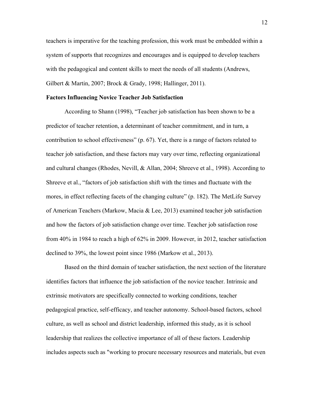teachers is imperative for the teaching profession, this work must be embedded within a system of supports that recognizes and encourages and is equipped to develop teachers with the pedagogical and content skills to meet the needs of all students (Andrews, Gilbert & Martin, 2007; Brock & Grady, 1998; Hallinger, 2011).

### **Factors Influencing Novice Teacher Job Satisfaction**

According to Shann (1998), "Teacher job satisfaction has been shown to be a predictor of teacher retention, a determinant of teacher commitment, and in turn, a contribution to school effectiveness" (p. 67). Yet, there is a range of factors related to teacher job satisfaction, and these factors may vary over time, reflecting organizational and cultural changes (Rhodes, Nevill, & Allan, 2004; Shreeve et al., 1998). According to Shreeve et al., "factors of job satisfaction shift with the times and fluctuate with the mores, in effect reflecting facets of the changing culture" (p. 182). The MetLife Survey of American Teachers (Markow, Macia & Lee, 2013) examined teacher job satisfaction and how the factors of job satisfaction change over time. Teacher job satisfaction rose from 40% in 1984 to reach a high of 62% in 2009. However, in 2012, teacher satisfaction declined to 39%, the lowest point since 1986 (Markow et al., 2013).

Based on the third domain of teacher satisfaction, the next section of the literature identifies factors that influence the job satisfaction of the novice teacher. Intrinsic and extrinsic motivators are specifically connected to working conditions, teacher pedagogical practice, self-efficacy, and teacher autonomy. School-based factors, school culture, as well as school and district leadership, informed this study, as it is school leadership that realizes the collective importance of all of these factors. Leadership includes aspects such as "working to procure necessary resources and materials, but even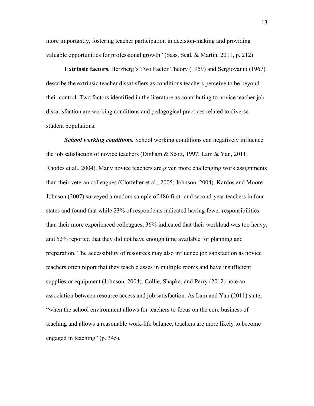more importantly, fostering teacher participation in decision-making and providing valuable opportunities for professional growth" (Sass, Seal, & Martin, 2011, p. 212).

**Extrinsic factors.** Herzberg's Two Factor Theory (1959) and Sergiovanni (1967) describe the extrinsic teacher dissatisfiers as conditions teachers perceive to be beyond their control. Two factors identified in the literature as contributing to novice teacher job dissatisfaction are working conditions and pedagogical practices related to diverse student populations.

*School working conditions.* School working conditions can negatively influence the job satisfaction of novice teachers (Dinham & Scott, 1997; Lam & Yan, 2011; Rhodes et al., 2004). Many novice teachers are given more challenging work assignments than their veteran colleagues (Clotfelter et al., 2005; Johnson, 2004). Kardos and Moore Johnson (2007) surveyed a random sample of 486 first- and second-year teachers in four states and found that while 23% of respondents indicated having fewer responsibilities than their more experienced colleagues, 36% indicated that their workload was too heavy, and 52% reported that they did not have enough time available for planning and preparation. The accessibility of resources may also influence job satisfaction as novice teachers often report that they teach classes in multiple rooms and have insufficient supplies or equipment (Johnson, 2004). Collie, Shapka, and Perry (2012) note an association between resource access and job satisfaction. As Lam and Yan (2011) state, "when the school environment allows for teachers to focus on the core business of teaching and allows a reasonable work-life balance, teachers are more likely to become engaged in teaching" (p. 345).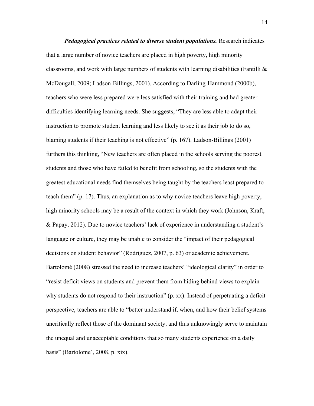*Pedagogical practices related to diverse student populations.* Research indicates that a large number of novice teachers are placed in high poverty, high minority classrooms, and work with large numbers of students with learning disabilities (Fantilli  $\&$ McDougall, 2009; Ladson-Billings, 2001). According to Darling-Hammond (2000b), teachers who were less prepared were less satisfied with their training and had greater difficulties identifying learning needs. She suggests, "They are less able to adapt their instruction to promote student learning and less likely to see it as their job to do so, blaming students if their teaching is not effective" (p. 167). Ladson-Billings (2001) furthers this thinking, "New teachers are often placed in the schools serving the poorest students and those who have failed to benefit from schooling, so the students with the greatest educational needs find themselves being taught by the teachers least prepared to teach them" (p. 17). Thus, an explanation as to why novice teachers leave high poverty, high minority schools may be a result of the context in which they work (Johnson, Kraft, & Papay, 2012). Due to novice teachers' lack of experience in understanding a student's language or culture, they may be unable to consider the "impact of their pedagogical decisions on student behavior" (Rodriguez, 2007, p. 63) or academic achievement. Bartolomé (2008) stressed the need to increase teachers' "ideological clarity" in order to "resist deficit views on students and prevent them from hiding behind views to explain why students do not respond to their instruction" (p. xx). Instead of perpetuating a deficit perspective, teachers are able to "better understand if, when, and how their belief systems uncritically reflect those of the dominant society, and thus unknowingly serve to maintain the unequal and unacceptable conditions that so many students experience on a daily basis" (Bartolome´, 2008, p. xix).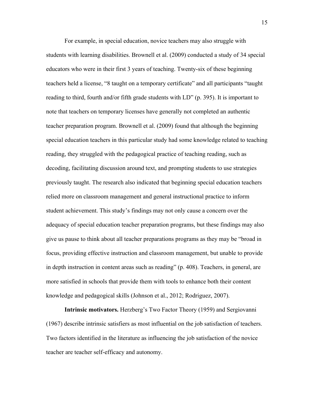For example, in special education, novice teachers may also struggle with students with learning disabilities. Brownell et al. (2009) conducted a study of 34 special educators who were in their first 3 years of teaching. Twenty-six of these beginning teachers held a license, "8 taught on a temporary certificate" and all participants "taught reading to third, fourth and/or fifth grade students with LD" (p. 395). It is important to note that teachers on temporary licenses have generally not completed an authentic teacher preparation program. Brownell et al. (2009) found that although the beginning special education teachers in this particular study had some knowledge related to teaching reading, they struggled with the pedagogical practice of teaching reading, such as decoding, facilitating discussion around text, and prompting students to use strategies previously taught. The research also indicated that beginning special education teachers relied more on classroom management and general instructional practice to inform student achievement. This study's findings may not only cause a concern over the adequacy of special education teacher preparation programs, but these findings may also give us pause to think about all teacher preparations programs as they may be "broad in focus, providing effective instruction and classroom management, but unable to provide in depth instruction in content areas such as reading" (p. 408). Teachers, in general, are more satisfied in schools that provide them with tools to enhance both their content knowledge and pedagogical skills (Johnson et al., 2012; Rodriguez, 2007).

**Intrinsic motivators.** Herzberg's Two Factor Theory (1959) and Sergiovanni (1967) describe intrinsic satisfiers as most influential on the job satisfaction of teachers. Two factors identified in the literature as influencing the job satisfaction of the novice teacher are teacher self-efficacy and autonomy.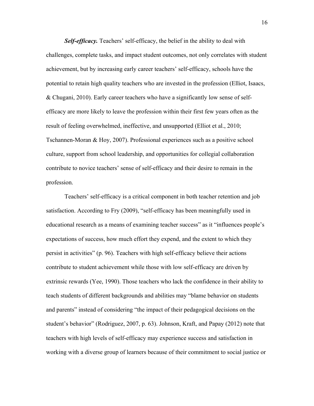*Self-efficacy*. Teachers' self-efficacy, the belief in the ability to deal with challenges, complete tasks, and impact student outcomes, not only correlates with student achievement, but by increasing early career teachers' self-efficacy, schools have the potential to retain high quality teachers who are invested in the profession (Elliot, Isaacs, & Chugani, 2010). Early career teachers who have a significantly low sense of selfefficacy are more likely to leave the profession within their first few years often as the result of feeling overwhelmed, ineffective, and unsupported (Elliot et al., 2010; Tschannen-Moran & Hoy, 2007). Professional experiences such as a positive school culture, support from school leadership, and opportunities for collegial collaboration contribute to novice teachers' sense of self-efficacy and their desire to remain in the profession.

Teachers' self-efficacy is a critical component in both teacher retention and job satisfaction. According to Fry (2009), "self-efficacy has been meaningfully used in educational research as a means of examining teacher success" as it "influences people's expectations of success, how much effort they expend, and the extent to which they persist in activities" (p. 96). Teachers with high self-efficacy believe their actions contribute to student achievement while those with low self-efficacy are driven by extrinsic rewards (Yee, 1990). Those teachers who lack the confidence in their ability to teach students of different backgrounds and abilities may "blame behavior on students and parents" instead of considering "the impact of their pedagogical decisions on the student's behavior" (Rodriguez, 2007, p. 63). Johnson, Kraft, and Papay (2012) note that teachers with high levels of self-efficacy may experience success and satisfaction in working with a diverse group of learners because of their commitment to social justice or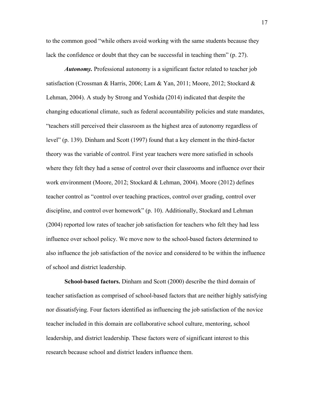to the common good "while others avoid working with the same students because they lack the confidence or doubt that they can be successful in teaching them" (p. 27).

*Autonomy.* Professional autonomy is a significant factor related to teacher job satisfaction (Crossman & Harris, 2006; Lam & Yan, 2011; Moore, 2012; Stockard & Lehman, 2004). A study by Strong and Yoshida (2014) indicated that despite the changing educational climate, such as federal accountability policies and state mandates, "teachers still perceived their classroom as the highest area of autonomy regardless of level" (p. 139). Dinham and Scott (1997) found that a key element in the third-factor theory was the variable of control. First year teachers were more satisfied in schools where they felt they had a sense of control over their classrooms and influence over their work environment (Moore, 2012; Stockard & Lehman, 2004). Moore (2012) defines teacher control as "control over teaching practices, control over grading, control over discipline, and control over homework" (p. 10). Additionally, Stockard and Lehman (2004) reported low rates of teacher job satisfaction for teachers who felt they had less influence over school policy. We move now to the school-based factors determined to also influence the job satisfaction of the novice and considered to be within the influence of school and district leadership.

**School-based factors.** Dinham and Scott (2000) describe the third domain of teacher satisfaction as comprised of school-based factors that are neither highly satisfying nor dissatisfying. Four factors identified as influencing the job satisfaction of the novice teacher included in this domain are collaborative school culture, mentoring, school leadership, and district leadership. These factors were of significant interest to this research because school and district leaders influence them.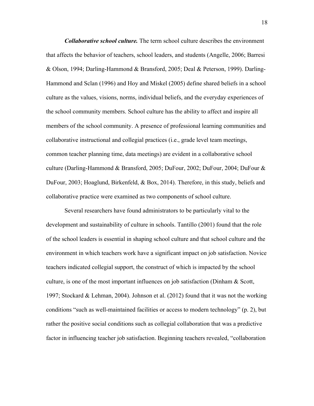*Collaborative school culture.* The term school culture describes the environment that affects the behavior of teachers, school leaders, and students (Angelle, 2006; Barresi & Olson, 1994; Darling-Hammond & Bransford, 2005; Deal & Peterson, 1999). Darling-Hammond and Sclan (1996) and Hoy and Miskel (2005) define shared beliefs in a school culture as the values, visions, norms, individual beliefs, and the everyday experiences of the school community members. School culture has the ability to affect and inspire all members of the school community. A presence of professional learning communities and collaborative instructional and collegial practices (i.e., grade level team meetings, common teacher planning time, data meetings) are evident in a collaborative school culture (Darling-Hammond & Bransford, 2005; DuFour, 2002; DuFour, 2004; DuFour & DuFour, 2003; Hoaglund, Birkenfeld, & Box, 2014). Therefore, in this study, beliefs and collaborative practice were examined as two components of school culture.

Several researchers have found administrators to be particularly vital to the development and sustainability of culture in schools. Tantillo (2001) found that the role of the school leaders is essential in shaping school culture and that school culture and the environment in which teachers work have a significant impact on job satisfaction. Novice teachers indicated collegial support, the construct of which is impacted by the school culture, is one of the most important influences on job satisfaction (Dinham & Scott, 1997; Stockard & Lehman, 2004). Johnson et al. (2012) found that it was not the working conditions "such as well-maintained facilities or access to modern technology" (p. 2), but rather the positive social conditions such as collegial collaboration that was a predictive factor in influencing teacher job satisfaction. Beginning teachers revealed, "collaboration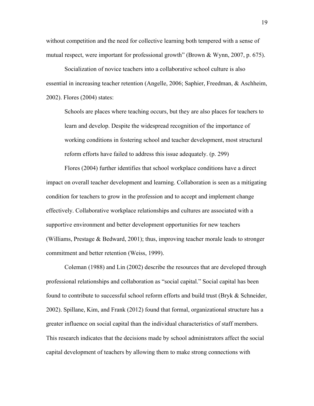without competition and the need for collective learning both tempered with a sense of mutual respect, were important for professional growth" (Brown  $&$  Wynn, 2007, p. 675).

Socialization of novice teachers into a collaborative school culture is also essential in increasing teacher retention (Angelle, 2006; Saphier, Freedman, & Aschheim, 2002). Flores (2004) states:

Schools are places where teaching occurs, but they are also places for teachers to learn and develop. Despite the widespread recognition of the importance of working conditions in fostering school and teacher development, most structural reform efforts have failed to address this issue adequately. (p. 299)

Flores (2004) further identifies that school workplace conditions have a direct impact on overall teacher development and learning. Collaboration is seen as a mitigating condition for teachers to grow in the profession and to accept and implement change effectively. Collaborative workplace relationships and cultures are associated with a supportive environment and better development opportunities for new teachers (Williams, Prestage  $\&$  Bedward, 2001); thus, improving teacher morale leads to stronger commitment and better retention (Weiss, 1999).

Coleman (1988) and Lin (2002) describe the resources that are developed through professional relationships and collaboration as "social capital." Social capital has been found to contribute to successful school reform efforts and build trust (Bryk & Schneider, 2002). Spillane, Kim, and Frank (2012) found that formal, organizational structure has a greater influence on social capital than the individual characteristics of staff members. This research indicates that the decisions made by school administrators affect the social capital development of teachers by allowing them to make strong connections with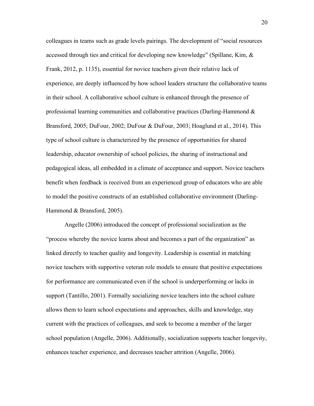colleagues in teams such as grade levels pairings. The development of "social resources accessed through ties and critical for developing new knowledge" (Spillane, Kim,  $\&$ Frank, 2012, p. 1135), essential for novice teachers given their relative lack of experience, are deeply influenced by how school leaders structure the collaborative teams in their school. A collaborative school culture is enhanced through the presence of professional learning communities and collaborative practices (Darling-Hammond  $\&$ Bransford, 2005; DuFour, 2002; DuFour & DuFour, 2003; Hoaglund et al., 2014). This type of school culture is characterized by the presence of opportunities for shared leadership, educator ownership of school policies, the sharing of instructional and pedagogical ideas, all embedded in a climate of acceptance and support. Novice teachers benefit when feedback is received from an experienced group of educators who are able to model the positive constructs of an established collaborative environment (Darling-Hammond & Bransford, 2005).

Angelle (2006) introduced the concept of professional socialization as the "process whereby the novice learns about and becomes a part of the organization" as linked directly to teacher quality and longevity. Leadership is essential in matching novice teachers with supportive veteran role models to ensure that positive expectations for performance are communicated even if the school is underperforming or lacks in support (Tantillo, 2001). Formally socializing novice teachers into the school culture allows them to learn school expectations and approaches, skills and knowledge, stay current with the practices of colleagues, and seek to become a member of the larger school population (Angelle, 2006). Additionally, socialization supports teacher longevity, enhances teacher experience, and decreases teacher attrition (Angelle, 2006).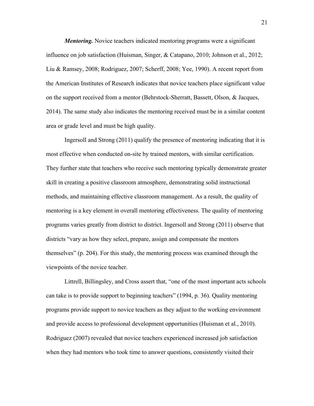*Mentoring.* Novice teachers indicated mentoring programs were a significant influence on job satisfaction (Huisman, Singer, & Catapano, 2010; Johnson et al., 2012; Liu & Ramsey, 2008; Rodriguez, 2007; Scherff, 2008; Yee, 1990). A recent report from the American Institutes of Research indicates that novice teachers place significant value on the support received from a mentor (Behrstock-Sherratt, Bassett, Olson, & Jacques, 2014). The same study also indicates the mentoring received must be in a similar content area or grade level and must be high quality.

Ingersoll and Strong (2011) qualify the presence of mentoring indicating that it is most effective when conducted on-site by trained mentors, with similar certification. They further state that teachers who receive such mentoring typically demonstrate greater skill in creating a positive classroom atmosphere, demonstrating solid instructional methods, and maintaining effective classroom management. As a result, the quality of mentoring is a key element in overall mentoring effectiveness. The quality of mentoring programs varies greatly from district to district. Ingersoll and Strong (2011) observe that districts "vary as how they select, prepare, assign and compensate the mentors themselves" (p. 204). For this study, the mentoring process was examined through the viewpoints of the novice teacher.

Littrell, Billingsley, and Cross assert that, "one of the most important acts schools can take is to provide support to beginning teachers" (1994, p. 36). Quality mentoring programs provide support to novice teachers as they adjust to the working environment and provide access to professional development opportunities (Huisman et al., 2010). Rodriguez (2007) revealed that novice teachers experienced increased job satisfaction when they had mentors who took time to answer questions, consistently visited their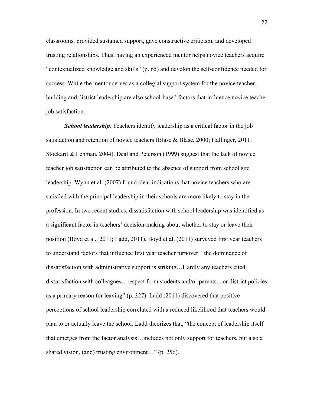classrooms, provided sustained support, gave constructive criticism, and developed trusting relationships. Thus, having an experienced mentor helps novice teachers acquire "contextualized knowledge and skills" (p. 65) and develop the self-confidence needed for success. While the mentor serves as a collegial support system for the novice teacher, building and district leadership are also school-based factors that influence novice teacher job satisfaction.

*School leadership.* Teachers identify leadership as a critical factor in the job satisfaction and retention of novice teachers (Blase & Blase, 2000; Hallinger, 2011; Stockard & Lehman, 2004). Deal and Peterson (1999) suggest that the lack of novice teacher job satisfaction can be attributed to the absence of support from school site leadership. Wynn et al. (2007) found clear indications that novice teachers who are satisfied with the principal leadership in their schools are more likely to stay in the profession. In two recent studies, dissatisfaction with school leadership was identified as a significant factor in teachers' decision-making about whether to stay or leave their position (Boyd et al., 2011; Ladd, 2011). Boyd et al. (2011) surveyed first year teachers to understand factors that influence first year teacher turnover: "the dominance of dissatisfaction with administrative support is striking…Hardly any teachers cited dissatisfaction with colleagues…respect from students and/or parents…or district policies as a primary reason for leaving" (p. 327). Ladd (2011) discovered that positive perceptions of school leadership correlated with a reduced likelihood that teachers would plan to or actually leave the school. Ladd theorizes that, "the concept of leadership itself that emerges from the factor analysis…includes not only support for teachers, but also a shared vision, (and) trusting environment..." (p. 256).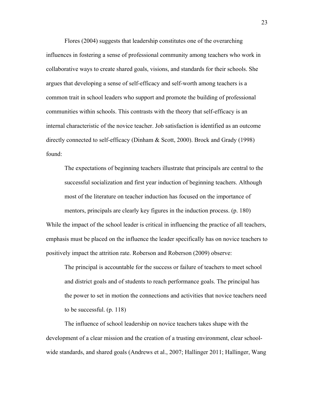Flores (2004) suggests that leadership constitutes one of the overarching influences in fostering a sense of professional community among teachers who work in collaborative ways to create shared goals, visions, and standards for their schools. She argues that developing a sense of self-efficacy and self-worth among teachers is a common trait in school leaders who support and promote the building of professional communities within schools. This contrasts with the theory that self-efficacy is an internal characteristic of the novice teacher. Job satisfaction is identified as an outcome directly connected to self-efficacy (Dinham & Scott, 2000). Brock and Grady (1998) found:

The expectations of beginning teachers illustrate that principals are central to the successful socialization and first year induction of beginning teachers. Although most of the literature on teacher induction has focused on the importance of mentors, principals are clearly key figures in the induction process. (p. 180) While the impact of the school leader is critical in influencing the practice of all teachers, emphasis must be placed on the influence the leader specifically has on novice teachers to positively impact the attrition rate. Roberson and Roberson (2009) observe:

The principal is accountable for the success or failure of teachers to meet school and district goals and of students to reach performance goals. The principal has the power to set in motion the connections and activities that novice teachers need to be successful. (p. 118)

The influence of school leadership on novice teachers takes shape with the development of a clear mission and the creation of a trusting environment, clear schoolwide standards, and shared goals (Andrews et al., 2007; Hallinger 2011; Hallinger, Wang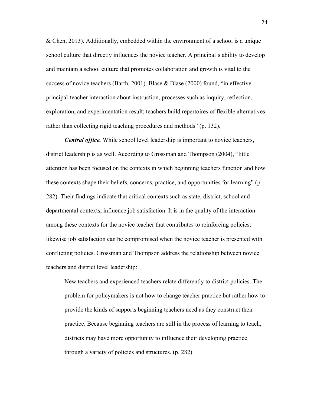& Chen, 2013). Additionally, embedded within the environment of a school is a unique school culture that directly influences the novice teacher. A principal's ability to develop and maintain a school culture that promotes collaboration and growth is vital to the success of novice teachers (Barth, 2001). Blase & Blase (2000) found, "in effective principal-teacher interaction about instruction, processes such as inquiry, reflection, exploration, and experimentation result; teachers build repertoires of flexible alternatives rather than collecting rigid teaching procedures and methods" (p. 132).

*Central office.* While school level leadership is important to novice teachers, district leadership is as well. According to Grossman and Thompson (2004), "little attention has been focused on the contexts in which beginning teachers function and how these contexts shape their beliefs, concerns, practice, and opportunities for learning" (p. 282). Their findings indicate that critical contexts such as state, district, school and departmental contexts, influence job satisfaction. It is in the quality of the interaction among these contexts for the novice teacher that contributes to reinforcing policies; likewise job satisfaction can be compromised when the novice teacher is presented with conflicting policies. Grossman and Thompson address the relationship between novice teachers and district level leadership:

New teachers and experienced teachers relate differently to district policies. The problem for policymakers is not how to change teacher practice but rather how to provide the kinds of supports beginning teachers need as they construct their practice. Because beginning teachers are still in the process of learning to teach, districts may have more opportunity to influence their developing practice through a variety of policies and structures. (p. 282)

24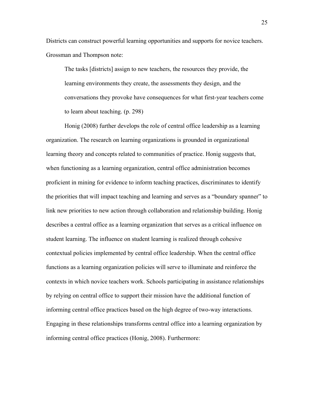Districts can construct powerful learning opportunities and supports for novice teachers. Grossman and Thompson note:

The tasks [districts] assign to new teachers, the resources they provide, the learning environments they create, the assessments they design, and the conversations they provoke have consequences for what first-year teachers come to learn about teaching. (p. 298)

Honig (2008) further develops the role of central office leadership as a learning organization. The research on learning organizations is grounded in organizational learning theory and concepts related to communities of practice. Honig suggests that, when functioning as a learning organization, central office administration becomes proficient in mining for evidence to inform teaching practices, discriminates to identify the priorities that will impact teaching and learning and serves as a "boundary spanner" to link new priorities to new action through collaboration and relationship building. Honig describes a central office as a learning organization that serves as a critical influence on student learning. The influence on student learning is realized through cohesive contextual policies implemented by central office leadership. When the central office functions as a learning organization policies will serve to illuminate and reinforce the contexts in which novice teachers work. Schools participating in assistance relationships by relying on central office to support their mission have the additional function of informing central office practices based on the high degree of two-way interactions. Engaging in these relationships transforms central office into a learning organization by informing central office practices (Honig, 2008). Furthermore: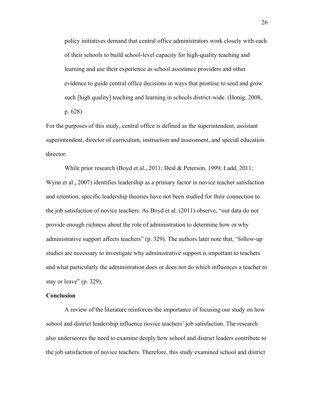policy initiatives demand that central office administrators work closely with each of their schools to build school-level capacity for high-quality teaching and learning and use their experience as school assistance providers and other evidence to guide central office decisions in ways that promise to seed and grow such [high quality] teaching and learning in schools district-wide. (Honig, 2008, p. 628)

For the purposes of this study, central office is defined as the superintendent, assistant superintendent, director of curriculum, instruction and assessment, and special education director.

While prior research (Boyd et al., 2011; Deal & Peterson, 1999; Ladd, 2011; Wynn et al., 2007) identifies leadership as a primary factor in novice teacher satisfaction and retention, specific leadership theories have not been studied for their connection to the job satisfaction of novice teachers. As Boyd et al. (2011) observe, "our data do not provide enough richness about the role of administration to determine how or why administrative support affects teachers" (p. 329). The authors later note that, "follow-up studies are necessary to investigate why administrative support is important to teachers and what particularly the administration does or does not do which influences a teacher to stay or leave" (p. 329).

### **Conclusion**

A review of the literature reinforces the importance of focusing our study on how school and district leadership influence novice teachers' job satisfaction. The research also underscores the need to examine deeply how school and district leaders contribute to the job satisfaction of novice teachers. Therefore, this study examined school and district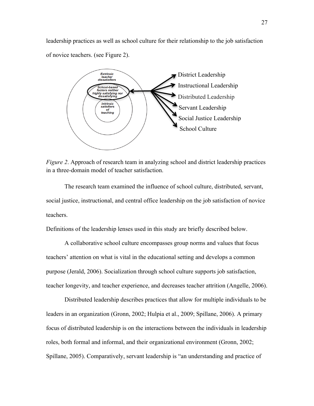leadership practices as well as school culture for their relationship to the job satisfaction of novice teachers. (see Figure 2).



*Figure 2*. Approach of research team in analyzing school and district leadership practices in a three-domain model of teacher satisfaction.

The research team examined the influence of school culture, distributed, servant, social justice, instructional, and central office leadership on the job satisfaction of novice teachers.

Definitions of the leadership lenses used in this study are briefly described below.

A collaborative school culture encompasses group norms and values that focus teachers' attention on what is vital in the educational setting and develops a common purpose (Jerald, 2006). Socialization through school culture supports job satisfaction, teacher longevity, and teacher experience, and decreases teacher attrition (Angelle, 2006).

Distributed leadership describes practices that allow for multiple individuals to be leaders in an organization (Gronn, 2002; Hulpia et al., 2009; Spillane, 2006). A primary focus of distributed leadership is on the interactions between the individuals in leadership roles, both formal and informal, and their organizational environment (Gronn, 2002; Spillane, 2005). Comparatively, servant leadership is "an understanding and practice of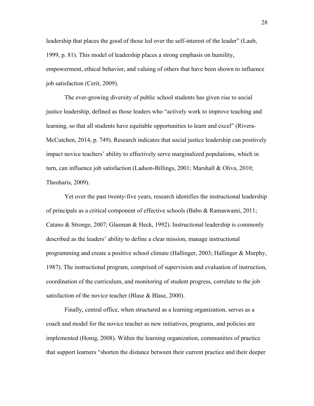leadership that places the good of those led over the self-interest of the leader" (Laub, 1999, p. 81). This model of leadership places a strong emphasis on humility, empowerment, ethical behavior, and valuing of others that have been shown to influence job satisfaction (Cerit, 2009).

The ever-growing diversity of public school students has given rise to social justice leadership, defined as those leaders who "actively work to improve teaching and learning, so that all students have equitable opportunities to learn and excel" (Rivera-McCutchen, 2014, p. 749). Research indicates that social justice leadership can positively impact novice teachers' ability to effectively serve marginalized populations, which in turn, can influence job satisfaction (Ladson-Billings, 2001; Marshall & Oliva, 2010; Theoharis, 2009).

Yet over the past twenty-five years, research identifies the instructional leadership of principals as a critical component of effective schools (Babo & Ramaswami, 2011; Catano & Stronge, 2007; Glasman & Heck, 1992). Instructional leadership is commonly described as the leaders' ability to define a clear mission, manage instructional programming and create a positive school climate (Hallinger, 2003; Hallinger & Murphy, 1987). The instructional program, comprised of supervision and evaluation of instruction, coordination of the curriculum, and monitoring of student progress, correlate to the job satisfaction of the novice teacher (Blase & Blase, 2000).

Finally, central office, when structured as a learning organization, serves as a coach and model for the novice teacher as new initiatives, programs, and policies are implemented (Honig, 2008). Within the learning organization, communities of practice that support learners "shorten the distance between their current practice and their deeper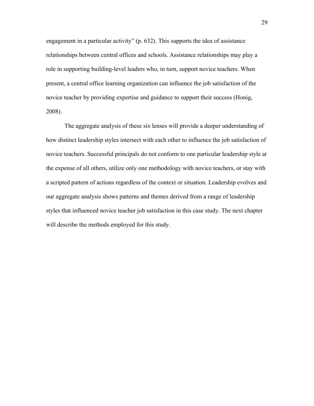engagement in a particular activity" (p. 632). This supports the idea of assistance relationships between central offices and schools. Assistance relationships may play a role in supporting building-level leaders who, in turn, support novice teachers. When present, a central office learning organization can influence the job satisfaction of the novice teacher by providing expertise and guidance to support their success (Honig, 2008).

The aggregate analysis of these six lenses will provide a deeper understanding of how distinct leadership styles intersect with each other to influence the job satisfaction of novice teachers. Successful principals do not conform to one particular leadership style at the expense of all others, utilize only one methodology with novice teachers, or stay with a scripted pattern of actions regardless of the context or situation. Leadership evolves and our aggregate analysis shows patterns and themes derived from a range of leadership styles that influenced novice teacher job satisfaction in this case study. The next chapter will describe the methods employed for this study.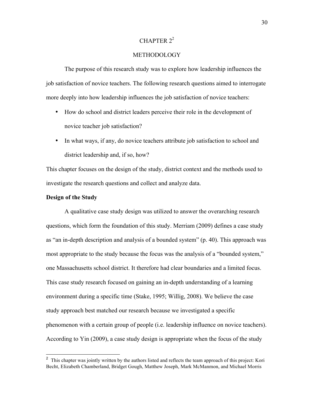# CHAPTER  $2^2$

# METHODOLOGY

The purpose of this research study was to explore how leadership influences the job satisfaction of novice teachers. The following research questions aimed to interrogate more deeply into how leadership influences the job satisfaction of novice teachers:

- How do school and district leaders perceive their role in the development of novice teacher job satisfaction?
- In what ways, if any, do novice teachers attribute job satisfaction to school and district leadership and, if so, how?

This chapter focuses on the design of the study, district context and the methods used to investigate the research questions and collect and analyze data.

## **Design of the Study**

A qualitative case study design was utilized to answer the overarching research questions, which form the foundation of this study. Merriam (2009) defines a case study as "an in-depth description and analysis of a bounded system" (p. 40). This approach was most appropriate to the study because the focus was the analysis of a "bounded system," one Massachusetts school district. It therefore had clear boundaries and a limited focus. This case study research focused on gaining an in-depth understanding of a learning environment during a specific time (Stake, 1995; Willig, 2008). We believe the case study approach best matched our research because we investigated a specific phenomenon with a certain group of people (i.e. leadership influence on novice teachers). According to Yin (2009), a case study design is appropriate when the focus of the study

<sup>&</sup>lt;sup>2</sup> This chapter was jointly written by the authors listed and reflects the team approach of this project: Kori Becht, Elizabeth Chamberland, Bridget Gough, Matthew Joseph, Mark McManmon, and Michael Morris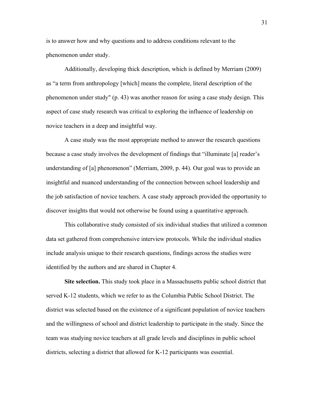is to answer how and why questions and to address conditions relevant to the phenomenon under study.

Additionally, developing thick description, which is defined by Merriam (2009) as "a term from anthropology [which] means the complete, literal description of the phenomenon under study" (p. 43) was another reason for using a case study design. This aspect of case study research was critical to exploring the influence of leadership on novice teachers in a deep and insightful way.

A case study was the most appropriate method to answer the research questions because a case study involves the development of findings that "illuminate [a] reader's understanding of [a] phenomenon" (Merriam, 2009, p. 44). Our goal was to provide an insightful and nuanced understanding of the connection between school leadership and the job satisfaction of novice teachers. A case study approach provided the opportunity to discover insights that would not otherwise be found using a quantitative approach.

This collaborative study consisted of six individual studies that utilized a common data set gathered from comprehensive interview protocols. While the individual studies include analysis unique to their research questions, findings across the studies were identified by the authors and are shared in Chapter 4.

**Site selection.** This study took place in a Massachusetts public school district that served K-12 students, which we refer to as the Columbia Public School District. The district was selected based on the existence of a significant population of novice teachers and the willingness of school and district leadership to participate in the study. Since the team was studying novice teachers at all grade levels and disciplines in public school districts, selecting a district that allowed for K-12 participants was essential.

31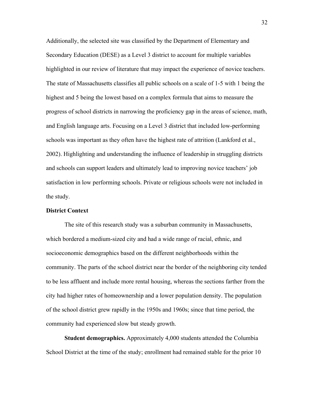Additionally, the selected site was classified by the Department of Elementary and Secondary Education (DESE) as a Level 3 district to account for multiple variables highlighted in our review of literature that may impact the experience of novice teachers. The state of Massachusetts classifies all public schools on a scale of 1-5 with 1 being the highest and 5 being the lowest based on a complex formula that aims to measure the progress of school districts in narrowing the proficiency gap in the areas of science, math, and English language arts. Focusing on a Level 3 district that included low-performing schools was important as they often have the highest rate of attrition (Lankford et al., 2002). Highlighting and understanding the influence of leadership in struggling districts and schools can support leaders and ultimately lead to improving novice teachers' job satisfaction in low performing schools. Private or religious schools were not included in the study.

## **District Context**

The site of this research study was a suburban community in Massachusetts, which bordered a medium-sized city and had a wide range of racial, ethnic, and socioeconomic demographics based on the different neighborhoods within the community. The parts of the school district near the border of the neighboring city tended to be less affluent and include more rental housing, whereas the sections farther from the city had higher rates of homeownership and a lower population density. The population of the school district grew rapidly in the 1950s and 1960s; since that time period, the community had experienced slow but steady growth.

**Student demographics.** Approximately 4,000 students attended the Columbia School District at the time of the study; enrollment had remained stable for the prior 10

32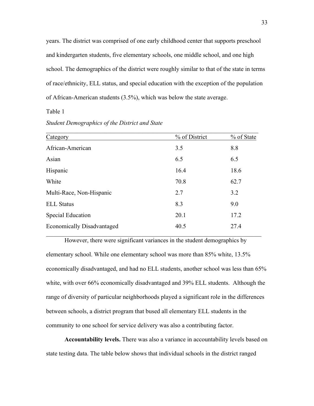years. The district was comprised of one early childhood center that supports preschool and kindergarten students, five elementary schools, one middle school, and one high school. The demographics of the district were roughly similar to that of the state in terms of race/ethnicity, ELL status, and special education with the exception of the population of African-American students (3.5%), which was below the state average.

Table 1

*Student Demographics of the District and State*

| Category                          | % of District | % of State |
|-----------------------------------|---------------|------------|
| African-American                  | 3.5           | 8.8        |
| Asian                             | 6.5           | 6.5        |
| Hispanic                          | 16.4          | 18.6       |
| White                             | 70.8          | 62.7       |
| Multi-Race, Non-Hispanic          | 2.7           | 3.2        |
| <b>ELL Status</b>                 | 8.3           | 9.0        |
| <b>Special Education</b>          | 20.1          | 17.2       |
| <b>Economically Disadvantaged</b> | 40.5          | 27.4       |

However, there were significant variances in the student demographics by elementary school. While one elementary school was more than 85% white, 13.5% economically disadvantaged, and had no ELL students, another school was less than 65% white, with over 66% economically disadvantaged and 39% ELL students. Although the range of diversity of particular neighborhoods played a significant role in the differences between schools, a district program that bused all elementary ELL students in the community to one school for service delivery was also a contributing factor.

**Accountability levels.** There was also a variance in accountability levels based on state testing data. The table below shows that individual schools in the district ranged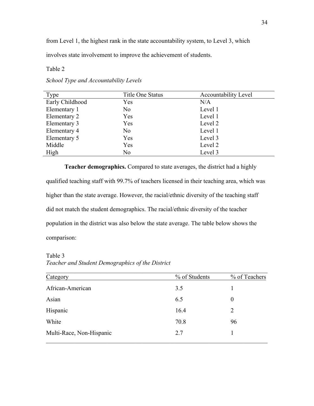from Level 1, the highest rank in the state accountability system, to Level 3, which

involves state involvement to improve the achievement of students.

Table 2

| Type            | <b>Title One Status</b> | <b>Accountability Level</b> |
|-----------------|-------------------------|-----------------------------|
| Early Childhood | Yes                     | N/A                         |
| Elementary 1    | N <sub>0</sub>          | Level 1                     |
| Elementary 2    | Yes                     | Level 1                     |
| Elementary 3    | Yes                     | Level 2                     |
| Elementary 4    | N <sub>0</sub>          | Level 1                     |
| Elementary 5    | Yes                     | Level 3                     |
| Middle          | Yes                     | Level 2                     |
| High            | N <sub>0</sub>          | Level 3                     |

*School Type and Accountability Levels* 

**Teacher demographics.** Compared to state averages, the district had a highly qualified teaching staff with 99.7% of teachers licensed in their teaching area, which was higher than the state average. However, the racial/ethnic diversity of the teaching staff did not match the student demographics. The racial/ethnic diversity of the teacher population in the district was also below the state average. The table below shows the comparison:

Table 3

*Teacher and Student Demographics of the District*

| Category                 | % of Students | % of Teachers |
|--------------------------|---------------|---------------|
| African-American         | 3.5           |               |
| Asian                    | 6.5           | $\theta$      |
| Hispanic                 | 16.4          | 2             |
| White                    | 70.8          | 96            |
| Multi-Race, Non-Hispanic | 2.7           |               |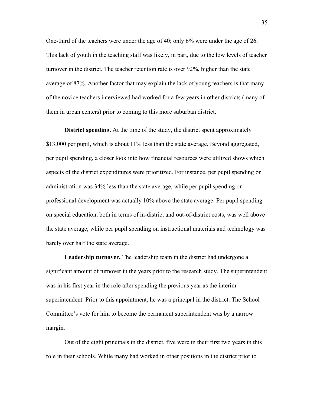One-third of the teachers were under the age of 40; only 6% were under the age of 26. This lack of youth in the teaching staff was likely, in part, due to the low levels of teacher turnover in the district. The teacher retention rate is over 92%, higher than the state average of 87%. Another factor that may explain the lack of young teachers is that many of the novice teachers interviewed had worked for a few years in other districts (many of them in urban centers) prior to coming to this more suburban district.

**District spending.** At the time of the study, the district spent approximately \$13,000 per pupil, which is about 11% less than the state average. Beyond aggregated, per pupil spending, a closer look into how financial resources were utilized shows which aspects of the district expenditures were prioritized. For instance, per pupil spending on administration was 34% less than the state average, while per pupil spending on professional development was actually 10% above the state average. Per pupil spending on special education, both in terms of in-district and out-of-district costs, was well above the state average, while per pupil spending on instructional materials and technology was barely over half the state average.

**Leadership turnover.** The leadership team in the district had undergone a significant amount of turnover in the years prior to the research study. The superintendent was in his first year in the role after spending the previous year as the interim superintendent. Prior to this appointment, he was a principal in the district. The School Committee's vote for him to become the permanent superintendent was by a narrow margin.

Out of the eight principals in the district, five were in their first two years in this role in their schools. While many had worked in other positions in the district prior to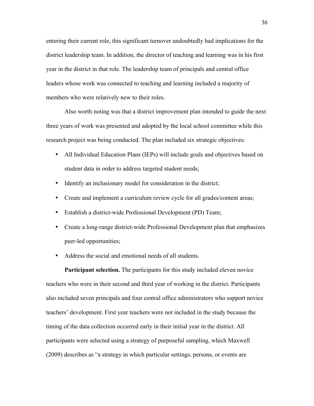entering their current role, this significant turnover undoubtedly had implications for the district leadership team. In addition, the director of teaching and learning was in his first year in the district in that role. The leadership team of principals and central office leaders whose work was connected to teaching and learning included a majority of members who were relatively new to their roles.

Also worth noting was that a district improvement plan intended to guide the next three years of work was presented and adopted by the local school committee while this research project was being conducted. The plan included six strategic objectives:

- All Individual Education Plans (IEPs) will include goals and objectives based on student data in order to address targeted student needs;
- Identify an inclusionary model for consideration in the district;
- Create and implement a curriculum review cycle for all grades/content areas;
- Establish a district-wide Professional Development (PD) Team;
- Create a long-range district-wide Professional Development plan that emphasizes peer-led opportunities;
- Address the social and emotional needs of all students.

**Participant selection.** The participants for this study included eleven novice teachers who were in their second and third year of working in the district. Participants also included seven principals and four central office administrators who support novice teachers' development. First year teachers were not included in the study because the timing of the data collection occurred early in their initial year in the district. All participants were selected using a strategy of purposeful sampling, which Maxwell (2009) describes as "a strategy in which particular settings, persons, or events are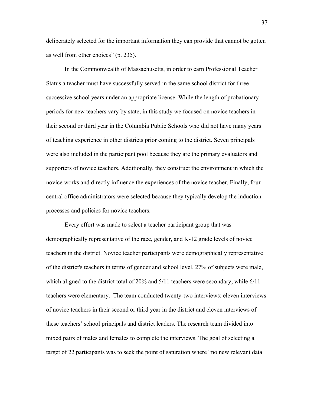deliberately selected for the important information they can provide that cannot be gotten as well from other choices" (p. 235).

In the Commonwealth of Massachusetts, in order to earn Professional Teacher Status a teacher must have successfully served in the same school district for three successive school years under an appropriate license. While the length of probationary periods for new teachers vary by state, in this study we focused on novice teachers in their second or third year in the Columbia Public Schools who did not have many years of teaching experience in other districts prior coming to the district. Seven principals were also included in the participant pool because they are the primary evaluators and supporters of novice teachers. Additionally, they construct the environment in which the novice works and directly influence the experiences of the novice teacher. Finally, four central office administrators were selected because they typically develop the induction processes and policies for novice teachers.

Every effort was made to select a teacher participant group that was demographically representative of the race, gender, and K-12 grade levels of novice teachers in the district. Novice teacher participants were demographically representative of the district's teachers in terms of gender and school level. 27% of subjects were male, which aligned to the district total of 20% and 5/11 teachers were secondary, while 6/11 teachers were elementary. The team conducted twenty-two interviews: eleven interviews of novice teachers in their second or third year in the district and eleven interviews of these teachers' school principals and district leaders. The research team divided into mixed pairs of males and females to complete the interviews. The goal of selecting a target of 22 participants was to seek the point of saturation where "no new relevant data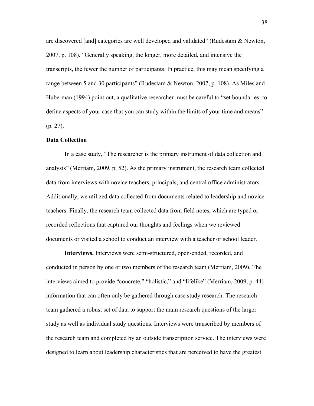are discovered [and] categories are well developed and validated" (Rudestam & Newton, 2007, p. 108). "Generally speaking, the longer, more detailed, and intensive the transcripts, the fewer the number of participants. In practice, this may mean specifying a range between 5 and 30 participants" (Rudestam & Newton, 2007, p. 108). As Miles and Huberman (1994) point out, a qualitative researcher must be careful to "set boundaries: to define aspects of your case that you can study within the limits of your time and means" (p. 27).

### **Data Collection**

In a case study, "The researcher is the primary instrument of data collection and analysis" (Merriam, 2009, p. 52). As the primary instrument, the research team collected data from interviews with novice teachers, principals, and central office administrators. Additionally, we utilized data collected from documents related to leadership and novice teachers. Finally, the research team collected data from field notes, which are typed or recorded reflections that captured our thoughts and feelings when we reviewed documents or visited a school to conduct an interview with a teacher or school leader.

**Interviews.** Interviews were semi-structured, open-ended, recorded, and conducted in person by one or two members of the research team (Merriam, 2009). The interviews aimed to provide "concrete," "holistic," and "lifelike" (Merriam, 2009, p. 44) information that can often only be gathered through case study research. The research team gathered a robust set of data to support the main research questions of the larger study as well as individual study questions. Interviews were transcribed by members of the research team and completed by an outside transcription service. The interviews were designed to learn about leadership characteristics that are perceived to have the greatest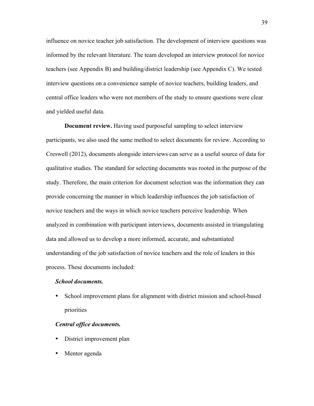influence on novice teacher job satisfaction. The development of interview questions was informed by the relevant literature. The team developed an interview protocol for novice teachers (see Appendix B) and building/district leadership (see Appendix C). We tested interview questions on a convenience sample of novice teachers, building leaders, and central office leaders who were not members of the study to ensure questions were clear and yielded useful data.

**Document review.** Having used purposeful sampling to select interview participants, we also used the same method to select documents for review. According to Creswell (2012), documents alongside interviews can serve as a useful source of data for qualitative studies. The standard for selecting documents was rooted in the purpose of the study. Therefore, the main criterion for document selection was the information they can provide concerning the manner in which leadership influences the job satisfaction of novice teachers and the ways in which novice teachers perceive leadership. When analyzed in combination with participant interviews, documents assisted in triangulating data and allowed us to develop a more informed, accurate, and substantiated understanding of the job satisfaction of novice teachers and the role of leaders in this process. These documents included:

#### *School documents.*

• School improvement plans for alignment with district mission and school-based priorities

# *Central office documents.*

- District improvement plan
- Mentor agenda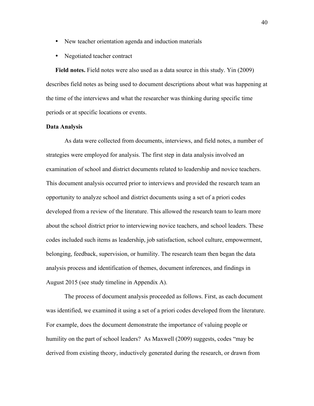- New teacher orientation agenda and induction materials
- Negotiated teacher contract

**Field notes.** Field notes were also used as a data source in this study. Yin (2009) describes field notes as being used to document descriptions about what was happening at the time of the interviews and what the researcher was thinking during specific time periods or at specific locations or events.

## **Data Analysis**

As data were collected from documents, interviews, and field notes, a number of strategies were employed for analysis. The first step in data analysis involved an examination of school and district documents related to leadership and novice teachers. This document analysis occurred prior to interviews and provided the research team an opportunity to analyze school and district documents using a set of a priori codes developed from a review of the literature. This allowed the research team to learn more about the school district prior to interviewing novice teachers, and school leaders. These codes included such items as leadership, job satisfaction, school culture, empowerment, belonging, feedback, supervision, or humility. The research team then began the data analysis process and identification of themes, document inferences, and findings in August 2015 (see study timeline in Appendix A).

The process of document analysis proceeded as follows. First, as each document was identified, we examined it using a set of a priori codes developed from the literature. For example, does the document demonstrate the importance of valuing people or humility on the part of school leaders? As Maxwell (2009) suggests, codes "may be derived from existing theory, inductively generated during the research, or drawn from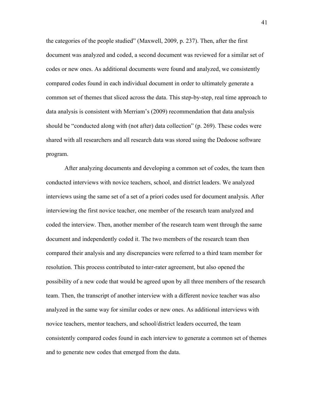the categories of the people studied" (Maxwell, 2009, p. 237). Then, after the first document was analyzed and coded, a second document was reviewed for a similar set of codes or new ones. As additional documents were found and analyzed, we consistently compared codes found in each individual document in order to ultimately generate a common set of themes that sliced across the data. This step-by-step, real time approach to data analysis is consistent with Merriam's (2009) recommendation that data analysis should be "conducted along with (not after) data collection" (p. 269). These codes were shared with all researchers and all research data was stored using the Dedoose software program.

After analyzing documents and developing a common set of codes, the team then conducted interviews with novice teachers, school, and district leaders. We analyzed interviews using the same set of a set of a priori codes used for document analysis. After interviewing the first novice teacher, one member of the research team analyzed and coded the interview. Then, another member of the research team went through the same document and independently coded it. The two members of the research team then compared their analysis and any discrepancies were referred to a third team member for resolution. This process contributed to inter-rater agreement, but also opened the possibility of a new code that would be agreed upon by all three members of the research team. Then, the transcript of another interview with a different novice teacher was also analyzed in the same way for similar codes or new ones. As additional interviews with novice teachers, mentor teachers, and school/district leaders occurred, the team consistently compared codes found in each interview to generate a common set of themes and to generate new codes that emerged from the data.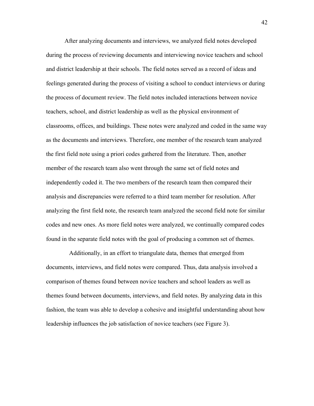After analyzing documents and interviews, we analyzed field notes developed during the process of reviewing documents and interviewing novice teachers and school and district leadership at their schools. The field notes served as a record of ideas and feelings generated during the process of visiting a school to conduct interviews or during the process of document review. The field notes included interactions between novice teachers, school, and district leadership as well as the physical environment of classrooms, offices, and buildings. These notes were analyzed and coded in the same way as the documents and interviews. Therefore, one member of the research team analyzed the first field note using a priori codes gathered from the literature. Then, another member of the research team also went through the same set of field notes and independently coded it. The two members of the research team then compared their analysis and discrepancies were referred to a third team member for resolution. After analyzing the first field note, the research team analyzed the second field note for similar codes and new ones. As more field notes were analyzed, we continually compared codes found in the separate field notes with the goal of producing a common set of themes.

Additionally, in an effort to triangulate data, themes that emerged from documents, interviews, and field notes were compared. Thus, data analysis involved a comparison of themes found between novice teachers and school leaders as well as themes found between documents, interviews, and field notes. By analyzing data in this fashion, the team was able to develop a cohesive and insightful understanding about how leadership influences the job satisfaction of novice teachers (see Figure 3).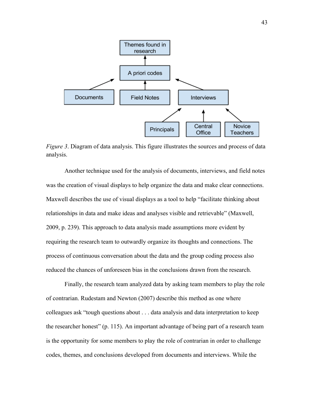

*Figure 3*. Diagram of data analysis. This figure illustrates the sources and process of data analysis.

Another technique used for the analysis of documents, interviews, and field notes was the creation of visual displays to help organize the data and make clear connections. Maxwell describes the use of visual displays as a tool to help "facilitate thinking about relationships in data and make ideas and analyses visible and retrievable" (Maxwell, 2009, p. 239). This approach to data analysis made assumptions more evident by requiring the research team to outwardly organize its thoughts and connections. The process of continuous conversation about the data and the group coding process also reduced the chances of unforeseen bias in the conclusions drawn from the research.

Finally, the research team analyzed data by asking team members to play the role of contrarian. Rudestam and Newton (2007) describe this method as one where colleagues ask "tough questions about . . . data analysis and data interpretation to keep the researcher honest" (p. 115). An important advantage of being part of a research team is the opportunity for some members to play the role of contrarian in order to challenge codes, themes, and conclusions developed from documents and interviews. While the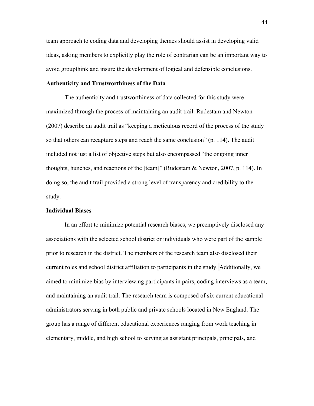team approach to coding data and developing themes should assist in developing valid ideas, asking members to explicitly play the role of contrarian can be an important way to avoid groupthink and insure the development of logical and defensible conclusions.

## **Authenticity and Trustworthiness of the Data**

The authenticity and trustworthiness of data collected for this study were maximized through the process of maintaining an audit trail. Rudestam and Newton (2007) describe an audit trail as "keeping a meticulous record of the process of the study so that others can recapture steps and reach the same conclusion" (p. 114). The audit included not just a list of objective steps but also encompassed "the ongoing inner thoughts, hunches, and reactions of the [team]" (Rudestam & Newton, 2007, p. 114). In doing so, the audit trail provided a strong level of transparency and credibility to the study.

## **Individual Biases**

In an effort to minimize potential research biases, we preemptively disclosed any associations with the selected school district or individuals who were part of the sample prior to research in the district. The members of the research team also disclosed their current roles and school district affiliation to participants in the study. Additionally, we aimed to minimize bias by interviewing participants in pairs, coding interviews as a team, and maintaining an audit trail. The research team is composed of six current educational administrators serving in both public and private schools located in New England. The group has a range of different educational experiences ranging from work teaching in elementary, middle, and high school to serving as assistant principals, principals, and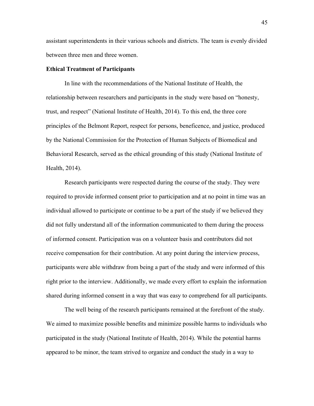assistant superintendents in their various schools and districts. The team is evenly divided between three men and three women.

## **Ethical Treatment of Participants**

In line with the recommendations of the National Institute of Health, the relationship between researchers and participants in the study were based on "honesty, trust, and respect" (National Institute of Health, 2014). To this end, the three core principles of the Belmont Report, respect for persons, beneficence, and justice, produced by the National Commission for the Protection of Human Subjects of Biomedical and Behavioral Research, served as the ethical grounding of this study (National Institute of Health, 2014).

Research participants were respected during the course of the study. They were required to provide informed consent prior to participation and at no point in time was an individual allowed to participate or continue to be a part of the study if we believed they did not fully understand all of the information communicated to them during the process of informed consent. Participation was on a volunteer basis and contributors did not receive compensation for their contribution. At any point during the interview process, participants were able withdraw from being a part of the study and were informed of this right prior to the interview. Additionally, we made every effort to explain the information shared during informed consent in a way that was easy to comprehend for all participants.

The well being of the research participants remained at the forefront of the study. We aimed to maximize possible benefits and minimize possible harms to individuals who participated in the study (National Institute of Health, 2014). While the potential harms appeared to be minor, the team strived to organize and conduct the study in a way to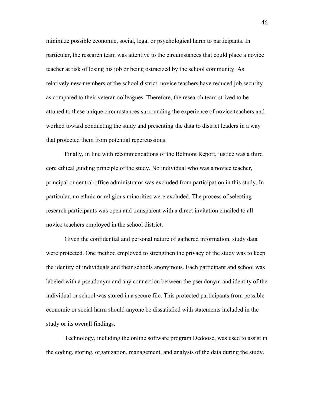minimize possible economic, social, legal or psychological harm to participants. In particular, the research team was attentive to the circumstances that could place a novice teacher at risk of losing his job or being ostracized by the school community. As relatively new members of the school district, novice teachers have reduced job security as compared to their veteran colleagues. Therefore, the research team strived to be attuned to these unique circumstances surrounding the experience of novice teachers and worked toward conducting the study and presenting the data to district leaders in a way that protected them from potential repercussions.

Finally, in line with recommendations of the Belmont Report, justice was a third core ethical guiding principle of the study. No individual who was a novice teacher, principal or central office administrator was excluded from participation in this study. In particular, no ethnic or religious minorities were excluded. The process of selecting research participants was open and transparent with a direct invitation emailed to all novice teachers employed in the school district.

Given the confidential and personal nature of gathered information, study data were protected. One method employed to strengthen the privacy of the study was to keep the identity of individuals and their schools anonymous. Each participant and school was labeled with a pseudonym and any connection between the pseudonym and identity of the individual or school was stored in a secure file. This protected participants from possible economic or social harm should anyone be dissatisfied with statements included in the study or its overall findings.

Technology, including the online software program Dedoose, was used to assist in the coding, storing, organization, management, and analysis of the data during the study.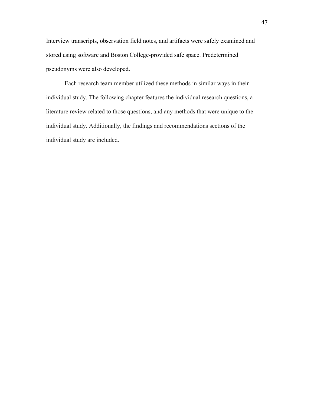Interview transcripts, observation field notes, and artifacts were safely examined and stored using software and Boston College-provided safe space. Predetermined pseudonyms were also developed.

Each research team member utilized these methods in similar ways in their individual study. The following chapter features the individual research questions, a literature review related to those questions, and any methods that were unique to the individual study. Additionally, the findings and recommendations sections of the individual study are included.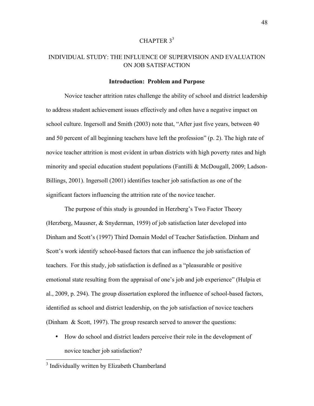# CHAPTER  $3^3$

# INDIVIDUAL STUDY: THE INFLUENCE OF SUPERVISION AND EVALUATION ON JOB SATISFACTION

### **Introduction: Problem and Purpose**

Novice teacher attrition rates challenge the ability of school and district leadership to address student achievement issues effectively and often have a negative impact on school culture. Ingersoll and Smith (2003) note that, "After just five years, between 40 and 50 percent of all beginning teachers have left the profession" (p. 2). The high rate of novice teacher attrition is most evident in urban districts with high poverty rates and high minority and special education student populations (Fantilli & McDougall, 2009; Ladson-Billings, 2001). Ingersoll (2001) identifies teacher job satisfaction as one of the significant factors influencing the attrition rate of the novice teacher.

The purpose of this study is grounded in Herzberg's Two Factor Theory (Herzberg, Mausner, & Snyderman, 1959) of job satisfaction later developed into Dinham and Scott's (1997) Third Domain Model of Teacher Satisfaction. Dinham and Scott's work identify school-based factors that can influence the job satisfaction of teachers. For this study, job satisfaction is defined as a "pleasurable or positive emotional state resulting from the appraisal of one's job and job experience" (Hulpia et al., 2009, p. 294). The group dissertation explored the influence of school-based factors, identified as school and district leadership, on the job satisfaction of novice teachers (Dinham & Scott, 1997). The group research served to answer the questions:

• How do school and district leaders perceive their role in the development of novice teacher job satisfaction?

<sup>&</sup>lt;sup>3</sup> Individually written by Elizabeth Chamberland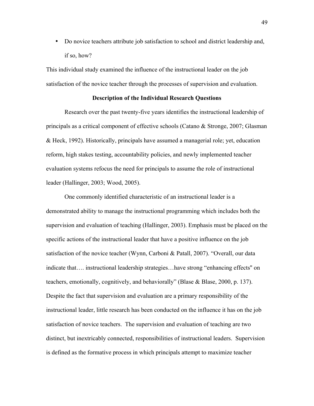• Do novice teachers attribute job satisfaction to school and district leadership and, if so, how?

This individual study examined the influence of the instructional leader on the job satisfaction of the novice teacher through the processes of supervision and evaluation.

### **Description of the Individual Research Questions**

Research over the past twenty-five years identifies the instructional leadership of principals as a critical component of effective schools (Catano & Stronge, 2007; Glasman & Heck, 1992). Historically, principals have assumed a managerial role; yet, education reform, high stakes testing, accountability policies, and newly implemented teacher evaluation systems refocus the need for principals to assume the role of instructional leader (Hallinger, 2003; Wood, 2005).

One commonly identified characteristic of an instructional leader is a demonstrated ability to manage the instructional programming which includes both the supervision and evaluation of teaching (Hallinger, 2003). Emphasis must be placed on the specific actions of the instructional leader that have a positive influence on the job satisfaction of the novice teacher (Wynn, Carboni & Patall, 2007). "Overall, our data indicate that…. instructional leadership strategies…have strong "enhancing effects'' on teachers, emotionally, cognitively, and behaviorally" (Blase & Blase, 2000, p. 137). Despite the fact that supervision and evaluation are a primary responsibility of the instructional leader, little research has been conducted on the influence it has on the job satisfaction of novice teachers. The supervision and evaluation of teaching are two distinct, but inextricably connected, responsibilities of instructional leaders. Supervision is defined as the formative process in which principals attempt to maximize teacher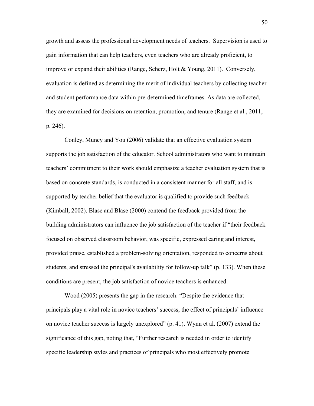growth and assess the professional development needs of teachers. Supervision is used to gain information that can help teachers, even teachers who are already proficient, to improve or expand their abilities (Range, Scherz, Holt & Young, 2011). Conversely, evaluation is defined as determining the merit of individual teachers by collecting teacher and student performance data within pre-determined timeframes. As data are collected, they are examined for decisions on retention, promotion, and tenure (Range et al., 2011, p. 246).

Conley, Muncy and You (2006) validate that an effective evaluation system supports the job satisfaction of the educator. School administrators who want to maintain teachers' commitment to their work should emphasize a teacher evaluation system that is based on concrete standards, is conducted in a consistent manner for all staff, and is supported by teacher belief that the evaluator is qualified to provide such feedback (Kimball, 2002). Blase and Blase (2000) contend the feedback provided from the building administrators can influence the job satisfaction of the teacher if "their feedback focused on observed classroom behavior, was specific, expressed caring and interest, provided praise, established a problem-solving orientation, responded to concerns about students, and stressed the principal's availability for follow-up talk" (p. 133). When these conditions are present, the job satisfaction of novice teachers is enhanced.

Wood (2005) presents the gap in the research: "Despite the evidence that principals play a vital role in novice teachers' success, the effect of principals' influence on novice teacher success is largely unexplored" (p. 41). Wynn et al. (2007) extend the significance of this gap, noting that, "Further research is needed in order to identify specific leadership styles and practices of principals who most effectively promote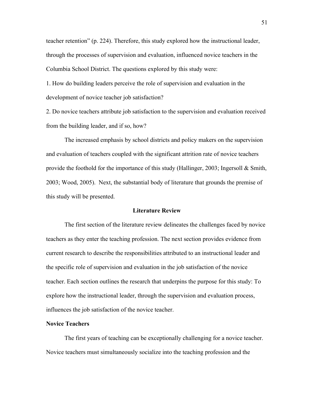teacher retention" (p. 224). Therefore, this study explored how the instructional leader, through the processes of supervision and evaluation, influenced novice teachers in the Columbia School District. The questions explored by this study were:

1. How do building leaders perceive the role of supervision and evaluation in the development of novice teacher job satisfaction?

2. Do novice teachers attribute job satisfaction to the supervision and evaluation received from the building leader, and if so, how?

The increased emphasis by school districts and policy makers on the supervision and evaluation of teachers coupled with the significant attrition rate of novice teachers provide the foothold for the importance of this study (Hallinger, 2003; Ingersoll & Smith, 2003; Wood, 2005). Next, the substantial body of literature that grounds the premise of this study will be presented.

## **Literature Review**

The first section of the literature review delineates the challenges faced by novice teachers as they enter the teaching profession. The next section provides evidence from current research to describe the responsibilities attributed to an instructional leader and the specific role of supervision and evaluation in the job satisfaction of the novice teacher. Each section outlines the research that underpins the purpose for this study: To explore how the instructional leader, through the supervision and evaluation process, influences the job satisfaction of the novice teacher.

### **Novice Teachers**

The first years of teaching can be exceptionally challenging for a novice teacher. Novice teachers must simultaneously socialize into the teaching profession and the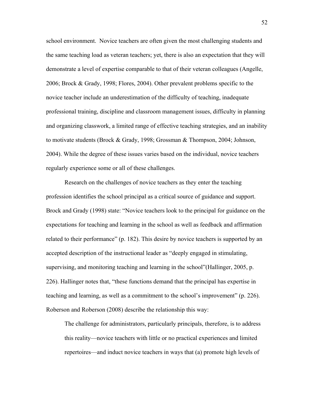school environment. Novice teachers are often given the most challenging students and the same teaching load as veteran teachers; yet, there is also an expectation that they will demonstrate a level of expertise comparable to that of their veteran colleagues (Angelle, 2006; Brock & Grady, 1998; Flores, 2004). Other prevalent problems specific to the novice teacher include an underestimation of the difficulty of teaching, inadequate professional training, discipline and classroom management issues, difficulty in planning and organizing classwork, a limited range of effective teaching strategies, and an inability to motivate students (Brock & Grady, 1998; Grossman & Thompson, 2004; Johnson, 2004). While the degree of these issues varies based on the individual, novice teachers regularly experience some or all of these challenges.

Research on the challenges of novice teachers as they enter the teaching profession identifies the school principal as a critical source of guidance and support. Brock and Grady (1998) state: "Novice teachers look to the principal for guidance on the expectations for teaching and learning in the school as well as feedback and affirmation related to their performance" (p. 182). This desire by novice teachers is supported by an accepted description of the instructional leader as "deeply engaged in stimulating, supervising, and monitoring teaching and learning in the school"(Hallinger, 2005, p. 226). Hallinger notes that, "these functions demand that the principal has expertise in teaching and learning, as well as a commitment to the school's improvement" (p. 226). Roberson and Roberson (2008) describe the relationship this way:

The challenge for administrators, particularly principals, therefore, is to address this reality—novice teachers with little or no practical experiences and limited repertoires—and induct novice teachers in ways that (a) promote high levels of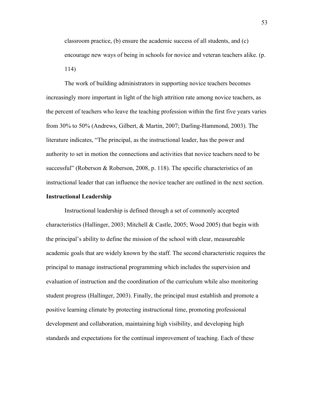classroom practice, (b) ensure the academic success of all students, and (c) encourage new ways of being in schools for novice and veteran teachers alike. (p. 114)

The work of building administrators in supporting novice teachers becomes increasingly more important in light of the high attrition rate among novice teachers, as the percent of teachers who leave the teaching profession within the first five years varies from 30% to 50% (Andrews, Gilbert, & Martin, 2007; Darling-Hammond, 2003). The literature indicates, "The principal, as the instructional leader, has the power and authority to set in motion the connections and activities that novice teachers need to be successful" (Roberson & Roberson, 2008, p. 118). The specific characteristics of an instructional leader that can influence the novice teacher are outlined in the next section.

### **Instructional Leadership**

Instructional leadership is defined through a set of commonly accepted characteristics (Hallinger, 2003; Mitchell & Castle, 2005; Wood 2005) that begin with the principal's ability to define the mission of the school with clear, measureable academic goals that are widely known by the staff. The second characteristic requires the principal to manage instructional programming which includes the supervision and evaluation of instruction and the coordination of the curriculum while also monitoring student progress (Hallinger, 2003). Finally, the principal must establish and promote a positive learning climate by protecting instructional time, promoting professional development and collaboration, maintaining high visibility, and developing high standards and expectations for the continual improvement of teaching. Each of these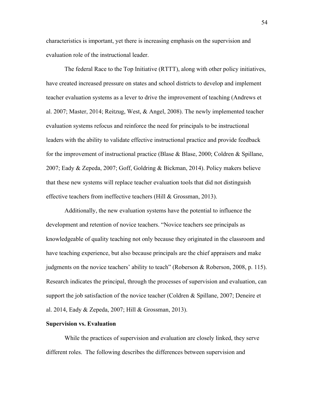characteristics is important, yet there is increasing emphasis on the supervision and evaluation role of the instructional leader.

The federal Race to the Top Initiative (RTTT), along with other policy initiatives, have created increased pressure on states and school districts to develop and implement teacher evaluation systems as a lever to drive the improvement of teaching (Andrews et al. 2007; Master, 2014; Reitzug, West, & Angel, 2008). The newly implemented teacher evaluation systems refocus and reinforce the need for principals to be instructional leaders with the ability to validate effective instructional practice and provide feedback for the improvement of instructional practice (Blase  $\&$  Blase, 2000; Coldren  $\&$  Spillane, 2007; Eady & Zepeda, 2007; Goff, Goldring & Bickman, 2014). Policy makers believe that these new systems will replace teacher evaluation tools that did not distinguish effective teachers from ineffective teachers (Hill & Grossman, 2013).

Additionally, the new evaluation systems have the potential to influence the development and retention of novice teachers. "Novice teachers see principals as knowledgeable of quality teaching not only because they originated in the classroom and have teaching experience, but also because principals are the chief appraisers and make judgments on the novice teachers' ability to teach" (Roberson & Roberson, 2008, p. 115). Research indicates the principal, through the processes of supervision and evaluation, can support the job satisfaction of the novice teacher (Coldren & Spillane, 2007; Deneire et al. 2014, Eady & Zepeda, 2007; Hill & Grossman, 2013).

### **Supervision vs. Evaluation**

While the practices of supervision and evaluation are closely linked, they serve different roles. The following describes the differences between supervision and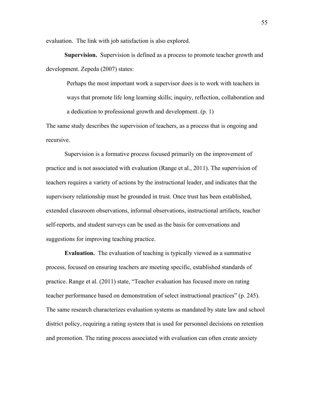evaluation. The link with job satisfaction is also explored.

**Supervision.** Supervision is defined as a process to promote teacher growth and development. Zepeda (2007) states:

Perhaps the most important work a supervisor does is to work with teachers in ways that promote life long learning skills; inquiry, reflection, collaboration and a dedication to professional growth and development. (p. 1)

The same study describes the supervision of teachers, as a process that is ongoing and recursive.

Supervision is a formative process focused primarily on the improvement of practice and is not associated with evaluation (Range et al., 2011). The supervision of teachers requires a variety of actions by the instructional leader, and indicates that the supervisory relationship must be grounded in trust. Once trust has been established, extended classroom observations, informal observations, instructional artifacts, teacher self-reports, and student surveys can be used as the basis for conversations and suggestions for improving teaching practice.

**Evaluation.** The evaluation of teaching is typically viewed as a summative process, focused on ensuring teachers are meeting specific, established standards of practice. Range et al. (2011) state, "Teacher evaluation has focused more on rating teacher performance based on demonstration of select instructional practices" (p. 245). The same research characterizes evaluation systems as mandated by state law and school district policy, requiring a rating system that is used for personnel decisions on retention and promotion. The rating process associated with evaluation can often create anxiety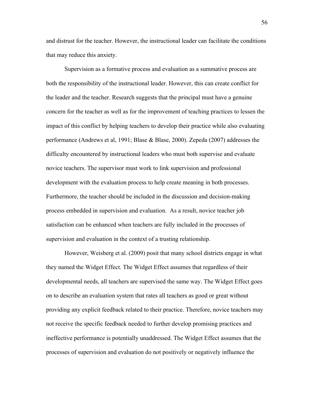and distrust for the teacher. However, the instructional leader can facilitate the conditions that may reduce this anxiety.

Supervision as a formative process and evaluation as a summative process are both the responsibility of the instructional leader. However, this can create conflict for the leader and the teacher. Research suggests that the principal must have a genuine concern for the teacher as well as for the improvement of teaching practices to lessen the impact of this conflict by helping teachers to develop their practice while also evaluating performance (Andrews et al, 1991; Blase & Blase, 2000). Zepeda (2007) addresses the difficulty encountered by instructional leaders who must both supervise and evaluate novice teachers. The supervisor must work to link supervision and professional development with the evaluation process to help create meaning in both processes. Furthermore, the teacher should be included in the discussion and decision-making process embedded in supervision and evaluation. As a result, novice teacher job satisfaction can be enhanced when teachers are fully included in the processes of supervision and evaluation in the context of a trusting relationship.

However, Weisberg et al. (2009) posit that many school districts engage in what they named the Widget Effect. The Widget Effect assumes that regardless of their developmental needs, all teachers are supervised the same way. The Widget Effect goes on to describe an evaluation system that rates all teachers as good or great without providing any explicit feedback related to their practice. Therefore, novice teachers may not receive the specific feedback needed to further develop promising practices and ineffective performance is potentially unaddressed. The Widget Effect assumes that the processes of supervision and evaluation do not positively or negatively influence the

56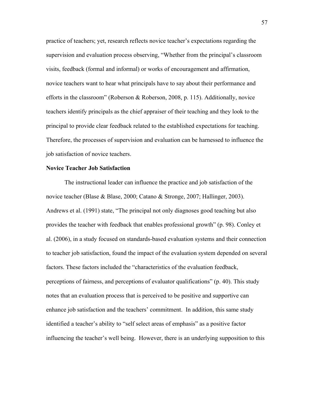practice of teachers; yet, research reflects novice teacher's expectations regarding the supervision and evaluation process observing, "Whether from the principal's classroom visits, feedback (formal and informal) or works of encouragement and affirmation, novice teachers want to hear what principals have to say about their performance and efforts in the classroom" (Roberson & Roberson, 2008, p. 115). Additionally, novice teachers identify principals as the chief appraiser of their teaching and they look to the principal to provide clear feedback related to the established expectations for teaching. Therefore, the processes of supervision and evaluation can be harnessed to influence the job satisfaction of novice teachers.

### **Novice Teacher Job Satisfaction**

The instructional leader can influence the practice and job satisfaction of the novice teacher (Blase & Blase, 2000; Catano & Stronge, 2007; Hallinger, 2003). Andrews et al. (1991) state, "The principal not only diagnoses good teaching but also provides the teacher with feedback that enables professional growth" (p. 98). Conley et al. (2006), in a study focused on standards-based evaluation systems and their connection to teacher job satisfaction, found the impact of the evaluation system depended on several factors. These factors included the "characteristics of the evaluation feedback, perceptions of fairness, and perceptions of evaluator qualifications" (p. 40). This study notes that an evaluation process that is perceived to be positive and supportive can enhance job satisfaction and the teachers' commitment. In addition, this same study identified a teacher's ability to "self select areas of emphasis" as a positive factor influencing the teacher's well being. However, there is an underlying supposition to this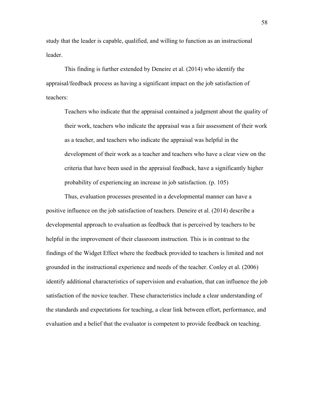study that the leader is capable, qualified, and willing to function as an instructional leader.

This finding is further extended by Deneire et al. (2014) who identify the appraisal/feedback process as having a significant impact on the job satisfaction of teachers:

Teachers who indicate that the appraisal contained a judgment about the quality of their work, teachers who indicate the appraisal was a fair assessment of their work as a teacher, and teachers who indicate the appraisal was helpful in the development of their work as a teacher and teachers who have a clear view on the criteria that have been used in the appraisal feedback, have a significantly higher probability of experiencing an increase in job satisfaction. (p. 105)

Thus, evaluation processes presented in a developmental manner can have a positive influence on the job satisfaction of teachers. Deneire et al. (2014) describe a developmental approach to evaluation as feedback that is perceived by teachers to be helpful in the improvement of their classroom instruction. This is in contrast to the findings of the Widget Effect where the feedback provided to teachers is limited and not grounded in the instructional experience and needs of the teacher. Conley et al. (2006) identify additional characteristics of supervision and evaluation, that can influence the job satisfaction of the novice teacher. These characteristics include a clear understanding of the standards and expectations for teaching, a clear link between effort, performance, and evaluation and a belief that the evaluator is competent to provide feedback on teaching.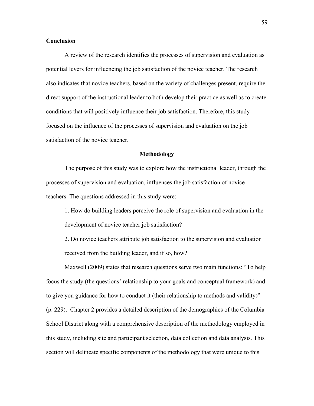## **Conclusion**

A review of the research identifies the processes of supervision and evaluation as potential levers for influencing the job satisfaction of the novice teacher. The research also indicates that novice teachers, based on the variety of challenges present, require the direct support of the instructional leader to both develop their practice as well as to create conditions that will positively influence their job satisfaction. Therefore, this study focused on the influence of the processes of supervision and evaluation on the job satisfaction of the novice teacher.

### **Methodology**

The purpose of this study was to explore how the instructional leader, through the processes of supervision and evaluation, influences the job satisfaction of novice teachers. The questions addressed in this study were:

1. How do building leaders perceive the role of supervision and evaluation in the development of novice teacher job satisfaction?

2. Do novice teachers attribute job satisfaction to the supervision and evaluation received from the building leader, and if so, how?

Maxwell (2009) states that research questions serve two main functions: "To help focus the study (the questions' relationship to your goals and conceptual framework) and to give you guidance for how to conduct it (their relationship to methods and validity)" (p. 229). Chapter 2 provides a detailed description of the demographics of the Columbia School District along with a comprehensive description of the methodology employed in this study, including site and participant selection, data collection and data analysis. This section will delineate specific components of the methodology that were unique to this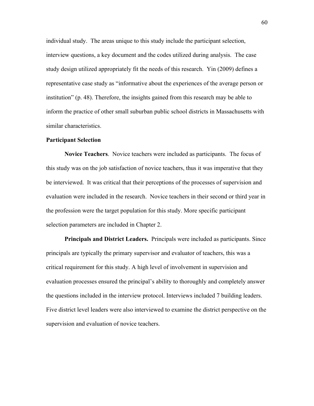individual study. The areas unique to this study include the participant selection, interview questions, a key document and the codes utilized during analysis. The case study design utilized appropriately fit the needs of this research. Yin (2009) defines a representative case study as "informative about the experiences of the average person or institution" (p. 48). Therefore, the insights gained from this research may be able to inform the practice of other small suburban public school districts in Massachusetts with similar characteristics.

### **Participant Selection**

**Novice Teachers**. Novice teachers were included as participants. The focus of this study was on the job satisfaction of novice teachers, thus it was imperative that they be interviewed. It was critical that their perceptions of the processes of supervision and evaluation were included in the research. Novice teachers in their second or third year in the profession were the target population for this study. More specific participant selection parameters are included in Chapter 2.

**Principals and District Leaders.** Principals were included as participants. Since principals are typically the primary supervisor and evaluator of teachers, this was a critical requirement for this study. A high level of involvement in supervision and evaluation processes ensured the principal's ability to thoroughly and completely answer the questions included in the interview protocol. Interviews included 7 building leaders. Five district level leaders were also interviewed to examine the district perspective on the supervision and evaluation of novice teachers.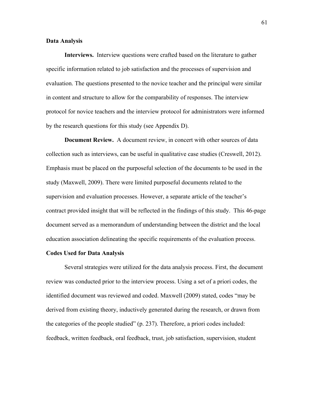# **Data Analysis**

**Interviews.** Interview questions were crafted based on the literature to gather specific information related to job satisfaction and the processes of supervision and evaluation. The questions presented to the novice teacher and the principal were similar in content and structure to allow for the comparability of responses. The interview protocol for novice teachers and the interview protocol for administrators were informed by the research questions for this study (see Appendix D).

**Document Review.** A document review, in concert with other sources of data collection such as interviews, can be useful in qualitative case studies (Creswell, 2012). Emphasis must be placed on the purposeful selection of the documents to be used in the study (Maxwell, 2009). There were limited purposeful documents related to the supervision and evaluation processes. However, a separate article of the teacher's contract provided insight that will be reflected in the findings of this study. This 46-page document served as a memorandum of understanding between the district and the local education association delineating the specific requirements of the evaluation process.

#### **Codes Used for Data Analysis**

Several strategies were utilized for the data analysis process. First, the document review was conducted prior to the interview process. Using a set of a priori codes, the identified document was reviewed and coded. Maxwell (2009) stated, codes "may be derived from existing theory, inductively generated during the research, or drawn from the categories of the people studied" (p. 237). Therefore, a priori codes included: feedback, written feedback, oral feedback, trust, job satisfaction, supervision, student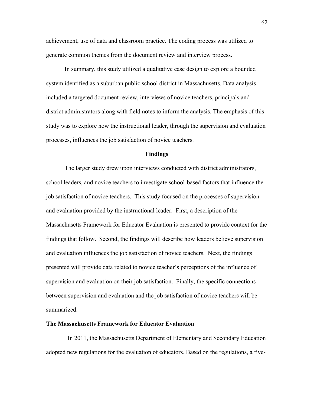achievement, use of data and classroom practice. The coding process was utilized to generate common themes from the document review and interview process.

In summary, this study utilized a qualitative case design to explore a bounded system identified as a suburban public school district in Massachusetts. Data analysis included a targeted document review, interviews of novice teachers, principals and district administrators along with field notes to inform the analysis. The emphasis of this study was to explore how the instructional leader, through the supervision and evaluation processes, influences the job satisfaction of novice teachers.

#### **Findings**

The larger study drew upon interviews conducted with district administrators, school leaders, and novice teachers to investigate school-based factors that influence the job satisfaction of novice teachers. This study focused on the processes of supervision and evaluation provided by the instructional leader. First, a description of the Massachusetts Framework for Educator Evaluation is presented to provide context for the findings that follow. Second, the findings will describe how leaders believe supervision and evaluation influences the job satisfaction of novice teachers. Next, the findings presented will provide data related to novice teacher's perceptions of the influence of supervision and evaluation on their job satisfaction. Finally, the specific connections between supervision and evaluation and the job satisfaction of novice teachers will be summarized.

#### **The Massachusetts Framework for Educator Evaluation**

 In 2011, the Massachusetts Department of Elementary and Secondary Education adopted new regulations for the evaluation of educators. Based on the regulations, a five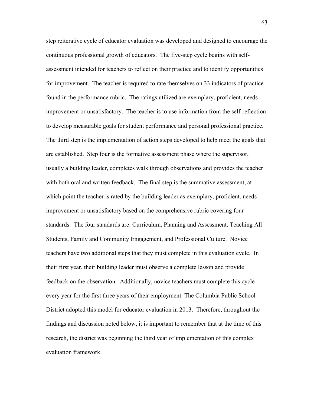step reiterative cycle of educator evaluation was developed and designed to encourage the continuous professional growth of educators. The five-step cycle begins with selfassessment intended for teachers to reflect on their practice and to identify opportunities for improvement. The teacher is required to rate themselves on 33 indicators of practice found in the performance rubric. The ratings utilized are exemplary, proficient, needs improvement or unsatisfactory. The teacher is to use information from the self-reflection to develop measurable goals for student performance and personal professional practice. The third step is the implementation of action steps developed to help meet the goals that are established. Step four is the formative assessment phase where the supervisor, usually a building leader, completes walk through observations and provides the teacher with both oral and written feedback. The final step is the summative assessment, at which point the teacher is rated by the building leader as exemplary, proficient, needs improvement or unsatisfactory based on the comprehensive rubric covering four standards. The four standards are: Curriculum, Planning and Assessment, Teaching All Students, Family and Community Engagement, and Professional Culture. Novice teachers have two additional steps that they must complete in this evaluation cycle. In their first year, their building leader must observe a complete lesson and provide feedback on the observation. Additionally, novice teachers must complete this cycle every year for the first three years of their employment. The Columbia Public School District adopted this model for educator evaluation in 2013. Therefore, throughout the findings and discussion noted below, it is important to remember that at the time of this research, the district was beginning the third year of implementation of this complex evaluation framework.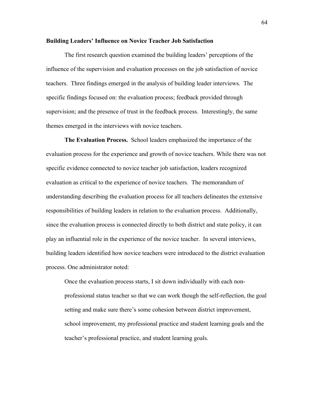#### **Building Leaders' Influence on Novice Teacher Job Satisfaction**

The first research question examined the building leaders' perceptions of the influence of the supervision and evaluation processes on the job satisfaction of novice teachers. Three findings emerged in the analysis of building leader interviews. The specific findings focused on: the evaluation process; feedback provided through supervision; and the presence of trust in the feedback process. Interestingly, the same themes emerged in the interviews with novice teachers.

**The Evaluation Process.** School leaders emphasized the importance of the evaluation process for the experience and growth of novice teachers. While there was not specific evidence connected to novice teacher job satisfaction, leaders recognized evaluation as critical to the experience of novice teachers. The memorandum of understanding describing the evaluation process for all teachers delineates the extensive responsibilities of building leaders in relation to the evaluation process. Additionally, since the evaluation process is connected directly to both district and state policy, it can play an influential role in the experience of the novice teacher. In several interviews, building leaders identified how novice teachers were introduced to the district evaluation process. One administrator noted:

Once the evaluation process starts, I sit down individually with each nonprofessional status teacher so that we can work though the self-reflection, the goal setting and make sure there's some cohesion between district improvement, school improvement, my professional practice and student learning goals and the teacher's professional practice, and student learning goals.

64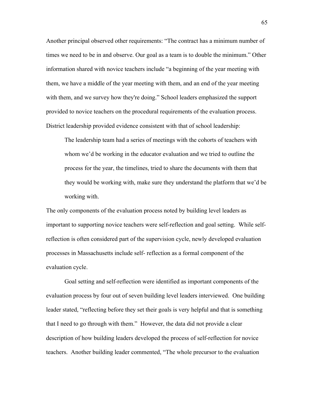Another principal observed other requirements: "The contract has a minimum number of times we need to be in and observe. Our goal as a team is to double the minimum." Other information shared with novice teachers include "a beginning of the year meeting with them, we have a middle of the year meeting with them, and an end of the year meeting with them, and we survey how they're doing." School leaders emphasized the support provided to novice teachers on the procedural requirements of the evaluation process. District leadership provided evidence consistent with that of school leadership:

The leadership team had a series of meetings with the cohorts of teachers with whom we'd be working in the educator evaluation and we tried to outline the process for the year, the timelines, tried to share the documents with them that they would be working with, make sure they understand the platform that we'd be working with.

The only components of the evaluation process noted by building level leaders as important to supporting novice teachers were self-reflection and goal setting. While selfreflection is often considered part of the supervision cycle, newly developed evaluation processes in Massachusetts include self- reflection as a formal component of the evaluation cycle.

Goal setting and self-reflection were identified as important components of the evaluation process by four out of seven building level leaders interviewed. One building leader stated, "reflecting before they set their goals is very helpful and that is something that I need to go through with them." However, the data did not provide a clear description of how building leaders developed the process of self-reflection for novice teachers. Another building leader commented, "The whole precursor to the evaluation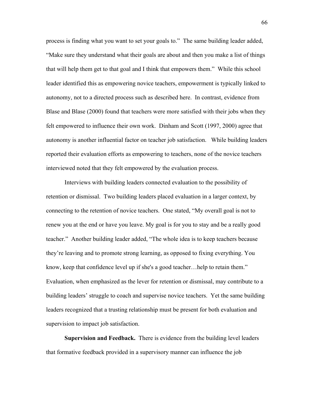process is finding what you want to set your goals to." The same building leader added, "Make sure they understand what their goals are about and then you make a list of things that will help them get to that goal and I think that empowers them." While this school leader identified this as empowering novice teachers, empowerment is typically linked to autonomy, not to a directed process such as described here. In contrast, evidence from Blase and Blase (2000) found that teachers were more satisfied with their jobs when they felt empowered to influence their own work. Dinham and Scott (1997, 2000) agree that autonomy is another influential factor on teacher job satisfaction. While building leaders reported their evaluation efforts as empowering to teachers, none of the novice teachers interviewed noted that they felt empowered by the evaluation process.

Interviews with building leaders connected evaluation to the possibility of retention or dismissal. Two building leaders placed evaluation in a larger context, by connecting to the retention of novice teachers. One stated, "My overall goal is not to renew you at the end or have you leave. My goal is for you to stay and be a really good teacher." Another building leader added, "The whole idea is to keep teachers because they're leaving and to promote strong learning, as opposed to fixing everything. You know, keep that confidence level up if she's a good teacher…help to retain them." Evaluation, when emphasized as the lever for retention or dismissal, may contribute to a building leaders' struggle to coach and supervise novice teachers. Yet the same building leaders recognized that a trusting relationship must be present for both evaluation and supervision to impact job satisfaction.

**Supervision and Feedback.** There is evidence from the building level leaders that formative feedback provided in a supervisory manner can influence the job

66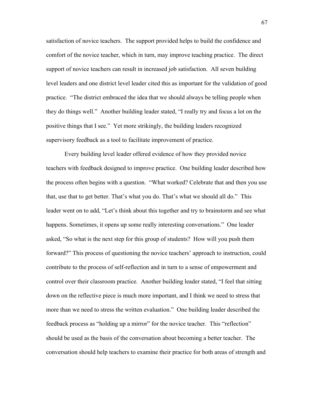satisfaction of novice teachers. The support provided helps to build the confidence and comfort of the novice teacher, which in turn, may improve teaching practice. The direct support of novice teachers can result in increased job satisfaction. All seven building level leaders and one district level leader cited this as important for the validation of good practice. "The district embraced the idea that we should always be telling people when they do things well." Another building leader stated, "I really try and focus a lot on the positive things that I see." Yet more strikingly, the building leaders recognized supervisory feedback as a tool to facilitate improvement of practice.

Every building level leader offered evidence of how they provided novice teachers with feedback designed to improve practice. One building leader described how the process often begins with a question. "What worked? Celebrate that and then you use that, use that to get better. That's what you do. That's what we should all do." This leader went on to add, "Let's think about this together and try to brainstorm and see what happens. Sometimes, it opens up some really interesting conversations." One leader asked, "So what is the next step for this group of students? How will you push them forward?" This process of questioning the novice teachers' approach to instruction, could contribute to the process of self-reflection and in turn to a sense of empowerment and control over their classroom practice. Another building leader stated, "I feel that sitting down on the reflective piece is much more important, and I think we need to stress that more than we need to stress the written evaluation." One building leader described the feedback process as "holding up a mirror" for the novice teacher. This "reflection" should be used as the basis of the conversation about becoming a better teacher. The conversation should help teachers to examine their practice for both areas of strength and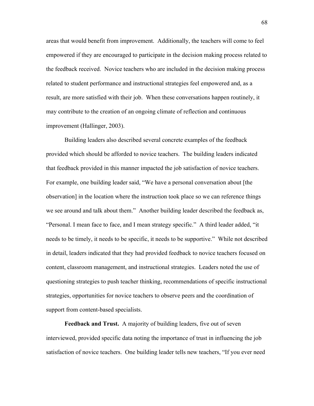areas that would benefit from improvement. Additionally, the teachers will come to feel empowered if they are encouraged to participate in the decision making process related to the feedback received. Novice teachers who are included in the decision making process related to student performance and instructional strategies feel empowered and, as a result, are more satisfied with their job. When these conversations happen routinely, it may contribute to the creation of an ongoing climate of reflection and continuous improvement (Hallinger, 2003).

Building leaders also described several concrete examples of the feedback provided which should be afforded to novice teachers. The building leaders indicated that feedback provided in this manner impacted the job satisfaction of novice teachers. For example, one building leader said, "We have a personal conversation about [the observation] in the location where the instruction took place so we can reference things we see around and talk about them." Another building leader described the feedback as, "Personal. I mean face to face, and I mean strategy specific." A third leader added, "it needs to be timely, it needs to be specific, it needs to be supportive." While not described in detail, leaders indicated that they had provided feedback to novice teachers focused on content, classroom management, and instructional strategies. Leaders noted the use of questioning strategies to push teacher thinking, recommendations of specific instructional strategies, opportunities for novice teachers to observe peers and the coordination of support from content-based specialists.

**Feedback and Trust.** A majority of building leaders, five out of seven interviewed, provided specific data noting the importance of trust in influencing the job satisfaction of novice teachers. One building leader tells new teachers, "If you ever need

68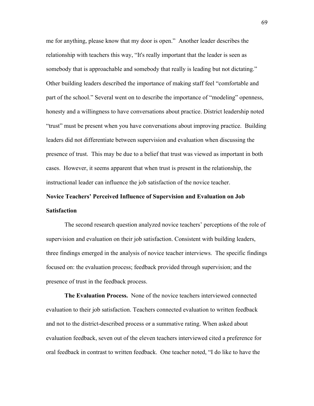me for anything, please know that my door is open." Another leader describes the relationship with teachers this way, "It's really important that the leader is seen as somebody that is approachable and somebody that really is leading but not dictating." Other building leaders described the importance of making staff feel "comfortable and part of the school." Several went on to describe the importance of "modeling" openness, honesty and a willingness to have conversations about practice. District leadership noted "trust" must be present when you have conversations about improving practice. Building leaders did not differentiate between supervision and evaluation when discussing the presence of trust. This may be due to a belief that trust was viewed as important in both cases. However, it seems apparent that when trust is present in the relationship, the instructional leader can influence the job satisfaction of the novice teacher.

# **Novice Teachers' Perceived Influence of Supervision and Evaluation on Job Satisfaction**

The second research question analyzed novice teachers' perceptions of the role of supervision and evaluation on their job satisfaction. Consistent with building leaders, three findings emerged in the analysis of novice teacher interviews. The specific findings focused on: the evaluation process; feedback provided through supervision; and the presence of trust in the feedback process.

**The Evaluation Process.** None of the novice teachers interviewed connected evaluation to their job satisfaction. Teachers connected evaluation to written feedback and not to the district-described process or a summative rating. When asked about evaluation feedback, seven out of the eleven teachers interviewed cited a preference for oral feedback in contrast to written feedback. One teacher noted, "I do like to have the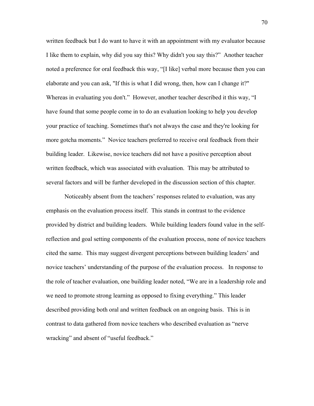written feedback but I do want to have it with an appointment with my evaluator because I like them to explain, why did you say this? Why didn't you say this?" Another teacher noted a preference for oral feedback this way, "[I like] verbal more because then you can elaborate and you can ask, "If this is what I did wrong, then, how can I change it?" Whereas in evaluating you don't." However, another teacher described it this way, "I have found that some people come in to do an evaluation looking to help you develop your practice of teaching. Sometimes that's not always the case and they're looking for more gotcha moments." Novice teachers preferred to receive oral feedback from their building leader. Likewise, novice teachers did not have a positive perception about written feedback, which was associated with evaluation. This may be attributed to several factors and will be further developed in the discussion section of this chapter.

Noticeably absent from the teachers' responses related to evaluation, was any emphasis on the evaluation process itself. This stands in contrast to the evidence provided by district and building leaders. While building leaders found value in the selfreflection and goal setting components of the evaluation process, none of novice teachers cited the same. This may suggest divergent perceptions between building leaders' and novice teachers' understanding of the purpose of the evaluation process. In response to the role of teacher evaluation, one building leader noted, "We are in a leadership role and we need to promote strong learning as opposed to fixing everything." This leader described providing both oral and written feedback on an ongoing basis. This is in contrast to data gathered from novice teachers who described evaluation as "nerve wracking" and absent of "useful feedback."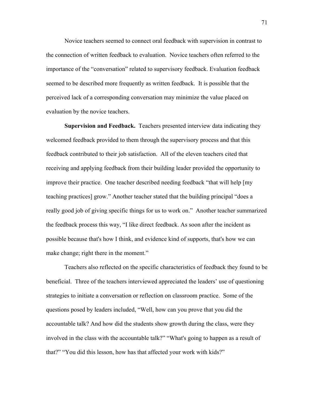Novice teachers seemed to connect oral feedback with supervision in contrast to the connection of written feedback to evaluation. Novice teachers often referred to the importance of the "conversation" related to supervisory feedback. Evaluation feedback seemed to be described more frequently as written feedback. It is possible that the perceived lack of a corresponding conversation may minimize the value placed on evaluation by the novice teachers.

**Supervision and Feedback.** Teachers presented interview data indicating they welcomed feedback provided to them through the supervisory process and that this feedback contributed to their job satisfaction. All of the eleven teachers cited that receiving and applying feedback from their building leader provided the opportunity to improve their practice. One teacher described needing feedback "that will help [my teaching practices] grow." Another teacher stated that the building principal "does a really good job of giving specific things for us to work on." Another teacher summarized the feedback process this way, "I like direct feedback. As soon after the incident as possible because that's how I think, and evidence kind of supports, that's how we can make change; right there in the moment."

Teachers also reflected on the specific characteristics of feedback they found to be beneficial. Three of the teachers interviewed appreciated the leaders' use of questioning strategies to initiate a conversation or reflection on classroom practice. Some of the questions posed by leaders included, "Well, how can you prove that you did the accountable talk? And how did the students show growth during the class, were they involved in the class with the accountable talk?" "What's going to happen as a result of that?" "You did this lesson, how has that affected your work with kids?"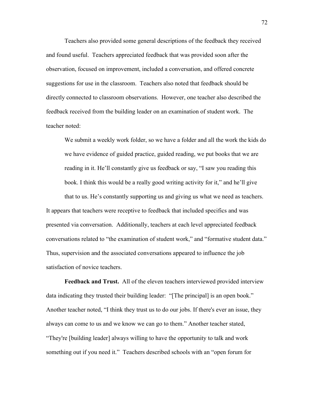Teachers also provided some general descriptions of the feedback they received and found useful. Teachers appreciated feedback that was provided soon after the observation, focused on improvement, included a conversation, and offered concrete suggestions for use in the classroom. Teachers also noted that feedback should be directly connected to classroom observations. However, one teacher also described the feedback received from the building leader on an examination of student work. The teacher noted:

We submit a weekly work folder, so we have a folder and all the work the kids do we have evidence of guided practice, guided reading, we put books that we are reading in it. He'll constantly give us feedback or say, "I saw you reading this book. I think this would be a really good writing activity for it," and he'll give that to us. He's constantly supporting us and giving us what we need as teachers. It appears that teachers were receptive to feedback that included specifics and was presented via conversation. Additionally, teachers at each level appreciated feedback conversations related to "the examination of student work," and "formative student data." Thus, supervision and the associated conversations appeared to influence the job

satisfaction of novice teachers.

**Feedback and Trust.** All of the eleven teachers interviewed provided interview data indicating they trusted their building leader: "[The principal] is an open book." Another teacher noted, "I think they trust us to do our jobs. If there's ever an issue, they always can come to us and we know we can go to them." Another teacher stated, "They're [building leader] always willing to have the opportunity to talk and work something out if you need it." Teachers described schools with an "open forum for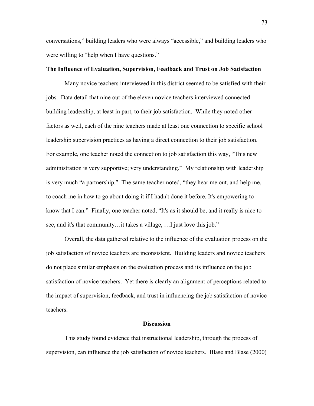conversations," building leaders who were always "accessible," and building leaders who were willing to "help when I have questions."

# **The Influence of Evaluation, Supervision, Feedback and Trust on Job Satisfaction**

Many novice teachers interviewed in this district seemed to be satisfied with their jobs. Data detail that nine out of the eleven novice teachers interviewed connected building leadership, at least in part, to their job satisfaction. While they noted other factors as well, each of the nine teachers made at least one connection to specific school leadership supervision practices as having a direct connection to their job satisfaction. For example, one teacher noted the connection to job satisfaction this way, "This new administration is very supportive; very understanding." My relationship with leadership is very much "a partnership." The same teacher noted, "they hear me out, and help me, to coach me in how to go about doing it if I hadn't done it before. It's empowering to know that I can." Finally, one teacher noted, "It's as it should be, and it really is nice to see, and it's that community…it takes a village, …I just love this job."

Overall, the data gathered relative to the influence of the evaluation process on the job satisfaction of novice teachers are inconsistent. Building leaders and novice teachers do not place similar emphasis on the evaluation process and its influence on the job satisfaction of novice teachers. Yet there is clearly an alignment of perceptions related to the impact of supervision, feedback, and trust in influencing the job satisfaction of novice teachers.

#### **Discussion**

This study found evidence that instructional leadership, through the process of supervision, can influence the job satisfaction of novice teachers. Blase and Blase (2000)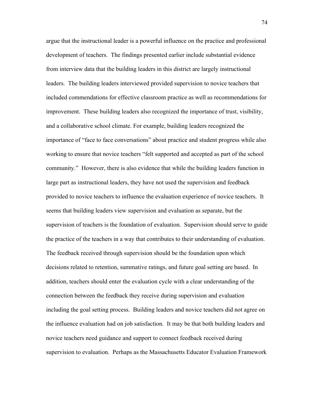argue that the instructional leader is a powerful influence on the practice and professional development of teachers. The findings presented earlier include substantial evidence from interview data that the building leaders in this district are largely instructional leaders. The building leaders interviewed provided supervision to novice teachers that included commendations for effective classroom practice as well as recommendations for improvement. These building leaders also recognized the importance of trust, visibility, and a collaborative school climate. For example, building leaders recognized the importance of "face to face conversations" about practice and student progress while also working to ensure that novice teachers "felt supported and accepted as part of the school community." However, there is also evidence that while the building leaders function in large part as instructional leaders, they have not used the supervision and feedback provided to novice teachers to influence the evaluation experience of novice teachers. It seems that building leaders view supervision and evaluation as separate, but the supervision of teachers is the foundation of evaluation. Supervision should serve to guide the practice of the teachers in a way that contributes to their understanding of evaluation. The feedback received through supervision should be the foundation upon which decisions related to retention, summative ratings, and future goal setting are based. In addition, teachers should enter the evaluation cycle with a clear understanding of the connection between the feedback they receive during supervision and evaluation including the goal setting process. Building leaders and novice teachers did not agree on the influence evaluation had on job satisfaction. It may be that both building leaders and novice teachers need guidance and support to connect feedback received during supervision to evaluation. Perhaps as the Massachusetts Educator Evaluation Framework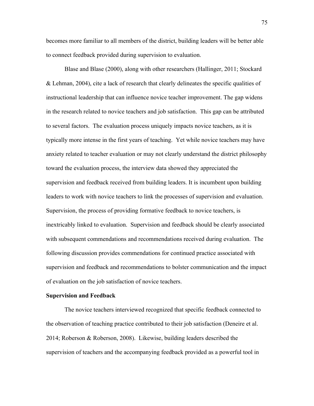becomes more familiar to all members of the district, building leaders will be better able to connect feedback provided during supervision to evaluation.

Blase and Blase (2000), along with other researchers (Hallinger, 2011; Stockard & Lehman, 2004), cite a lack of research that clearly delineates the specific qualities of instructional leadership that can influence novice teacher improvement. The gap widens in the research related to novice teachers and job satisfaction. This gap can be attributed to several factors. The evaluation process uniquely impacts novice teachers, as it is typically more intense in the first years of teaching. Yet while novice teachers may have anxiety related to teacher evaluation or may not clearly understand the district philosophy toward the evaluation process, the interview data showed they appreciated the supervision and feedback received from building leaders. It is incumbent upon building leaders to work with novice teachers to link the processes of supervision and evaluation. Supervision, the process of providing formative feedback to novice teachers, is inextricably linked to evaluation. Supervision and feedback should be clearly associated with subsequent commendations and recommendations received during evaluation. The following discussion provides commendations for continued practice associated with supervision and feedback and recommendations to bolster communication and the impact of evaluation on the job satisfaction of novice teachers.

## **Supervision and Feedback**

The novice teachers interviewed recognized that specific feedback connected to the observation of teaching practice contributed to their job satisfaction (Deneire et al. 2014; Roberson & Roberson, 2008). Likewise, building leaders described the supervision of teachers and the accompanying feedback provided as a powerful tool in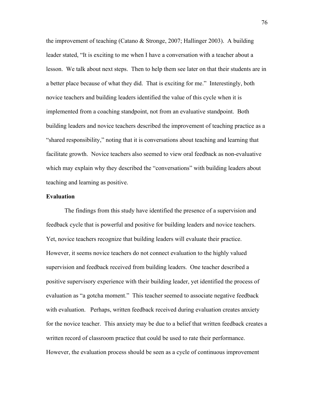the improvement of teaching (Catano & Stronge, 2007; Hallinger 2003). A building leader stated, "It is exciting to me when I have a conversation with a teacher about a lesson. We talk about next steps. Then to help them see later on that their students are in a better place because of what they did. That is exciting for me." Interestingly, both novice teachers and building leaders identified the value of this cycle when it is implemented from a coaching standpoint, not from an evaluative standpoint. Both building leaders and novice teachers described the improvement of teaching practice as a "shared responsibility," noting that it is conversations about teaching and learning that facilitate growth. Novice teachers also seemed to view oral feedback as non-evaluative which may explain why they described the "conversations" with building leaders about teaching and learning as positive.

# **Evaluation**

 The findings from this study have identified the presence of a supervision and feedback cycle that is powerful and positive for building leaders and novice teachers. Yet, novice teachers recognize that building leaders will evaluate their practice. However, it seems novice teachers do not connect evaluation to the highly valued supervision and feedback received from building leaders. One teacher described a positive supervisory experience with their building leader, yet identified the process of evaluation as "a gotcha moment." This teacher seemed to associate negative feedback with evaluation. Perhaps, written feedback received during evaluation creates anxiety for the novice teacher. This anxiety may be due to a belief that written feedback creates a written record of classroom practice that could be used to rate their performance. However, the evaluation process should be seen as a cycle of continuous improvement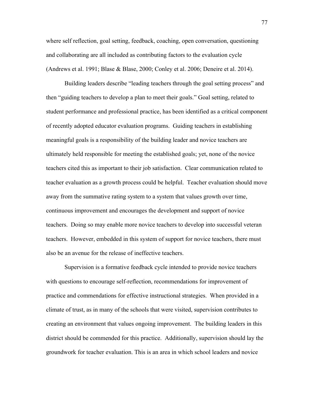where self reflection, goal setting, feedback, coaching, open conversation, questioning and collaborating are all included as contributing factors to the evaluation cycle (Andrews et al. 1991; Blase & Blase, 2000; Conley et al. 2006; Deneire et al. 2014).

Building leaders describe "leading teachers through the goal setting process" and then "guiding teachers to develop a plan to meet their goals." Goal setting, related to student performance and professional practice, has been identified as a critical component of recently adopted educator evaluation programs. Guiding teachers in establishing meaningful goals is a responsibility of the building leader and novice teachers are ultimately held responsible for meeting the established goals; yet, none of the novice teachers cited this as important to their job satisfaction. Clear communication related to teacher evaluation as a growth process could be helpful. Teacher evaluation should move away from the summative rating system to a system that values growth over time, continuous improvement and encourages the development and support of novice teachers. Doing so may enable more novice teachers to develop into successful veteran teachers. However, embedded in this system of support for novice teachers, there must also be an avenue for the release of ineffective teachers.

Supervision is a formative feedback cycle intended to provide novice teachers with questions to encourage self-reflection, recommendations for improvement of practice and commendations for effective instructional strategies. When provided in a climate of trust, as in many of the schools that were visited, supervision contributes to creating an environment that values ongoing improvement. The building leaders in this district should be commended for this practice. Additionally, supervision should lay the groundwork for teacher evaluation. This is an area in which school leaders and novice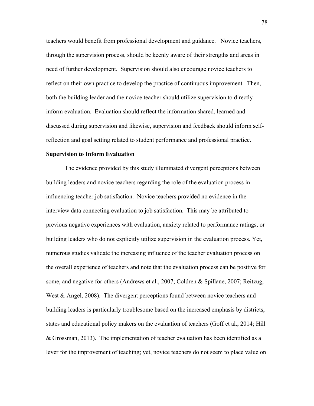teachers would benefit from professional development and guidance. Novice teachers, through the supervision process, should be keenly aware of their strengths and areas in need of further development. Supervision should also encourage novice teachers to reflect on their own practice to develop the practice of continuous improvement. Then, both the building leader and the novice teacher should utilize supervision to directly inform evaluation. Evaluation should reflect the information shared, learned and discussed during supervision and likewise, supervision and feedback should inform selfreflection and goal setting related to student performance and professional practice.

## **Supervision to Inform Evaluation**

The evidence provided by this study illuminated divergent perceptions between building leaders and novice teachers regarding the role of the evaluation process in influencing teacher job satisfaction. Novice teachers provided no evidence in the interview data connecting evaluation to job satisfaction. This may be attributed to previous negative experiences with evaluation, anxiety related to performance ratings, or building leaders who do not explicitly utilize supervision in the evaluation process. Yet, numerous studies validate the increasing influence of the teacher evaluation process on the overall experience of teachers and note that the evaluation process can be positive for some, and negative for others (Andrews et al., 2007; Coldren & Spillane, 2007; Reitzug, West & Angel, 2008). The divergent perceptions found between novice teachers and building leaders is particularly troublesome based on the increased emphasis by districts, states and educational policy makers on the evaluation of teachers (Goff et al., 2014; Hill & Grossman, 2013). The implementation of teacher evaluation has been identified as a lever for the improvement of teaching; yet, novice teachers do not seem to place value on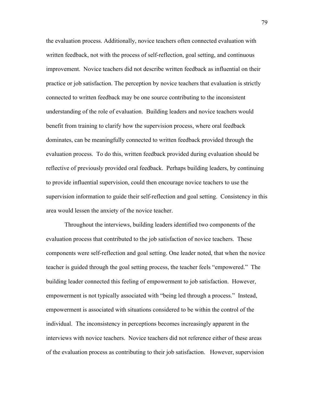the evaluation process. Additionally, novice teachers often connected evaluation with written feedback, not with the process of self-reflection, goal setting, and continuous improvement. Novice teachers did not describe written feedback as influential on their practice or job satisfaction. The perception by novice teachers that evaluation is strictly connected to written feedback may be one source contributing to the inconsistent understanding of the role of evaluation. Building leaders and novice teachers would benefit from training to clarify how the supervision process, where oral feedback dominates, can be meaningfully connected to written feedback provided through the evaluation process. To do this, written feedback provided during evaluation should be reflective of previously provided oral feedback. Perhaps building leaders, by continuing to provide influential supervision, could then encourage novice teachers to use the supervision information to guide their self-reflection and goal setting. Consistency in this area would lessen the anxiety of the novice teacher.

Throughout the interviews, building leaders identified two components of the evaluation process that contributed to the job satisfaction of novice teachers. These components were self-reflection and goal setting. One leader noted, that when the novice teacher is guided through the goal setting process, the teacher feels "empowered." The building leader connected this feeling of empowerment to job satisfaction. However, empowerment is not typically associated with "being led through a process." Instead, empowerment is associated with situations considered to be within the control of the individual. The inconsistency in perceptions becomes increasingly apparent in the interviews with novice teachers. Novice teachers did not reference either of these areas of the evaluation process as contributing to their job satisfaction. However, supervision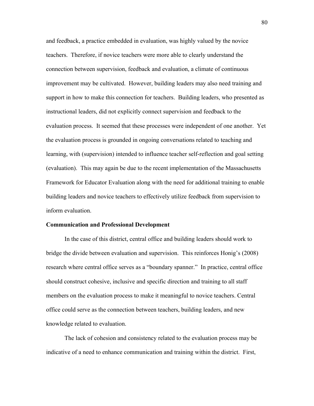and feedback, a practice embedded in evaluation, was highly valued by the novice teachers. Therefore, if novice teachers were more able to clearly understand the connection between supervision, feedback and evaluation, a climate of continuous improvement may be cultivated. However, building leaders may also need training and support in how to make this connection for teachers. Building leaders, who presented as instructional leaders, did not explicitly connect supervision and feedback to the evaluation process. It seemed that these processes were independent of one another. Yet the evaluation process is grounded in ongoing conversations related to teaching and learning, with (supervision) intended to influence teacher self-reflection and goal setting (evaluation). This may again be due to the recent implementation of the Massachusetts Framework for Educator Evaluation along with the need for additional training to enable building leaders and novice teachers to effectively utilize feedback from supervision to inform evaluation.

#### **Communication and Professional Development**

In the case of this district, central office and building leaders should work to bridge the divide between evaluation and supervision. This reinforces Honig's (2008) research where central office serves as a "boundary spanner." In practice, central office should construct cohesive, inclusive and specific direction and training to all staff members on the evaluation process to make it meaningful to novice teachers. Central office could serve as the connection between teachers, building leaders, and new knowledge related to evaluation.

The lack of cohesion and consistency related to the evaluation process may be indicative of a need to enhance communication and training within the district. First,

80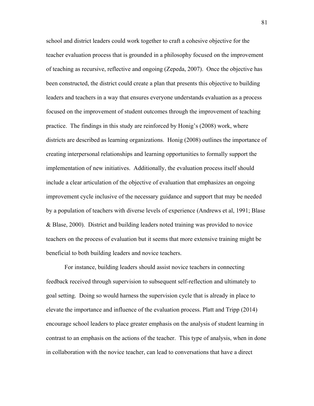school and district leaders could work together to craft a cohesive objective for the teacher evaluation process that is grounded in a philosophy focused on the improvement of teaching as recursive, reflective and ongoing (Zepeda, 2007). Once the objective has been constructed, the district could create a plan that presents this objective to building leaders and teachers in a way that ensures everyone understands evaluation as a process focused on the improvement of student outcomes through the improvement of teaching practice. The findings in this study are reinforced by Honig's (2008) work, where districts are described as learning organizations. Honig (2008) outlines the importance of creating interpersonal relationships and learning opportunities to formally support the implementation of new initiatives. Additionally, the evaluation process itself should include a clear articulation of the objective of evaluation that emphasizes an ongoing improvement cycle inclusive of the necessary guidance and support that may be needed by a population of teachers with diverse levels of experience (Andrews et al, 1991; Blase & Blase, 2000). District and building leaders noted training was provided to novice teachers on the process of evaluation but it seems that more extensive training might be beneficial to both building leaders and novice teachers.

For instance, building leaders should assist novice teachers in connecting feedback received through supervision to subsequent self-reflection and ultimately to goal setting. Doing so would harness the supervision cycle that is already in place to elevate the importance and influence of the evaluation process. Platt and Tripp (2014) encourage school leaders to place greater emphasis on the analysis of student learning in contrast to an emphasis on the actions of the teacher. This type of analysis, when in done in collaboration with the novice teacher, can lead to conversations that have a direct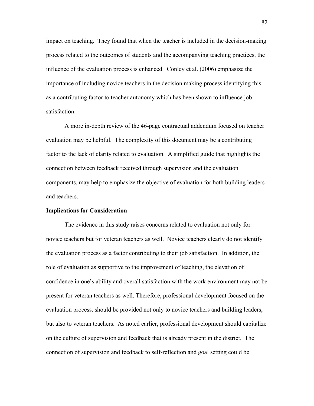impact on teaching. They found that when the teacher is included in the decision-making process related to the outcomes of students and the accompanying teaching practices, the influence of the evaluation process is enhanced. Conley et al. (2006) emphasize the importance of including novice teachers in the decision making process identifying this as a contributing factor to teacher autonomy which has been shown to influence job satisfaction.

A more in-depth review of the 46-page contractual addendum focused on teacher evaluation may be helpful. The complexity of this document may be a contributing factor to the lack of clarity related to evaluation. A simplified guide that highlights the connection between feedback received through supervision and the evaluation components, may help to emphasize the objective of evaluation for both building leaders and teachers.

#### **Implications for Consideration**

The evidence in this study raises concerns related to evaluation not only for novice teachers but for veteran teachers as well. Novice teachers clearly do not identify the evaluation process as a factor contributing to their job satisfaction. In addition, the role of evaluation as supportive to the improvement of teaching, the elevation of confidence in one's ability and overall satisfaction with the work environment may not be present for veteran teachers as well. Therefore, professional development focused on the evaluation process, should be provided not only to novice teachers and building leaders, but also to veteran teachers. As noted earlier, professional development should capitalize on the culture of supervision and feedback that is already present in the district. The connection of supervision and feedback to self-reflection and goal setting could be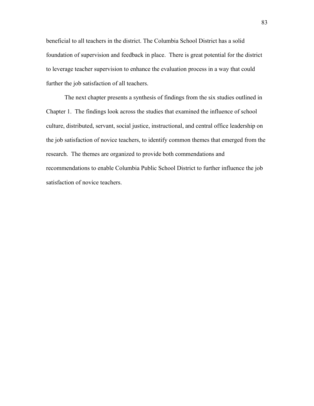beneficial to all teachers in the district. The Columbia School District has a solid foundation of supervision and feedback in place. There is great potential for the district to leverage teacher supervision to enhance the evaluation process in a way that could further the job satisfaction of all teachers.

The next chapter presents a synthesis of findings from the six studies outlined in Chapter 1. The findings look across the studies that examined the influence of school culture, distributed, servant, social justice, instructional, and central office leadership on the job satisfaction of novice teachers, to identify common themes that emerged from the research. The themes are organized to provide both commendations and recommendations to enable Columbia Public School District to further influence the job satisfaction of novice teachers.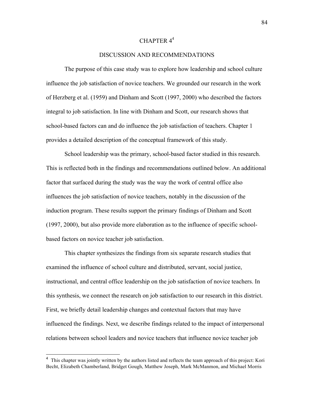# CHAPTER 44

# DISCUSSION AND RECOMMENDATIONS

The purpose of this case study was to explore how leadership and school culture influence the job satisfaction of novice teachers. We grounded our research in the work of Herzberg et al. (1959) and Dinham and Scott (1997, 2000) who described the factors integral to job satisfaction. In line with Dinham and Scott, our research shows that school-based factors can and do influence the job satisfaction of teachers. Chapter 1 provides a detailed description of the conceptual framework of this study.

School leadership was the primary, school-based factor studied in this research. This is reflected both in the findings and recommendations outlined below. An additional factor that surfaced during the study was the way the work of central office also influences the job satisfaction of novice teachers, notably in the discussion of the induction program. These results support the primary findings of Dinham and Scott (1997, 2000), but also provide more elaboration as to the influence of specific schoolbased factors on novice teacher job satisfaction.

 This chapter synthesizes the findings from six separate research studies that examined the influence of school culture and distributed, servant, social justice, instructional, and central office leadership on the job satisfaction of novice teachers. In this synthesis, we connect the research on job satisfaction to our research in this district. First, we briefly detail leadership changes and contextual factors that may have influenced the findings. Next, we describe findings related to the impact of interpersonal relations between school leaders and novice teachers that influence novice teacher job

 <sup>4</sup> This chapter was jointly written by the authors listed and reflects the team approach of this project: Kori Becht, Elizabeth Chamberland, Bridget Gough, Matthew Joseph, Mark McManmon, and Michael Morris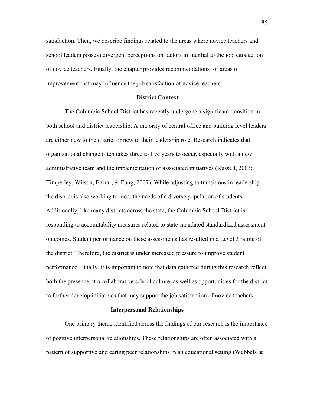satisfaction. Then, we describe findings related to the areas where novice teachers and school leaders possess divergent perceptions on factors influential to the job satisfaction of novice teachers. Finally, the chapter provides recommendations for areas of improvement that may influence the job satisfaction of novice teachers.

## **District Context**

The Columbia School District has recently undergone a significant transition in both school and district leadership. A majority of central office and building level leaders are either new to the district or new to their leadership role. Research indicates that organizational change often takes three to five years to occur, especially with a new administrative team and the implementation of associated initiatives (Russell, 2003; Timperley, Wilson, Barrar, & Fung, 2007). While adjusting to transitions in leadership the district is also working to meet the needs of a diverse population of students. Additionally, like many districts across the state, the Columbia School District is responding to accountability measures related to state-mandated standardized assessment outcomes. Student performance on these assessments has resulted in a Level 3 rating of the district. Therefore, the district is under increased pressure to improve student performance. Finally, it is important to note that data gathered during this research reflect both the presence of a collaborative school culture, as well as opportunities for the district to further develop initiatives that may support the job satisfaction of novice teachers.

#### **Interpersonal Relationships**

One primary theme identified across the findings of our research is the importance of positive interpersonal relationships. These relationships are often associated with a pattern of supportive and caring peer relationships in an educational setting (Wubbels &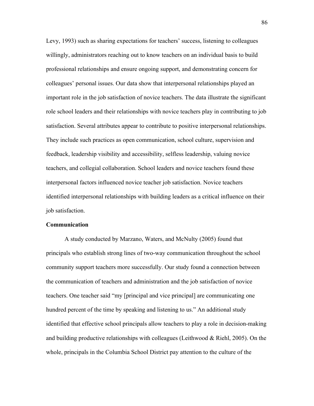Levy, 1993) such as sharing expectations for teachers' success, listening to colleagues willingly, administrators reaching out to know teachers on an individual basis to build professional relationships and ensure ongoing support, and demonstrating concern for colleagues' personal issues. Our data show that interpersonal relationships played an important role in the job satisfaction of novice teachers. The data illustrate the significant role school leaders and their relationships with novice teachers play in contributing to job satisfaction. Several attributes appear to contribute to positive interpersonal relationships. They include such practices as open communication, school culture, supervision and feedback, leadership visibility and accessibility, selfless leadership, valuing novice teachers, and collegial collaboration. School leaders and novice teachers found these interpersonal factors influenced novice teacher job satisfaction. Novice teachers identified interpersonal relationships with building leaders as a critical influence on their job satisfaction.

#### **Communication**

A study conducted by Marzano, Waters, and McNulty (2005) found that principals who establish strong lines of two-way communication throughout the school community support teachers more successfully. Our study found a connection between the communication of teachers and administration and the job satisfaction of novice teachers. One teacher said "my [principal and vice principal] are communicating one hundred percent of the time by speaking and listening to us." An additional study identified that effective school principals allow teachers to play a role in decision-making and building productive relationships with colleagues (Leithwood  $& Richl, 2005$ ). On the whole, principals in the Columbia School District pay attention to the culture of the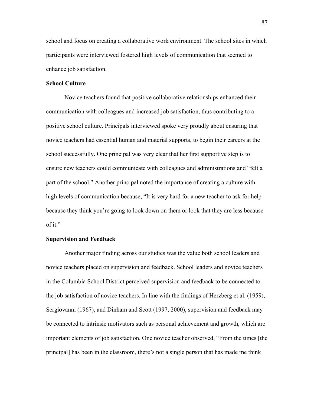school and focus on creating a collaborative work environment. The school sites in which participants were interviewed fostered high levels of communication that seemed to enhance job satisfaction.

## **School Culture**

Novice teachers found that positive collaborative relationships enhanced their communication with colleagues and increased job satisfaction, thus contributing to a positive school culture. Principals interviewed spoke very proudly about ensuring that novice teachers had essential human and material supports, to begin their careers at the school successfully. One principal was very clear that her first supportive step is to ensure new teachers could communicate with colleagues and administrations and "felt a part of the school." Another principal noted the importance of creating a culture with high levels of communication because, "It is very hard for a new teacher to ask for help because they think you're going to look down on them or look that they are less because of it."

# **Supervision and Feedback**

Another major finding across our studies was the value both school leaders and novice teachers placed on supervision and feedback. School leaders and novice teachers in the Columbia School District perceived supervision and feedback to be connected to the job satisfaction of novice teachers. In line with the findings of Herzberg et al. (1959), Sergiovanni (1967), and Dinham and Scott (1997, 2000), supervision and feedback may be connected to intrinsic motivators such as personal achievement and growth, which are important elements of job satisfaction. One novice teacher observed, "From the times [the principal] has been in the classroom, there's not a single person that has made me think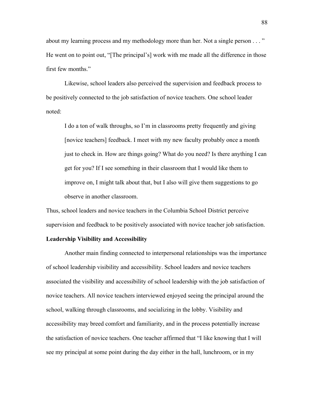about my learning process and my methodology more than her. Not a single person . . . " He went on to point out, "[The principal's] work with me made all the difference in those first few months."

Likewise, school leaders also perceived the supervision and feedback process to be positively connected to the job satisfaction of novice teachers. One school leader noted:

I do a ton of walk throughs, so I'm in classrooms pretty frequently and giving [novice teachers] feedback. I meet with my new faculty probably once a month just to check in. How are things going? What do you need? Is there anything I can get for you? If I see something in their classroom that I would like them to improve on, I might talk about that, but I also will give them suggestions to go observe in another classroom.

Thus, school leaders and novice teachers in the Columbia School District perceive supervision and feedback to be positively associated with novice teacher job satisfaction.

# **Leadership Visibility and Accessibility**

Another main finding connected to interpersonal relationships was the importance of school leadership visibility and accessibility. School leaders and novice teachers associated the visibility and accessibility of school leadership with the job satisfaction of novice teachers. All novice teachers interviewed enjoyed seeing the principal around the school, walking through classrooms, and socializing in the lobby. Visibility and accessibility may breed comfort and familiarity, and in the process potentially increase the satisfaction of novice teachers. One teacher affirmed that "I like knowing that I will see my principal at some point during the day either in the hall, lunchroom, or in my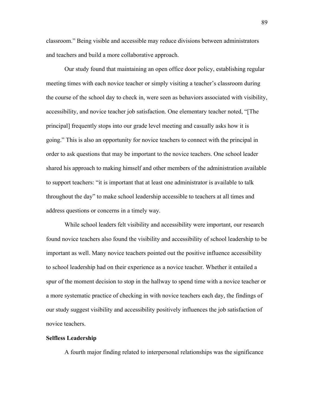classroom." Being visible and accessible may reduce divisions between administrators and teachers and build a more collaborative approach.

Our study found that maintaining an open office door policy, establishing regular meeting times with each novice teacher or simply visiting a teacher's classroom during the course of the school day to check in, were seen as behaviors associated with visibility, accessibility, and novice teacher job satisfaction. One elementary teacher noted, "[The principal] frequently stops into our grade level meeting and casually asks how it is going." This is also an opportunity for novice teachers to connect with the principal in order to ask questions that may be important to the novice teachers. One school leader shared his approach to making himself and other members of the administration available to support teachers: "it is important that at least one administrator is available to talk throughout the day" to make school leadership accessible to teachers at all times and address questions or concerns in a timely way.

While school leaders felt visibility and accessibility were important, our research found novice teachers also found the visibility and accessibility of school leadership to be important as well. Many novice teachers pointed out the positive influence accessibility to school leadership had on their experience as a novice teacher. Whether it entailed a spur of the moment decision to stop in the hallway to spend time with a novice teacher or a more systematic practice of checking in with novice teachers each day, the findings of our study suggest visibility and accessibility positively influences the job satisfaction of novice teachers.

# **Selfless Leadership**

A fourth major finding related to interpersonal relationships was the significance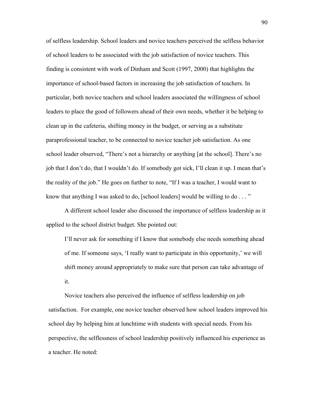of selfless leadership. School leaders and novice teachers perceived the selfless behavior of school leaders to be associated with the job satisfaction of novice teachers. This finding is consistent with work of Dinham and Scott (1997, 2000) that highlights the importance of school-based factors in increasing the job satisfaction of teachers. In particular, both novice teachers and school leaders associated the willingness of school leaders to place the good of followers ahead of their own needs, whether it be helping to clean up in the cafeteria, shifting money in the budget, or serving as a substitute paraprofessional teacher, to be connected to novice teacher job satisfaction. As one school leader observed, "There's not a hierarchy or anything [at the school]. There's no job that I don't do, that I wouldn't do. If somebody got sick, I'll clean it up. I mean that's the reality of the job." He goes on further to note, "If I was a teacher, I would want to know that anything I was asked to do, [school leaders] would be willing to do . . . "

A different school leader also discussed the importance of selfless leadership as it applied to the school district budget. She pointed out:

I'll never ask for something if I know that somebody else needs something ahead of me. If someone says, 'I really want to participate in this opportunity,' we will shift money around appropriately to make sure that person can take advantage of it.

Novice teachers also perceived the influence of selfless leadership on job satisfaction. For example, one novice teacher observed how school leaders improved his school day by helping him at lunchtime with students with special needs. From his perspective, the selflessness of school leadership positively influenced his experience as a teacher. He noted: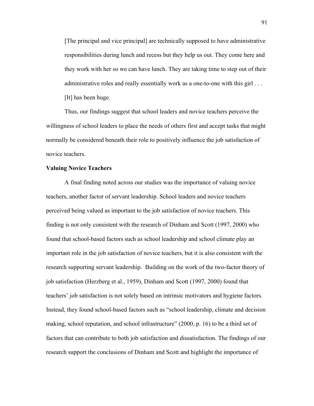[The principal and vice principal] are technically supposed to have administrative responsibilities during lunch and recess but they help us out. They come here and they work with her so we can have lunch. They are taking time to step out of their administrative roles and really essentially work as a one-to-one with this girl . . . [It] has been huge.

Thus, our findings suggest that school leaders and novice teachers perceive the willingness of school leaders to place the needs of others first and accept tasks that might normally be considered beneath their role to positively influence the job satisfaction of novice teachers.

# **Valuing Novice Teachers**

A final finding noted across our studies was the importance of valuing novice teachers, another factor of servant leadership. School leaders and novice teachers perceived being valued as important to the job satisfaction of novice teachers. This finding is not only consistent with the research of Dinham and Scott (1997, 2000) who found that school-based factors such as school leadership and school climate play an important role in the job satisfaction of novice teachers, but it is also consistent with the research supporting servant leadership. Building on the work of the two-factor theory of job satisfaction (Herzberg et al., 1959), Dinham and Scott (1997, 2000) found that teachers' job satisfaction is not solely based on intrinsic motivators and hygiene factors. Instead, they found school-based factors such as "school leadership, climate and decision making, school reputation, and school infrastructure" (2000, p. 16) to be a third set of factors that can contribute to both job satisfaction and dissatisfaction. The findings of our research support the conclusions of Dinham and Scott and highlight the importance of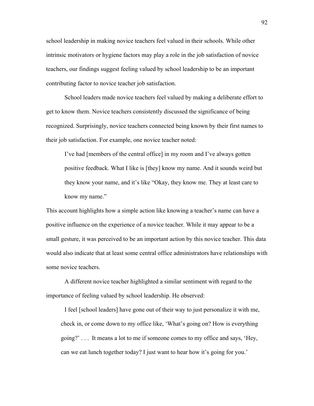school leadership in making novice teachers feel valued in their schools. While other intrinsic motivators or hygiene factors may play a role in the job satisfaction of novice teachers, our findings suggest feeling valued by school leadership to be an important contributing factor to novice teacher job satisfaction.

School leaders made novice teachers feel valued by making a deliberate effort to get to know them. Novice teachers consistently discussed the significance of being recognized. Surprisingly, novice teachers connected being known by their first names to their job satisfaction. For example, one novice teacher noted:

I've had [members of the central office] in my room and I've always gotten positive feedback. What I like is [they] know my name. And it sounds weird but they know your name, and it's like "Okay, they know me. They at least care to know my name."

This account highlights how a simple action like knowing a teacher's name can have a positive influence on the experience of a novice teacher. While it may appear to be a small gesture, it was perceived to be an important action by this novice teacher. This data would also indicate that at least some central office administrators have relationships with some novice teachers.

A different novice teacher highlighted a similar sentiment with regard to the importance of feeling valued by school leadership. He observed:

I feel [school leaders] have gone out of their way to just personalize it with me, check in, or come down to my office like, 'What's going on? How is everything going?' . . . It means a lot to me if someone comes to my office and says, 'Hey, can we eat lunch together today? I just want to hear how it's going for you.'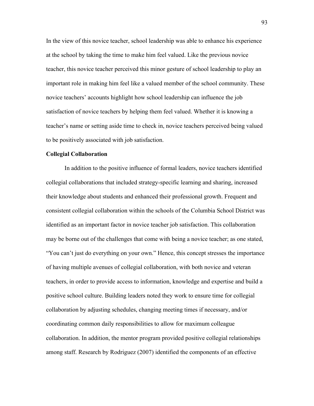In the view of this novice teacher, school leadership was able to enhance his experience at the school by taking the time to make him feel valued. Like the previous novice teacher, this novice teacher perceived this minor gesture of school leadership to play an important role in making him feel like a valued member of the school community. These novice teachers' accounts highlight how school leadership can influence the job satisfaction of novice teachers by helping them feel valued. Whether it is knowing a teacher's name or setting aside time to check in, novice teachers perceived being valued to be positively associated with job satisfaction.

## **Collegial Collaboration**

In addition to the positive influence of formal leaders, novice teachers identified collegial collaborations that included strategy-specific learning and sharing, increased their knowledge about students and enhanced their professional growth. Frequent and consistent collegial collaboration within the schools of the Columbia School District was identified as an important factor in novice teacher job satisfaction. This collaboration may be borne out of the challenges that come with being a novice teacher; as one stated, "You can't just do everything on your own." Hence, this concept stresses the importance of having multiple avenues of collegial collaboration, with both novice and veteran teachers, in order to provide access to information, knowledge and expertise and build a positive school culture. Building leaders noted they work to ensure time for collegial collaboration by adjusting schedules, changing meeting times if necessary, and/or coordinating common daily responsibilities to allow for maximum colleague collaboration. In addition, the mentor program provided positive collegial relationships among staff. Research by Rodriguez (2007) identified the components of an effective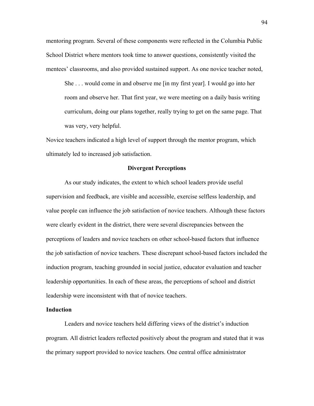mentoring program. Several of these components were reflected in the Columbia Public School District where mentors took time to answer questions, consistently visited the mentees' classrooms, and also provided sustained support. As one novice teacher noted,

She . . . would come in and observe me [in my first year]. I would go into her room and observe her. That first year, we were meeting on a daily basis writing curriculum, doing our plans together, really trying to get on the same page. That was very, very helpful.

Novice teachers indicated a high level of support through the mentor program, which ultimately led to increased job satisfaction.

# **Divergent Perceptions**

As our study indicates, the extent to which school leaders provide useful supervision and feedback, are visible and accessible, exercise selfless leadership, and value people can influence the job satisfaction of novice teachers. Although these factors were clearly evident in the district, there were several discrepancies between the perceptions of leaders and novice teachers on other school-based factors that influence the job satisfaction of novice teachers. These discrepant school-based factors included the induction program, teaching grounded in social justice, educator evaluation and teacher leadership opportunities. In each of these areas, the perceptions of school and district leadership were inconsistent with that of novice teachers.

## **Induction**

Leaders and novice teachers held differing views of the district's induction program. All district leaders reflected positively about the program and stated that it was the primary support provided to novice teachers. One central office administrator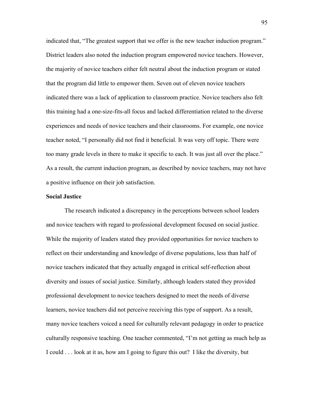indicated that, "The greatest support that we offer is the new teacher induction program." District leaders also noted the induction program empowered novice teachers. However, the majority of novice teachers either felt neutral about the induction program or stated that the program did little to empower them. Seven out of eleven novice teachers indicated there was a lack of application to classroom practice. Novice teachers also felt this training had a one-size-fits-all focus and lacked differentiation related to the diverse experiences and needs of novice teachers and their classrooms. For example, one novice teacher noted, "I personally did not find it beneficial. It was very off topic. There were too many grade levels in there to make it specific to each. It was just all over the place." As a result, the current induction program, as described by novice teachers, may not have a positive influence on their job satisfaction.

## **Social Justice**

The research indicated a discrepancy in the perceptions between school leaders and novice teachers with regard to professional development focused on social justice. While the majority of leaders stated they provided opportunities for novice teachers to reflect on their understanding and knowledge of diverse populations, less than half of novice teachers indicated that they actually engaged in critical self-reflection about diversity and issues of social justice. Similarly, although leaders stated they provided professional development to novice teachers designed to meet the needs of diverse learners, novice teachers did not perceive receiving this type of support. As a result, many novice teachers voiced a need for culturally relevant pedagogy in order to practice culturally responsive teaching. One teacher commented, "I'm not getting as much help as I could . . . look at it as, how am I going to figure this out? I like the diversity, but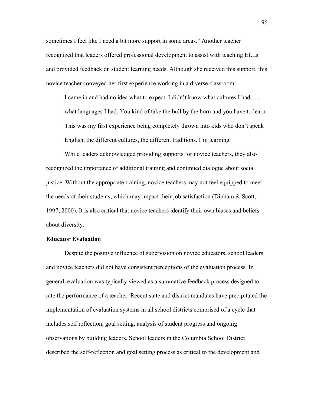sometimes I feel like I need a bit more support in some areas." Another teacher recognized that leaders offered professional development to assist with teaching ELLs and provided feedback on student learning needs. Although she received this support, this novice teacher conveyed her first experience working in a diverse classroom:

I came in and had no idea what to expect. I didn't know what cultures I had . . . what languages I had. You kind of take the bull by the horn and you have to learn. This was my first experience being completely thrown into kids who don't speak English, the different cultures, the different traditions. I'm learning.

While leaders acknowledged providing supports for novice teachers, they also recognized the importance of additional training and continued dialogue about social justice. Without the appropriate training, novice teachers may not feel equipped to meet the needs of their students, which may impact their job satisfaction (Dinham  $\&$  Scott, 1997, 2000). It is also critical that novice teachers identify their own biases and beliefs about diversity.

#### **Educator Evaluation**

Despite the positive influence of supervision on novice educators, school leaders and novice teachers did not have consistent perceptions of the evaluation process. In general, evaluation was typically viewed as a summative feedback process designed to rate the performance of a teacher. Recent state and district mandates have precipitated the implementation of evaluation systems in all school districts comprised of a cycle that includes self reflection, goal setting, analysis of student progress and ongoing observations by building leaders. School leaders in the Columbia School District described the self-reflection and goal setting process as critical to the development and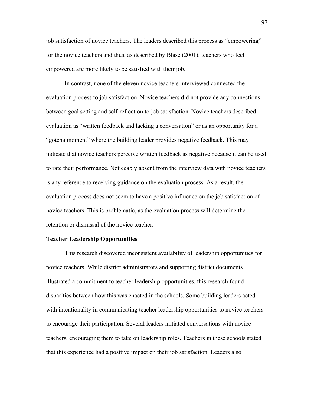job satisfaction of novice teachers. The leaders described this process as "empowering" for the novice teachers and thus, as described by Blase (2001), teachers who feel empowered are more likely to be satisfied with their job.

In contrast, none of the eleven novice teachers interviewed connected the evaluation process to job satisfaction. Novice teachers did not provide any connections between goal setting and self-reflection to job satisfaction. Novice teachers described evaluation as "written feedback and lacking a conversation" or as an opportunity for a "gotcha moment" where the building leader provides negative feedback. This may indicate that novice teachers perceive written feedback as negative because it can be used to rate their performance. Noticeably absent from the interview data with novice teachers is any reference to receiving guidance on the evaluation process. As a result, the evaluation process does not seem to have a positive influence on the job satisfaction of novice teachers. This is problematic, as the evaluation process will determine the retention or dismissal of the novice teacher.

#### **Teacher Leadership Opportunities**

This research discovered inconsistent availability of leadership opportunities for novice teachers. While district administrators and supporting district documents illustrated a commitment to teacher leadership opportunities, this research found disparities between how this was enacted in the schools. Some building leaders acted with intentionality in communicating teacher leadership opportunities to novice teachers to encourage their participation. Several leaders initiated conversations with novice teachers, encouraging them to take on leadership roles. Teachers in these schools stated that this experience had a positive impact on their job satisfaction. Leaders also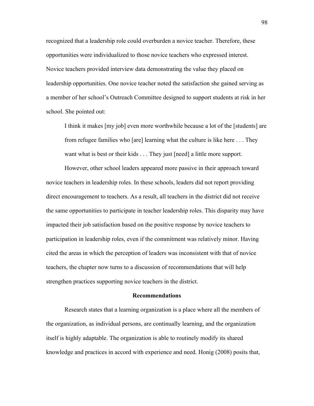recognized that a leadership role could overburden a novice teacher. Therefore, these opportunities were individualized to those novice teachers who expressed interest. Novice teachers provided interview data demonstrating the value they placed on leadership opportunities. One novice teacher noted the satisfaction she gained serving as a member of her school's Outreach Committee designed to support students at risk in her school. She pointed out:

I think it makes [my job] even more worthwhile because a lot of the [students] are from refugee families who [are] learning what the culture is like here . . . They want what is best or their kids . . . They just [need] a little more support.

However, other school leaders appeared more passive in their approach toward novice teachers in leadership roles. In these schools, leaders did not report providing direct encouragement to teachers. As a result, all teachers in the district did not receive the same opportunities to participate in teacher leadership roles. This disparity may have impacted their job satisfaction based on the positive response by novice teachers to participation in leadership roles, even if the commitment was relatively minor. Having cited the areas in which the perception of leaders was inconsistent with that of novice teachers, the chapter now turns to a discussion of recommendations that will help strengthen practices supporting novice teachers in the district.

#### **Recommendations**

Research states that a learning organization is a place where all the members of the organization, as individual persons, are continually learning, and the organization itself is highly adaptable. The organization is able to routinely modify its shared knowledge and practices in accord with experience and need. Honig (2008) posits that,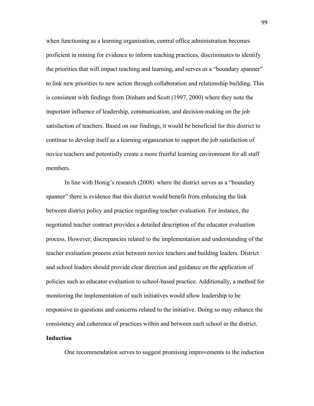when functioning as a learning organization, central office administration becomes proficient in mining for evidence to inform teaching practices, discriminates to identify the priorities that will impact teaching and learning, and serves as a "boundary spanner" to link new priorities to new action through collaboration and relationship building. This is consistent with findings from Dinham and Scott (1997, 2000) where they note the important influence of leadership, communication, and decision-making on the job satisfaction of teachers. Based on our findings, it would be beneficial for this district to continue to develop itself as a learning organization to support the job satisfaction of novice teachers and potentially create a more fruitful learning environment for all staff members.

In line with Honig's research (2008) where the district serves as a "boundary spanner" there is evidence that this district would benefit from enhancing the link between district policy and practice regarding teacher evaluation. For instance, the negotiated teacher contract provides a detailed description of the educator evaluation process. However, discrepancies related to the implementation and understanding of the teacher evaluation process exist between novice teachers and building leaders. District and school leaders should provide clear direction and guidance on the application of policies such as educator evaluation to school-based practice. Additionally, a method for monitoring the implementation of such initiatives would allow leadership to be responsive to questions and concerns related to the initiative. Doing so may enhance the consistency and coherence of practices within and between each school in the district.

#### **Induction**

One recommendation serves to suggest promising improvements to the induction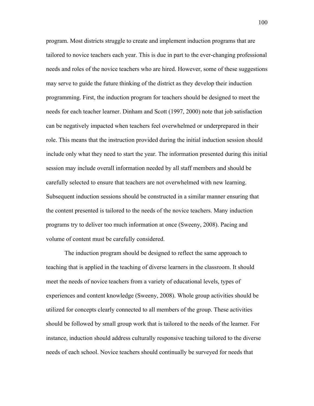program. Most districts struggle to create and implement induction programs that are tailored to novice teachers each year. This is due in part to the ever-changing professional needs and roles of the novice teachers who are hired. However, some of these suggestions may serve to guide the future thinking of the district as they develop their induction programming. First, the induction program for teachers should be designed to meet the needs for each teacher learner. Dinham and Scott (1997, 2000) note that job satisfaction can be negatively impacted when teachers feel overwhelmed or underprepared in their role. This means that the instruction provided during the initial induction session should include only what they need to start the year. The information presented during this initial session may include overall information needed by all staff members and should be carefully selected to ensure that teachers are not overwhelmed with new learning. Subsequent induction sessions should be constructed in a similar manner ensuring that the content presented is tailored to the needs of the novice teachers. Many induction programs try to deliver too much information at once (Sweeny, 2008). Pacing and volume of content must be carefully considered.

The induction program should be designed to reflect the same approach to teaching that is applied in the teaching of diverse learners in the classroom. It should meet the needs of novice teachers from a variety of educational levels, types of experiences and content knowledge (Sweeny, 2008). Whole group activities should be utilized for concepts clearly connected to all members of the group. These activities should be followed by small group work that is tailored to the needs of the learner. For instance, induction should address culturally responsive teaching tailored to the diverse needs of each school. Novice teachers should continually be surveyed for needs that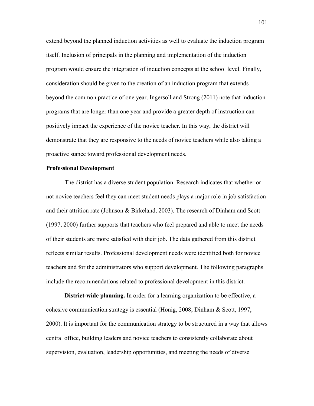extend beyond the planned induction activities as well to evaluate the induction program itself. Inclusion of principals in the planning and implementation of the induction program would ensure the integration of induction concepts at the school level. Finally, consideration should be given to the creation of an induction program that extends beyond the common practice of one year. Ingersoll and Strong (2011) note that induction programs that are longer than one year and provide a greater depth of instruction can positively impact the experience of the novice teacher. In this way, the district will demonstrate that they are responsive to the needs of novice teachers while also taking a proactive stance toward professional development needs.

#### **Professional Development**

The district has a diverse student population. Research indicates that whether or not novice teachers feel they can meet student needs plays a major role in job satisfaction and their attrition rate (Johnson & Birkeland, 2003). The research of Dinham and Scott (1997, 2000) further supports that teachers who feel prepared and able to meet the needs of their students are more satisfied with their job. The data gathered from this district reflects similar results. Professional development needs were identified both for novice teachers and for the administrators who support development. The following paragraphs include the recommendations related to professional development in this district.

**District-wide planning.** In order for a learning organization to be effective, a cohesive communication strategy is essential (Honig, 2008; Dinham & Scott, 1997, 2000). It is important for the communication strategy to be structured in a way that allows central office, building leaders and novice teachers to consistently collaborate about supervision, evaluation, leadership opportunities, and meeting the needs of diverse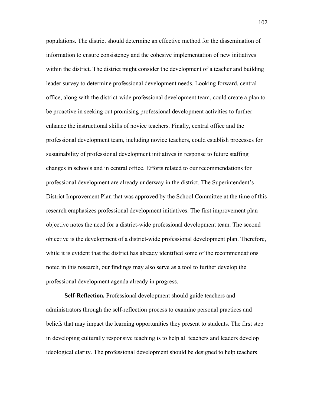populations. The district should determine an effective method for the dissemination of information to ensure consistency and the cohesive implementation of new initiatives within the district. The district might consider the development of a teacher and building leader survey to determine professional development needs. Looking forward, central office, along with the district-wide professional development team, could create a plan to be proactive in seeking out promising professional development activities to further enhance the instructional skills of novice teachers. Finally, central office and the professional development team, including novice teachers, could establish processes for sustainability of professional development initiatives in response to future staffing changes in schools and in central office. Efforts related to our recommendations for professional development are already underway in the district. The Superintendent's District Improvement Plan that was approved by the School Committee at the time of this research emphasizes professional development initiatives. The first improvement plan objective notes the need for a district-wide professional development team. The second objective is the development of a district-wide professional development plan. Therefore, while it is evident that the district has already identified some of the recommendations noted in this research, our findings may also serve as a tool to further develop the professional development agenda already in progress.

**Self-Reflection***.* Professional development should guide teachers and administrators through the self-reflection process to examine personal practices and beliefs that may impact the learning opportunities they present to students. The first step in developing culturally responsive teaching is to help all teachers and leaders develop ideological clarity. The professional development should be designed to help teachers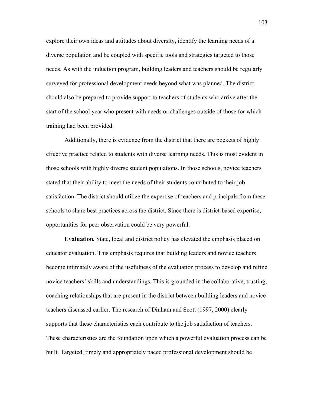explore their own ideas and attitudes about diversity, identify the learning needs of a diverse population and be coupled with specific tools and strategies targeted to those needs. As with the induction program, building leaders and teachers should be regularly surveyed for professional development needs beyond what was planned. The district should also be prepared to provide support to teachers of students who arrive after the start of the school year who present with needs or challenges outside of those for which training had been provided.

Additionally, there is evidence from the district that there are pockets of highly effective practice related to students with diverse learning needs. This is most evident in those schools with highly diverse student populations. In those schools, novice teachers stated that their ability to meet the needs of their students contributed to their job satisfaction. The district should utilize the expertise of teachers and principals from these schools to share best practices across the district. Since there is district-based expertise, opportunities for peer observation could be very powerful.

**Evaluation***.* State, local and district policy has elevated the emphasis placed on educator evaluation. This emphasis requires that building leaders and novice teachers become intimately aware of the usefulness of the evaluation process to develop and refine novice teachers' skills and understandings. This is grounded in the collaborative, trusting, coaching relationships that are present in the district between building leaders and novice teachers discussed earlier. The research of Dinham and Scott (1997, 2000) clearly supports that these characteristics each contribute to the job satisfaction of teachers. These characteristics are the foundation upon which a powerful evaluation process can be built. Targeted, timely and appropriately paced professional development should be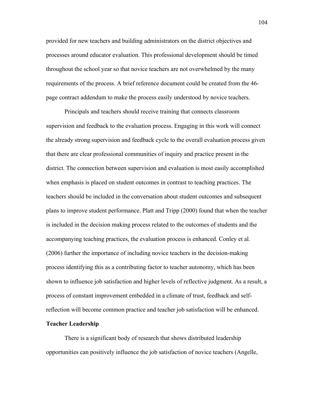provided for new teachers and building administrators on the district objectives and processes around educator evaluation. This professional development should be timed throughout the school year so that novice teachers are not overwhelmed by the many requirements of the process. A brief reference document could be created from the 46 page contract addendum to make the process easily understood by novice teachers.

Principals and teachers should receive training that connects classroom supervision and feedback to the evaluation process. Engaging in this work will connect the already strong supervision and feedback cycle to the overall evaluation process given that there are clear professional communities of inquiry and practice present in the district. The connection between supervision and evaluation is most easily accomplished when emphasis is placed on student outcomes in contrast to teaching practices. The teachers should be included in the conversation about student outcomes and subsequent plans to improve student performance. Platt and Tripp (2000) found that when the teacher is included in the decision making process related to the outcomes of students and the accompanying teaching practices, the evaluation process is enhanced. Conley et al. (2006) further the importance of including novice teachers in the decision-making process identifying this as a contributing factor to teacher autonomy, which has been shown to influence job satisfaction and higher levels of reflective judgment. As a result, a process of constant improvement embedded in a climate of trust, feedback and selfreflection will become common practice and teacher job satisfaction will be enhanced.

#### **Teacher Leadership**

There is a significant body of research that shows distributed leadership opportunities can positively influence the job satisfaction of novice teachers (Angelle,

104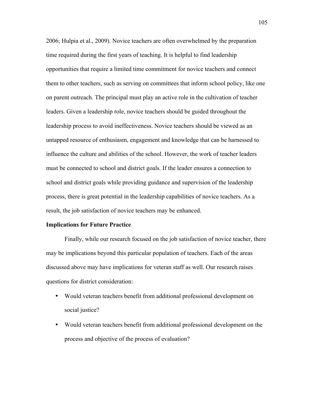2006; Hulpia et al., 2009). Novice teachers are often overwhelmed by the preparation time required during the first years of teaching. It is helpful to find leadership opportunities that require a limited time commitment for novice teachers and connect them to other teachers, such as serving on committees that inform school policy, like one on parent outreach. The principal must play an active role in the cultivation of teacher leaders. Given a leadership role, novice teachers should be guided throughout the leadership process to avoid ineffectiveness. Novice teachers should be viewed as an untapped resource of enthusiasm, engagement and knowledge that can be harnessed to influence the culture and abilities of the school. However, the work of teacher leaders must be connected to school and district goals. If the leader ensures a connection to school and district goals while providing guidance and supervision of the leadership process, there is great potential in the leadership capabilities of novice teachers. As a result, the job satisfaction of novice teachers may be enhanced.

#### **Implications for Future Practice**

Finally, while our research focused on the job satisfaction of novice teacher, there may be implications beyond this particular population of teachers. Each of the areas discussed above may have implications for veteran staff as well. Our research raises questions for district consideration:

- Would veteran teachers benefit from additional professional development on social justice?
- Would veteran teachers benefit from additional professional development on the process and objective of the process of evaluation?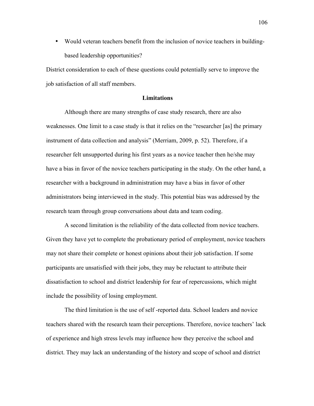• Would veteran teachers benefit from the inclusion of novice teachers in buildingbased leadership opportunities?

District consideration to each of these questions could potentially serve to improve the job satisfaction of all staff members.

#### **Limitations**

Although there are many strengths of case study research, there are also weaknesses. One limit to a case study is that it relies on the "researcher [as] the primary instrument of data collection and analysis" (Merriam, 2009, p. 52). Therefore, if a researcher felt unsupported during his first years as a novice teacher then he/she may have a bias in favor of the novice teachers participating in the study. On the other hand, a researcher with a background in administration may have a bias in favor of other administrators being interviewed in the study. This potential bias was addressed by the research team through group conversations about data and team coding.

A second limitation is the reliability of the data collected from novice teachers. Given they have yet to complete the probationary period of employment, novice teachers may not share their complete or honest opinions about their job satisfaction. If some participants are unsatisfied with their jobs, they may be reluctant to attribute their dissatisfaction to school and district leadership for fear of repercussions, which might include the possibility of losing employment.

The third limitation is the use of self -reported data. School leaders and novice teachers shared with the research team their perceptions. Therefore, novice teachers' lack of experience and high stress levels may influence how they perceive the school and district. They may lack an understanding of the history and scope of school and district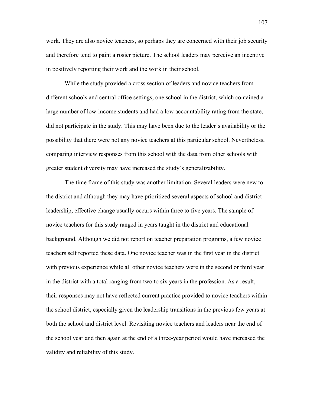work. They are also novice teachers, so perhaps they are concerned with their job security and therefore tend to paint a rosier picture. The school leaders may perceive an incentive in positively reporting their work and the work in their school.

While the study provided a cross section of leaders and novice teachers from different schools and central office settings, one school in the district, which contained a large number of low-income students and had a low accountability rating from the state, did not participate in the study. This may have been due to the leader's availability or the possibility that there were not any novice teachers at this particular school. Nevertheless, comparing interview responses from this school with the data from other schools with greater student diversity may have increased the study's generalizability.

The time frame of this study was another limitation. Several leaders were new to the district and although they may have prioritized several aspects of school and district leadership, effective change usually occurs within three to five years. The sample of novice teachers for this study ranged in years taught in the district and educational background. Although we did not report on teacher preparation programs, a few novice teachers self reported these data. One novice teacher was in the first year in the district with previous experience while all other novice teachers were in the second or third year in the district with a total ranging from two to six years in the profession. As a result, their responses may not have reflected current practice provided to novice teachers within the school district, especially given the leadership transitions in the previous few years at both the school and district level. Revisiting novice teachers and leaders near the end of the school year and then again at the end of a three-year period would have increased the validity and reliability of this study.

107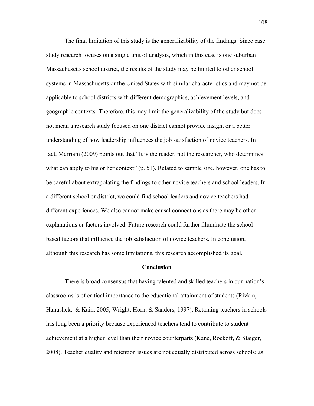The final limitation of this study is the generalizability of the findings. Since case study research focuses on a single unit of analysis, which in this case is one suburban Massachusetts school district, the results of the study may be limited to other school systems in Massachusetts or the United States with similar characteristics and may not be applicable to school districts with different demographics, achievement levels, and geographic contexts. Therefore, this may limit the generalizability of the study but does not mean a research study focused on one district cannot provide insight or a better understanding of how leadership influences the job satisfaction of novice teachers. In fact, Merriam (2009) points out that "It is the reader, not the researcher, who determines what can apply to his or her context" (p. 51). Related to sample size, however, one has to be careful about extrapolating the findings to other novice teachers and school leaders. In a different school or district, we could find school leaders and novice teachers had different experiences. We also cannot make causal connections as there may be other explanations or factors involved. Future research could further illuminate the schoolbased factors that influence the job satisfaction of novice teachers. In conclusion, although this research has some limitations, this research accomplished its goal.

#### **Conclusion**

There is broad consensus that having talented and skilled teachers in our nation's classrooms is of critical importance to the educational attainment of students (Rivkin, Hanushek, & Kain, 2005; Wright, Horn, & Sanders, 1997). Retaining teachers in schools has long been a priority because experienced teachers tend to contribute to student achievement at a higher level than their novice counterparts (Kane, Rockoff, & Staiger, 2008). Teacher quality and retention issues are not equally distributed across schools; as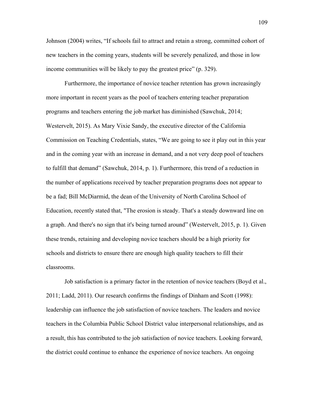Johnson (2004) writes, "If schools fail to attract and retain a strong, committed cohort of new teachers in the coming years, students will be severely penalized, and those in low income communities will be likely to pay the greatest price" (p. 329).

Furthermore, the importance of novice teacher retention has grown increasingly more important in recent years as the pool of teachers entering teacher preparation programs and teachers entering the job market has diminished (Sawchuk, 2014; Westervelt, 2015). As Mary Vixie Sandy, the executive director of the California Commission on Teaching Credentials, states, "We are going to see it play out in this year and in the coming year with an increase in demand, and a not very deep pool of teachers to fulfill that demand" (Sawchuk, 2014, p. 1). Furthermore, this trend of a reduction in the number of applications received by teacher preparation programs does not appear to be a fad; Bill McDiarmid, the dean of the University of North Carolina School of Education, recently stated that, "The erosion is steady. That's a steady downward line on a graph. And there's no sign that it's being turned around" (Westervelt, 2015, p. 1). Given these trends, retaining and developing novice teachers should be a high priority for schools and districts to ensure there are enough high quality teachers to fill their classrooms.

Job satisfaction is a primary factor in the retention of novice teachers (Boyd et al., 2011; Ladd, 2011). Our research confirms the findings of Dinham and Scott (1998): leadership can influence the job satisfaction of novice teachers. The leaders and novice teachers in the Columbia Public School District value interpersonal relationships, and as a result, this has contributed to the job satisfaction of novice teachers. Looking forward, the district could continue to enhance the experience of novice teachers. An ongoing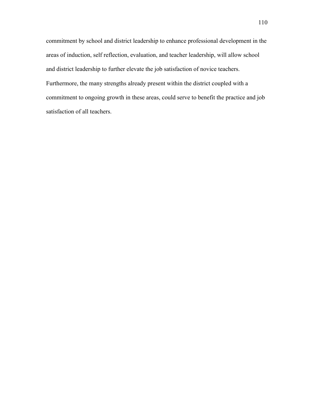commitment by school and district leadership to enhance professional development in the areas of induction, self reflection, evaluation, and teacher leadership, will allow school and district leadership to further elevate the job satisfaction of novice teachers. Furthermore, the many strengths already present within the district coupled with a commitment to ongoing growth in these areas, could serve to benefit the practice and job satisfaction of all teachers.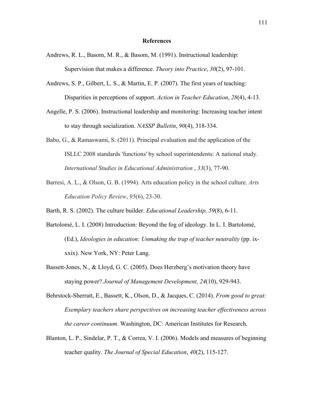#### **References**

- Andrews, R. L., Basom, M. R., & Basom, M. (1991). Instructional leadership: Supervision that makes a difference. *Theory into Practice*, *30*(2), 97-101.
- Andrews, S. P., Gilbert, L. S., & Martin, E. P. (2007). The first years of teaching: Disparities in perceptions of support. *Action in Teacher Education*, *28*(4), 4-13.
- Angelle, P. S. (2006). Instructional leadership and monitoring: Increasing teacher intent to stay through socialization. *NASSP Bulletin*, *90*(4), 318-334.
- Babo, G., & Ramaswami, S. (2011). Principal evaluation and the application of the ISLLC 2008 standards 'functions' by school superintendents: A national study. *International Studies in Educational Administration* , *33*(3), 77-90.
- Barresi, A. L., & Olson, G. B. (1994). Arts education policy in the school culture. *Arts Education Policy Review*, *95*(6), 23-30.
- Barth, R. S. (2002). The culture builder. *Educational Leadership, 59*(8), 6-11.
- Bartolomé, L. I. (2008) Introduction: Beyond the fog of ideology. In L. I. Bartolomé, (Ed.), *Ideologies in education: Unmaking the trap of teacher neutrality* (pp. ixxxix). New York, NY: Peter Lang.
- Bassett-Jones, N., & Lloyd, G. C. (2005). Does Herzberg's motivation theory have staying power? *Journal of Management Development, 24*(10), 929-943.
- Behrstock-Sherratt, E., Bassett, K., Olson, D., & Jacques, C. (2014). *From good to great: Exemplary teachers share perspectives on increasing teacher effectiveness across the career continuum*. Washington, DC: American Institutes for Research.
- Blanton, L. P., Sindelar, P. T., & Correa, V. I. (2006). Models and measures of beginning teacher quality. *The Journal of Special Education*, *40*(2), 115-127.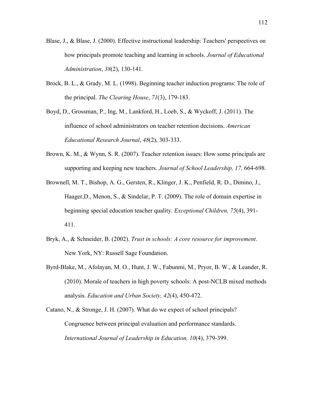- Blase, J., & Blase, J. (2000). Effective instructional leadership: Teachers' perspectives on how principals promote teaching and learning in schools. *Journal of Educational Administration*, *38*(2), 130-141.
- Brock, B. L., & Grady, M. L. (1998). Beginning teacher induction programs: The role of the principal. *The Clearing House*, *71*(3), 179-183.
- Boyd, D., Grossman, P., Ing, M., Lankford, H., Loeb, S., & Wyckoff, J. (2011). The influence of school administrators on teacher retention decisions. *American Educational Research Journal*, *48*(2), 303-333.
- Brown, K. M., & Wynn, S. R. (2007). Teacher retention issues: How some principals are supporting and keeping new teachers. *Journal of School Leadership, 17,* 664-698.
- Brownell, M. T., Bishop, A. G., Gersten, R., Klinger, J. K., Penfield, R. D., Dimino, J., Haager,D., Menon, S., & Sindelar, P. T. (2009). The role of domain expertise in beginning special education teacher quality. *Exceptional Children, 75*(4), 391- 411.
- Bryk, A., & Schneider, B. (2002). *Trust in schools: A core resource for improvement*. New York, NY: Russell Sage Foundation.
- Byrd-Blake, M., Afolayan, M. O., Hunt, J. W., Fabunmi, M., Pryor, B. W., & Leander, R. (2010). Morale of teachers in high poverty schools: A post-NCLB mixed methods analysis. *Education and Urban Society, 42*(4), 450-472.
- Catano, N., & Stronge, J. H. (2007). What do we expect of school principals? Congruence between principal evaluation and performance standards. *International Journal of Leadership in Education, 10*(4), 379-399.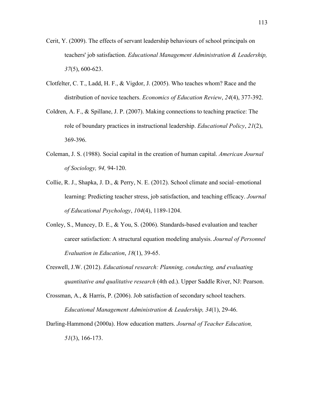- Cerit, Y. (2009). The effects of servant leadership behaviours of school principals on teachers' job satisfaction. *Educational Management Administration & Leadership, 37*(5), 600-623.
- Clotfelter, C. T., Ladd, H. F., & Vigdor, J. (2005). Who teaches whom? Race and the distribution of novice teachers. *Economics of Education Review*, *24*(4), 377-392.
- Coldren, A. F., & Spillane, J. P. (2007). Making connections to teaching practice: The role of boundary practices in instructional leadership. *Educational Policy*, *21*(2), 369-396.
- Coleman, J. S. (1988). Social capital in the creation of human capital. *American Journal of Sociology, 94,* 94-120.
- Collie, R. J., Shapka, J. D., & Perry, N. E. (2012). School climate and social–emotional learning: Predicting teacher stress, job satisfaction, and teaching efficacy. *Journal of Educational Psychology*, *104*(4), 1189-1204.
- Conley, S., Muncey, D. E., & You, S. (2006). Standards-based evaluation and teacher career satisfaction: A structural equation modeling analysis. *Journal of Personnel Evaluation in Education*, *18*(1), 39-65.
- Creswell, J.W. (2012). *Educational research: Planning, conducting, and evaluating quantitative and qualitative research* (4th ed.). Upper Saddle River, NJ: Pearson.
- Crossman, A., & Harris, P. (2006). Job satisfaction of secondary school teachers. *Educational Management Administration & Leadership, 34*(1), 29-46.
- Darling-Hammond (2000a). How education matters. *Journal of Teacher Education, 51*(3), 166-173.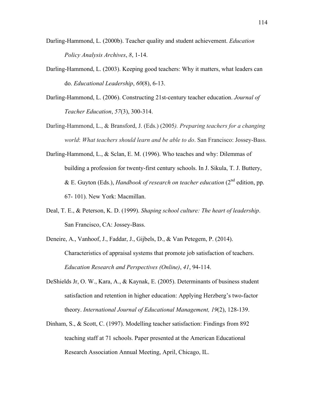- Darling-Hammond, L. (2000b). Teacher quality and student achievement. *Education Policy Analysis Archives*, *8*, 1-14.
- Darling-Hammond, L. (2003). Keeping good teachers: Why it matters, what leaders can do. *Educational Leadership*, *60*(8), 6-13.
- Darling-Hammond, L. (2006). Constructing 21st-century teacher education. *Journal of Teacher Education*, *57*(3), 300-314.
- Darling-Hammond, L., & Bransford, J. (Eds.) (2005*). Preparing teachers for a changing world*: *What teachers should learn and be able to do*. San Francisco: Jossey-Bass.
- Darling-Hammond, L., & Sclan, E. M. (1996). Who teaches and why: Dilemmas of building a profession for twenty-first century schools. In J. Sikula, T. J. Buttery, & E. Guyton (Eds.), *Handbook of research on teacher education* (2nd edition, pp. 67- 101). New York: Macmillan.
- Deal, T. E., & Peterson, K. D. (1999). *Shaping school culture: The heart of leadership*. San Francisco, CA: Jossey-Bass.
- Deneire, A., Vanhoof, J., Faddar, J., Gijbels, D., & Van Petegem, P. (2014). Characteristics of appraisal systems that promote job satisfaction of teachers. *Education Research and Perspectives (Online)*, *41*, 94-114.
- DeShields Jr, O. W., Kara, A., & Kaynak, E. (2005). Determinants of business student satisfaction and retention in higher education: Applying Herzberg's two-factor theory. *International Journal of Educational Management, 19*(2), 128-139.
- Dinham, S., & Scott, C. (1997). Modelling teacher satisfaction: Findings from 892 teaching staff at 71 schools. Paper presented at the American Educational Research Association Annual Meeting, April, Chicago, IL.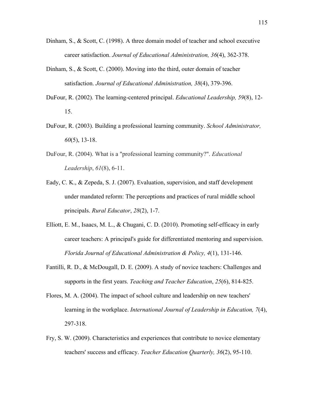- Dinham, S., & Scott, C. (1998). A three domain model of teacher and school executive career satisfaction. *Journal of Educational Administration, 36*(4), 362-378.
- Dinham, S., & Scott, C. (2000). Moving into the third, outer domain of teacher satisfaction. *Journal of Educational Administration, 38*(4), 379-396.
- DuFour, R. (2002). The learning-centered principal. *Educational Leadership, 59*(8), 12- 15.
- DuFour, R. (2003). Building a professional learning community. *School Administrator, 60*(5), 13-18.
- DuFour, R. (2004). What is a "professional learning community?". *Educational Leadership*, *61*(8), 6-11.
- Eady, C. K., & Zepeda, S. J. (2007). Evaluation, supervision, and staff development under mandated reform: The perceptions and practices of rural middle school principals. *Rural Educator*, *28*(2), 1-7.
- Elliott, E. M., Isaacs, M. L., & Chugani, C. D. (2010). Promoting self-efficacy in early career teachers: A principal's guide for differentiated mentoring and supervision. *Florida Journal of Educational Administration & Policy, 4*(1), 131-146.
- Fantilli, R. D., & McDougall, D. E. (2009). A study of novice teachers: Challenges and supports in the first years. *Teaching and Teacher Education*, *25*(6), 814-825.
- Flores, M. A. (2004). The impact of school culture and leadership on new teachers' learning in the workplace. *International Journal of Leadership in Education, 7*(4), 297-318.
- Fry, S. W. (2009). Characteristics and experiences that contribute to novice elementary teachers' success and efficacy. *Teacher Education Quarterly, 36*(2), 95-110.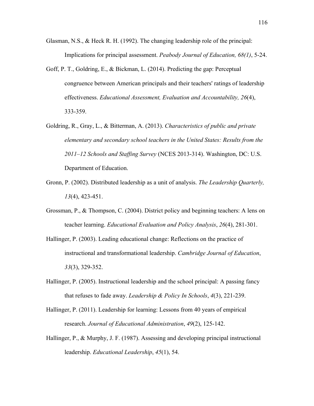- Glasman, N.S., & Heck R. H. (1992). The changing leadership role of the principal: Implications for principal assessment. *Peabody Journal of Education, 68(1)*, 5-24.
- Goff, P. T., Goldring, E., & Bickman, L. (2014). Predicting the gap: Perceptual congruence between American principals and their teachers' ratings of leadership effectiveness. *Educational Assessment, Evaluation and Accountability, 26*(4), 333-359.
- Goldring, R., Gray, L., & Bitterman, A. (2013). *Characteristics of public and private elementary and secondary school teachers in the United States: Results from the 2011–12 Schools and Staffing Survey* (NCES 2013-314). Washington, DC: U.S. Department of Education.
- Gronn, P. (2002). Distributed leadership as a unit of analysis. *The Leadership Quarterly, 13*(4), 423-451.
- Grossman, P., & Thompson, C. (2004). District policy and beginning teachers: A lens on teacher learning. *Educational Evaluation and Policy Analysis*, *26*(4), 281-301.
- Hallinger, P. (2003). Leading educational change: Reflections on the practice of instructional and transformational leadership. *Cambridge Journal of Education*, *33*(3), 329-352.
- Hallinger, P. (2005). Instructional leadership and the school principal: A passing fancy that refuses to fade away. *Leadership & Policy In Schools*, *4*(3), 221-239.
- Hallinger, P. (2011). Leadership for learning: Lessons from 40 years of empirical research. *Journal of Educational Administration*, *49*(2), 125-142.
- Hallinger, P., & Murphy, J. F. (1987). Assessing and developing principal instructional leadership. *Educational Leadership*, *45*(1), 54.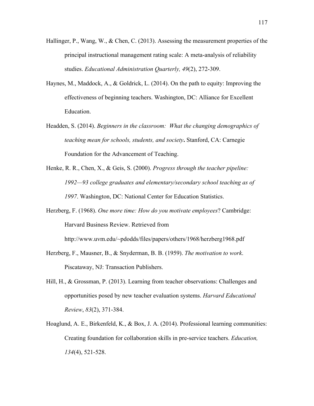- Hallinger, P., Wang, W., & Chen, C. (2013). Assessing the measurement properties of the principal instructional management rating scale: A meta-analysis of reliability studies. *Educational Administration Quarterly, 49*(2), 272-309.
- Haynes, M., Maddock, A., & Goldrick, L. (2014). On the path to equity: Improving the effectiveness of beginning teachers. Washington, DC: Alliance for Excellent Education.
- Headden, S. (2014). *Beginners in the classroom: What the changing demographics of teaching mean for schools, students, and society***.** Stanford, CA: Carnegie Foundation for the Advancement of Teaching.
- Henke, R. R., Chen, X., & Geis, S. (2000). *Progress through the teacher pipeline: 1992—93 college graduates and elementary/secondary school teaching as of 1997*. Washington, DC: National Center for Education Statistics.
- Herzberg, F. (1968). *One more time: How do you motivate employees*? Cambridge: Harvard Business Review. Retrieved from

http://www.uvm.edu/~pdodds/files/papers/others/1968/herzberg1968.pdf

- Herzberg, F., Mausner, B., & Snyderman, B. B. (1959). *The motivation to work*. Piscataway, NJ: Transaction Publishers.
- Hill, H., & Grossman, P. (2013). Learning from teacher observations: Challenges and opportunities posed by new teacher evaluation systems. *Harvard Educational Review*, *83*(2), 371-384.
- Hoaglund, A. E., Birkenfeld, K., & Box, J. A. (2014). Professional learning communities: Creating foundation for collaboration skills in pre-service teachers. *Education, 134*(4), 521-528.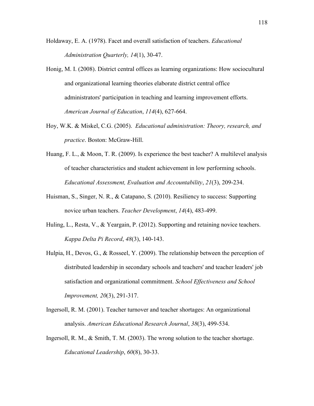- Holdaway, E. A. (1978). Facet and overall satisfaction of teachers. *Educational Administration Quarterly, 14*(1), 30-47.
- Honig, M. I. (2008). District central offices as learning organizations: How sociocultural and organizational learning theories elaborate district central office administrators' participation in teaching and learning improvement efforts. *American Journal of Education*, *114*(4), 627-664.
- Hoy, W.K. & Miskel, C.G. (2005). *Educational administration: Theory, research, and practice*. Boston: McGraw-Hill.
- Huang, F. L., & Moon, T. R. (2009). Is experience the best teacher? A multilevel analysis of teacher characteristics and student achievement in low performing schools. *Educational Assessment, Evaluation and Accountability*, *21*(3), 209-234.
- Huisman, S., Singer, N. R., & Catapano, S. (2010). Resiliency to success: Supporting novice urban teachers. *Teacher Development*, *14*(4), 483-499.
- Huling, L., Resta, V., & Yeargain, P. (2012). Supporting and retaining novice teachers. *Kappa Delta Pi Record*, *48*(3), 140-143.
- Hulpia, H., Devos, G., & Rosseel, Y. (2009). The relationship between the perception of distributed leadership in secondary schools and teachers' and teacher leaders' job satisfaction and organizational commitment. *School Effectiveness and School Improvement, 20*(3), 291-317.
- Ingersoll, R. M. (2001). Teacher turnover and teacher shortages: An organizational analysis. *American Educational Research Journal*, *38*(3), 499-534.
- Ingersoll, R. M., & Smith, T. M. (2003). The wrong solution to the teacher shortage. *Educational Leadership*, *60*(8), 30-33.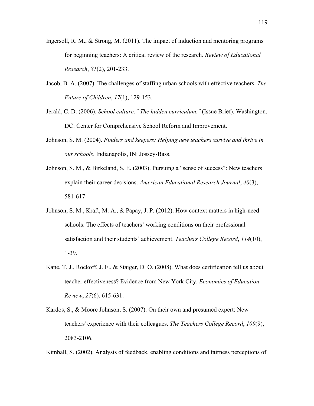- Ingersoll, R. M., & Strong, M. (2011). The impact of induction and mentoring programs for beginning teachers: A critical review of the research. *Review of Educational Research*, *81*(2), 201-233.
- Jacob, B. A. (2007). The challenges of staffing urban schools with effective teachers. *The Future of Children*, *17*(1), 129-153.
- Jerald, C. D. (2006). *School culture:" The hidden curriculum."* (Issue Brief). Washington, DC: Center for Comprehensive School Reform and Improvement.
- Johnson, S. M. (2004). *Finders and keepers: Helping new teachers survive and thrive in our schools*. Indianapolis, IN: Jossey-Bass.
- Johnson, S. M., & Birkeland, S. E. (2003). Pursuing a "sense of success": New teachers explain their career decisions. *American Educational Research Journal*, *40*(3), 581-617
- Johnson, S. M., Kraft, M. A., & Papay, J. P. (2012). How context matters in high-need schools: The effects of teachers' working conditions on their professional satisfaction and their students' achievement. *Teachers College Record*, *114*(10), 1-39.
- Kane, T. J., Rockoff, J. E., & Staiger, D. O. (2008). What does certification tell us about teacher effectiveness? Evidence from New York City. *Economics of Education Review*, *27*(6), 615-631.
- Kardos, S., & Moore Johnson, S. (2007). On their own and presumed expert: New teachers' experience with their colleagues. *The Teachers College Record*, *109*(9), 2083-2106.

Kimball, S. (2002). Analysis of feedback, enabling conditions and fairness perceptions of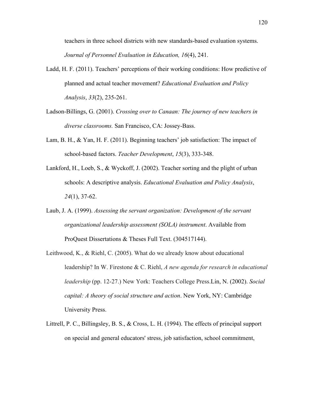teachers in three school districts with new standards-based evaluation systems. *Journal of Personnel Evaluation in Education, 16*(4), 241.

- Ladd, H. F. (2011). Teachers' perceptions of their working conditions: How predictive of planned and actual teacher movement? *Educational Evaluation and Policy Analysis*, *33*(2), 235-261.
- Ladson-Billings, G. (2001). *Crossing over to Canaan: The journey of new teachers in diverse classrooms.* San Francisco, CA: Jossey-Bass.
- Lam, B. H., & Yan, H. F. (2011). Beginning teachers' job satisfaction: The impact of school-based factors. *Teacher Development*, *15*(3), 333-348.
- Lankford, H., Loeb, S., & Wyckoff, J. (2002). Teacher sorting and the plight of urban schools: A descriptive analysis. *Educational Evaluation and Policy Analysis*, *24*(1), 37-62.
- Laub, J. A. (1999). *Assessing the servant organization: Development of the servant organizational leadership assessment (SOLA) instrument*. Available from ProQuest Dissertations & Theses Full Text. (304517144).
- Leithwood, K., & Riehl, C. (2005). What do we already know about educational leadership? In W. Firestone & C. Riehl, *A new agenda for research in educational leadership* (pp. 12-27.) New York: Teachers College Press.Lin, N. (2002). *Social capital: A theory of social structure and action*. New York, NY: Cambridge University Press.
- Littrell, P. C., Billingsley, B. S., & Cross, L. H. (1994). The effects of principal support on special and general educators' stress, job satisfaction, school commitment,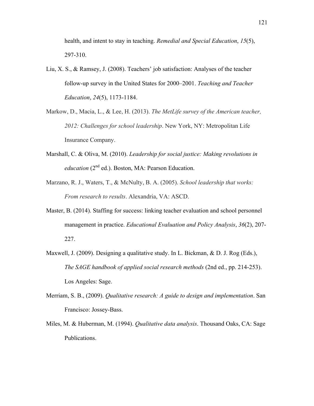health, and intent to stay in teaching. *Remedial and Special Education*, *15*(5), 297-310.

- Liu, X. S., & Ramsey, J. (2008). Teachers' job satisfaction: Analyses of the teacher follow-up survey in the United States for 2000–2001. *Teaching and Teacher Education*, *24*(5), 1173-1184.
- Markow, D., Macia, L., & Lee, H. (2013). *The MetLife survey of the American teacher, 2012: Challenges for school leadership*. New York, NY: Metropolitan Life Insurance Company.
- Marshall, C. & Oliva, M. (2010). *Leadership for social justice: Making revolutions in education* (2<sup>nd</sup> ed.). Boston, MA: Pearson Education.
- Marzano, R. J., Waters, T., & McNulty, B. A. (2005). *School leadership that works: From research to results*. Alexandria, VA: ASCD.
- Master, B. (2014). Staffing for success: linking teacher evaluation and school personnel management in practice. *Educational Evaluation and Policy Analysis*, *36*(2), 207- 227.
- Maxwell, J. (2009). Designing a qualitative study. In L. Bickman, & D. J. Rog (Eds.), *The SAGE handbook of applied social research methods* (2nd ed., pp. 214-253). Los Angeles: Sage.
- Merriam, S. B., (2009). *Qualitative research: A guide to design and implementation*. San Francisco: Jossey-Bass.
- Miles, M. & Huberman, M. (1994). *Qualitative data analysis*. Thousand Oaks, CA: Sage Publications.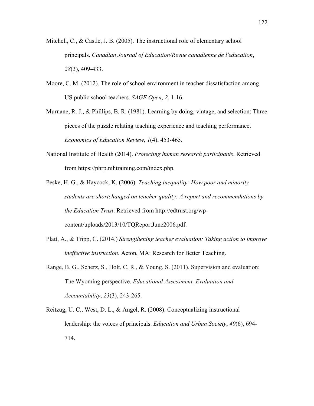- Mitchell, C., & Castle, J. B. (2005). The instructional role of elementary school principals. *Canadian Journal of Education/Revue canadienne de l'education*, *28*(3), 409-433.
- Moore, C. M. (2012). The role of school environment in teacher dissatisfaction among US public school teachers. *SAGE Open*, *2*, 1-16.
- Murnane, R. J., & Phillips, B. R. (1981). Learning by doing, vintage, and selection: Three pieces of the puzzle relating teaching experience and teaching performance. *Economics of Education Review*, *1*(4), 453-465.
- National Institute of Health (2014). *Protecting human research participants*. Retrieved from https://phrp.nihtraining.com/index.php.
- Peske, H. G., & Haycock, K. (2006). *Teaching inequality: How poor and minority students are shortchanged on teacher quality: A report and recommendations by the Education Trust*. Retrieved from http://edtrust.org/wpcontent/uploads/2013/10/TQReportJune2006.pdf.
- Platt, A., & Tripp, C. (2014.) *Strengthening teacher evaluation: Taking action to improve ineffective instruction*. Acton, MA: Research for Better Teaching.
- Range, B. G., Scherz, S., Holt, C. R., & Young, S. (2011). Supervision and evaluation: The Wyoming perspective. *Educational Assessment, Evaluation and Accountability*, *23*(3), 243-265.
- Reitzug, U. C., West, D. L., & Angel, R. (2008). Conceptualizing instructional leadership: the voices of principals. *Education and Urban Society*, *40*(6), 694- 714.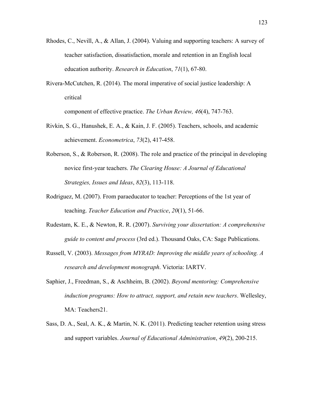- Rhodes, C., Nevill, A., & Allan, J. (2004). Valuing and supporting teachers: A survey of teacher satisfaction, dissatisfaction, morale and retention in an English local education authority. *Research in Education*, *71*(1), 67-80.
- Rivera-McCutchen, R. (2014). The moral imperative of social justice leadership: A critical

component of effective practice. *The Urban Review, 46*(4), 747-763.

- Rivkin, S. G., Hanushek, E. A., & Kain, J. F. (2005). Teachers, schools, and academic achievement. *Econometrica*, *73*(2), 417-458.
- Roberson, S., & Roberson, R. (2008). The role and practice of the principal in developing novice first-year teachers. *The Clearing House: A Journal of Educational Strategies, Issues and Ideas*, *82*(3), 113-118.
- Rodriguez, M. (2007). From paraeducator to teacher: Perceptions of the 1st year of teaching. *Teacher Education and Practice*, *20*(1), 51-66.
- Rudestam, K. E., & Newton, R. R. (2007). *Surviving your dissertation: A comprehensive guide to content and process* (3rd ed.). Thousand Oaks, CA: Sage Publications.
- Russell, V. (2003). *Messages from MYRAD: Improving the middle years of schooling. A research and development monograph*. Victoria: IARTV.
- Saphier, J., Freedman, S., & Aschheim, B. (2002). *Beyond mentoring: Comprehensive induction programs: How to attract, support, and retain new teachers*. Wellesley, MA: Teachers21.
- Sass, D. A., Seal, A. K., & Martin, N. K. (2011). Predicting teacher retention using stress and support variables. *Journal of Educational Administration*, *49*(2), 200-215.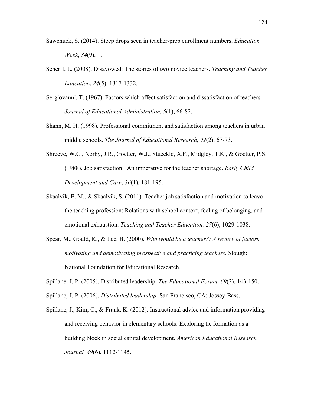- Sawchuck, S. (2014). Steep drops seen in teacher-prep enrollment numbers. *Education Week*, *34*(9), 1.
- Scherff, L. (2008). Disavowed: The stories of two novice teachers. *Teaching and Teacher Education*, *24*(5), 1317-1332.
- Sergiovanni, T. (1967). Factors which affect satisfaction and dissatisfaction of teachers. *Journal of Educational Administration, 5*(1), 66-82.
- Shann, M. H. (1998). Professional commitment and satisfaction among teachers in urban middle schools. *The Journal of Educational Research*, *92*(2), 67-73.
- Shreeve, W.C., Norby, J.R., Goetter, W.J., Stueckle, A.F., Midgley, T.K., & Goetter, P.S. (1988). Job satisfaction: An imperative for the teacher shortage. *Early Child Development and Care*, *36*(1), 181-195.
- Skaalvik, E. M., & Skaalvik, S. (2011). Teacher job satisfaction and motivation to leave the teaching profession: Relations with school context, feeling of belonging, and emotional exhaustion. *Teaching and Teacher Education, 27*(6), 1029-1038.
- Spear, M., Gould, K., & Lee, B. (2000). *Who would be a teacher?: A review of factors motivating and demotivating prospective and practicing teachers.* Slough: National Foundation for Educational Research.
- Spillane, J. P. (2005). Distributed leadership. *The Educational Forum, 69*(2), 143-150.
- Spillane, J. P. (2006). *Distributed leadership*. San Francisco, CA: Jossey-Bass.
- Spillane, J., Kim, C., & Frank, K. (2012). Instructional advice and information providing and receiving behavior in elementary schools: Exploring tie formation as a building block in social capital development. *American Educational Research Journal, 49*(6), 1112-1145.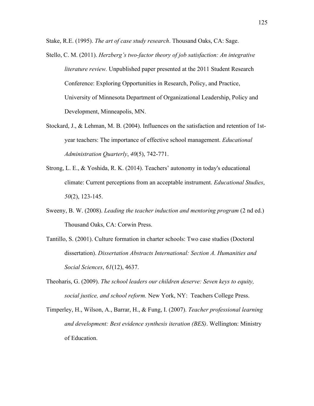Stake, R.E. (1995). *The art of case study research*. Thousand Oaks, CA: Sage.

- Stello, C. M. (2011). *Herzberg's two-factor theory of job satisfaction: An integrative literature review.* Unpublished paper presented at the 2011 Student Research Conference: Exploring Opportunities in Research, Policy, and Practice, University of Minnesota Department of Organizational Leadership, Policy and Development, Minneapolis, MN.
- Stockard, J., & Lehman, M. B. (2004). Influences on the satisfaction and retention of 1styear teachers: The importance of effective school management. *Educational Administration Quarterly*, *40*(5), 742-771.
- Strong, L. E., & Yoshida, R. K. (2014). Teachers' autonomy in today's educational climate: Current perceptions from an acceptable instrument. *Educational Studies*, *50*(2), 123-145.
- Sweeny, B. W. (2008). *Leading the teacher induction and mentoring program* (2 nd ed.) Thousand Oaks, CA: Corwin Press.
- Tantillo, S. (2001). Culture formation in charter schools: Two case studies (Doctoral dissertation). *Dissertation Abstracts International: Section A. Humanities and Social Sciences*, *61*(12), 4637.
- Theoharis, G. (2009). *The school leaders our children deserve: Seven keys to equity, social justice, and school reform.* New York, NY: Teachers College Press.
- Timperley, H., Wilson, A., Barrar, H., & Fung, I. (2007). *Teacher professional learning and development: Best evidence synthesis iteration (BES)*. Wellington: Ministry of Education.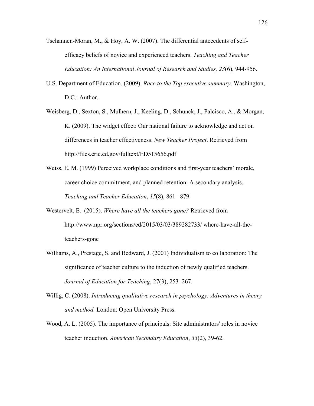- Tschannen-Moran, M., & Hoy, A. W. (2007). The differential antecedents of selfefficacy beliefs of novice and experienced teachers. *Teaching and Teacher Education: An International Journal of Research and Studies, 23*(6), 944-956.
- U.S. Department of Education. (2009). *Race to the Top executive summary*. Washington, D.C.: Author.
- Weisberg, D., Sexton, S., Mulhern, J., Keeling, D., Schunck, J., Palcisco, A., & Morgan, K. (2009). The widget effect: Our national failure to acknowledge and act on differences in teacher effectiveness. *New Teacher Project*. Retrieved from http://files.eric.ed.gov/fulltext/ED515656.pdf
- Weiss, E. M. (1999) Perceived workplace conditions and first-year teachers' morale, career choice commitment, and planned retention: A secondary analysis. *Teaching and Teacher Education*, *15*(8), 861– 879.
- Westervelt, E. (2015). *Where have all the teachers gone?* Retrieved from http://www.npr.org/sections/ed/2015/03/03/389282733/ where-have-all-theteachers-gone
- Williams, A., Prestage, S. and Bedward, J. (2001) Individualism to collaboration: The significance of teacher culture to the induction of newly qualified teachers. *Journal of Education for Teaching*, 27(3), 253–267.
- Willig, C. (2008). *Introducing qualitative research in psychology: Adventures in theory and method.* London: Open University Press.
- Wood, A. L. (2005). The importance of principals: Site administrators' roles in novice teacher induction. *American Secondary Education*, *33*(2), 39-62.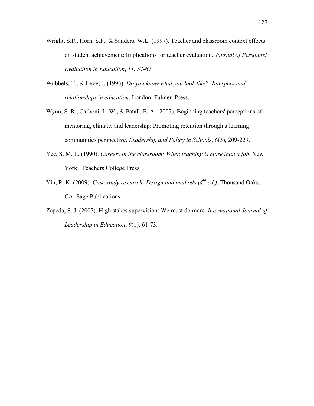- Wright, S.P., Horn, S.P., & Sanders, W.L. (1997). Teacher and classroom context effects on student achievement: Implications for teacher evaluation. *Journal of Personnel Evaluation in Education*, *11*, 57-67.
- Wubbels, T., & Levy, J. (1993). *Do you know what you look like?: Interpersonal relationships in education*. London: Falmer Press.
- Wynn, S. R., Carboni, L. W., & Patall, E. A. (2007). Beginning teachers' perceptions of mentoring, climate, and leadership: Promoting retention through a learning communities perspective. *Leadership and Policy in Schools*, *6*(3), 209-229.
- Yee, S. M. L. (1990). *Careers in the classroom: When teaching is more than a job*. New York: Teachers College Press.
- Yin, R. K. (2009). *Case study research: Design and methods (4th ed.).* Thousand Oaks, CA: Sage Publications.
- Zepeda, S. J. (2007). High stakes supervision: We must do more. *International Journal of Leadership in Education*, *9*(1), 61-73.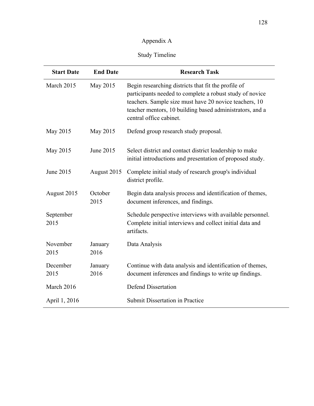# Appendix A

# Study Timeline

| <b>Start Date</b> | <b>End Date</b> | <b>Research Task</b>                                                                                                                                                                                                                                             |
|-------------------|-----------------|------------------------------------------------------------------------------------------------------------------------------------------------------------------------------------------------------------------------------------------------------------------|
| March 2015        | May 2015        | Begin researching districts that fit the profile of<br>participants needed to complete a robust study of novice<br>teachers. Sample size must have 20 novice teachers, 10<br>teacher mentors, 10 building based administrators, and a<br>central office cabinet. |
| May 2015          | May 2015        | Defend group research study proposal.                                                                                                                                                                                                                            |
| May 2015          | June 2015       | Select district and contact district leadership to make<br>initial introductions and presentation of proposed study.                                                                                                                                             |
| June 2015         | August 2015     | Complete initial study of research group's individual<br>district profile.                                                                                                                                                                                       |
| August 2015       | October<br>2015 | Begin data analysis process and identification of themes,<br>document inferences, and findings.                                                                                                                                                                  |
| September<br>2015 |                 | Schedule perspective interviews with available personnel.<br>Complete initial interviews and collect initial data and<br>artifacts.                                                                                                                              |
| November<br>2015  | January<br>2016 | Data Analysis                                                                                                                                                                                                                                                    |
| December<br>2015  | January<br>2016 | Continue with data analysis and identification of themes,<br>document inferences and findings to write up findings.                                                                                                                                              |
| March 2016        |                 | <b>Defend Dissertation</b>                                                                                                                                                                                                                                       |
| April 1, 2016     |                 | <b>Submit Dissertation in Practice</b>                                                                                                                                                                                                                           |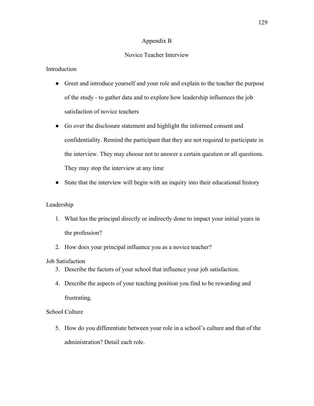## Appendix B

# Novice Teacher Interview

# **Introduction**

- Greet and introduce yourself and your role and explain to the teacher the purpose of the study - to gather data and to explore how leadership influences the job satisfaction of novice teachers
- Go over the disclosure statement and highlight the informed consent and confidentiality. Remind the participant that they are not required to participate in the interview. They may choose not to answer a certain question or all questions. They may stop the interview at any time
- State that the interview will begin with an inquiry into their educational history

## Leadership

- 1. What has the principal directly or indirectly done to impact your initial years in the profession?
- 2. How does your principal influence you as a novice teacher?

## Job Satisfaction

- 3. Describe the factors of your school that influence your job satisfaction.
- 4. Describe the aspects of your teaching position you find to be rewarding and frustrating.

## School Culture

5. How do you differentiate between your role in a school's culture and that of the administration? Detail each role.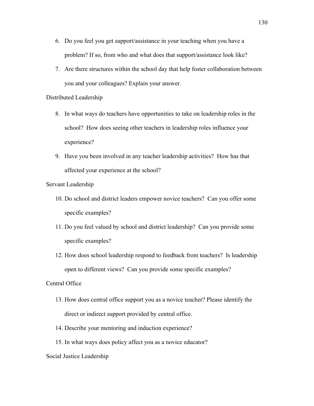- 6. Do you feel you get support/assistance in your teaching when you have a problem? If so, from who and what does that support/assistance look like?
- 7. Are there structures within the school day that help foster collaboration between you and your colleagues? Explain your answer.

#### Distributed Leadership

- 8. In what ways do teachers have opportunities to take on leadership roles in the school? How does seeing other teachers in leadership roles influence your experience?
- 9. Have you been involved in any teacher leadership activities? How has that affected your experience at the school?

## Servant Leadership

- 10. Do school and district leaders empower novice teachers? Can you offer some specific examples?
- 11. Do you feel valued by school and district leadership? Can you provide some specific examples?
- 12. How does school leadership respond to feedback from teachers? Is leadership open to different views? Can you provide some specific examples?

## Central Office

- 13. How does central office support you as a novice teacher? Please identify the direct or indirect support provided by central office.
- 14. Describe your mentoring and induction experience?
- 15. In what ways does policy affect you as a novice educator?

#### Social Justice Leadership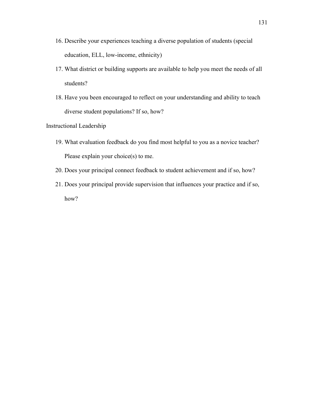- 16. Describe your experiences teaching a diverse population of students (special education, ELL, low-income, ethnicity)
- 17. What district or building supports are available to help you meet the needs of all students?
- 18. Have you been encouraged to reflect on your understanding and ability to teach diverse student populations? If so, how?

## Instructional Leadership

- 19. What evaluation feedback do you find most helpful to you as a novice teacher? Please explain your choice(s) to me.
- 20. Does your principal connect feedback to student achievement and if so, how?
- 21. Does your principal provide supervision that influences your practice and if so, how?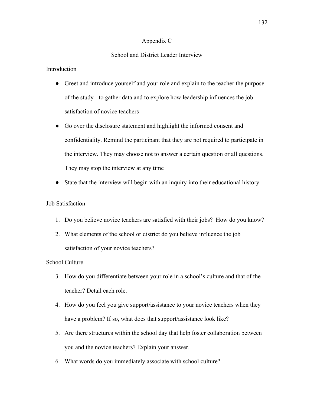#### Appendix C

#### School and District Leader Interview

## **Introduction**

- Greet and introduce yourself and your role and explain to the teacher the purpose of the study - to gather data and to explore how leadership influences the job satisfaction of novice teachers
- Go over the disclosure statement and highlight the informed consent and confidentiality. Remind the participant that they are not required to participate in the interview. They may choose not to answer a certain question or all questions. They may stop the interview at any time
- State that the interview will begin with an inquiry into their educational history

## Job Satisfaction

- 1. Do you believe novice teachers are satisfied with their jobs? How do you know?
- 2. What elements of the school or district do you believe influence the job satisfaction of your novice teachers?

#### School Culture

- 3. How do you differentiate between your role in a school's culture and that of the teacher? Detail each role.
- 4. How do you feel you give support/assistance to your novice teachers when they have a problem? If so, what does that support/assistance look like?
- 5. Are there structures within the school day that help foster collaboration between you and the novice teachers? Explain your answer.
- 6. What words do you immediately associate with school culture?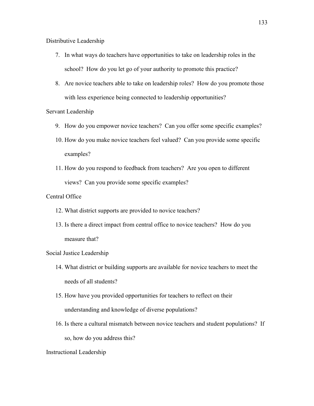Distributive Leadership

- 7. In what ways do teachers have opportunities to take on leadership roles in the school? How do you let go of your authority to promote this practice?
- 8. Are novice teachers able to take on leadership roles? How do you promote those with less experience being connected to leadership opportunities?

### Servant Leadership

- 9. How do you empower novice teachers? Can you offer some specific examples?
- 10. How do you make novice teachers feel valued? Can you provide some specific examples?
- 11. How do you respond to feedback from teachers? Are you open to different views? Can you provide some specific examples?

### Central Office

- 12. What district supports are provided to novice teachers?
- 13. Is there a direct impact from central office to novice teachers? How do you measure that?

#### Social Justice Leadership

- 14. What district or building supports are available for novice teachers to meet the needs of all students?
- 15. How have you provided opportunities for teachers to reflect on their understanding and knowledge of diverse populations?
- 16. Is there a cultural mismatch between novice teachers and student populations? If so, how do you address this?

#### Instructional Leadership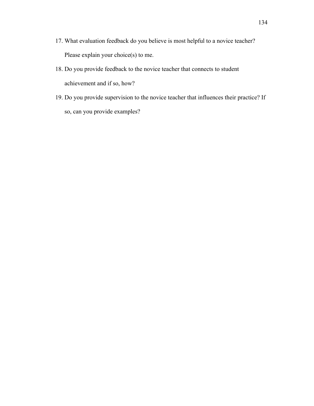- 17. What evaluation feedback do you believe is most helpful to a novice teacher? Please explain your choice(s) to me.
- 18. Do you provide feedback to the novice teacher that connects to student achievement and if so, how?
- 19. Do you provide supervision to the novice teacher that influences their practice? If so, can you provide examples?